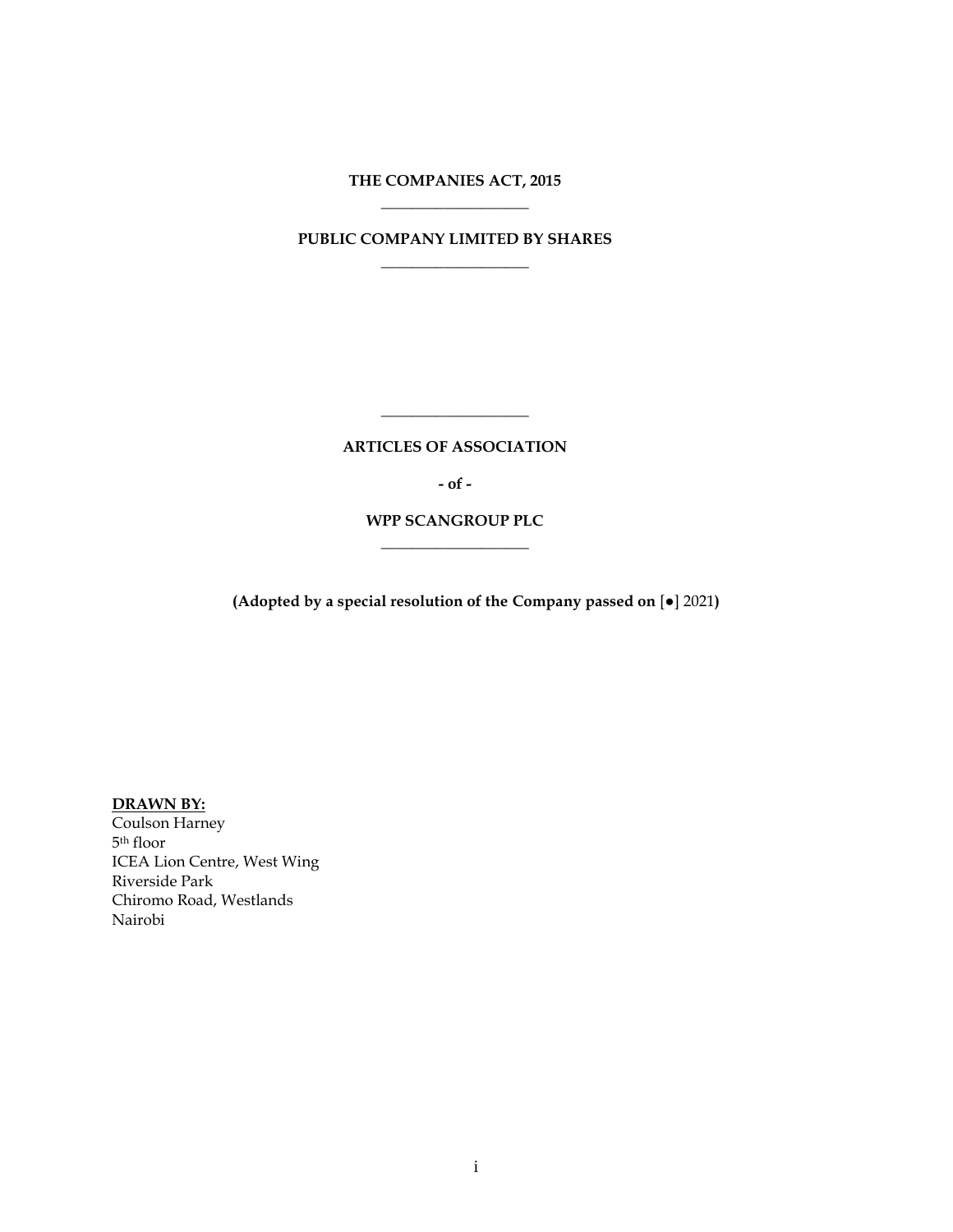# **THE COMPANIES ACT, 2015 \_\_\_\_\_\_\_\_\_\_\_\_\_\_\_\_\_\_\_**

# **PUBLIC COMPANY LIMITED BY SHARES \_\_\_\_\_\_\_\_\_\_\_\_\_\_\_\_\_\_\_**

**ARTICLES OF ASSOCIATION**

**\_\_\_\_\_\_\_\_\_\_\_\_\_\_\_\_\_\_\_**

**- of -**

**WPP SCANGROUP PLC \_\_\_\_\_\_\_\_\_\_\_\_\_\_\_\_\_\_\_**

**(Adopted by a special resolution of the Company passed on** [●] 2021**)**

**DRAWN BY:**

Coulson Harney 5 th floor ICEA Lion Centre, West Wing Riverside Park Chiromo Road, Westlands Nairobi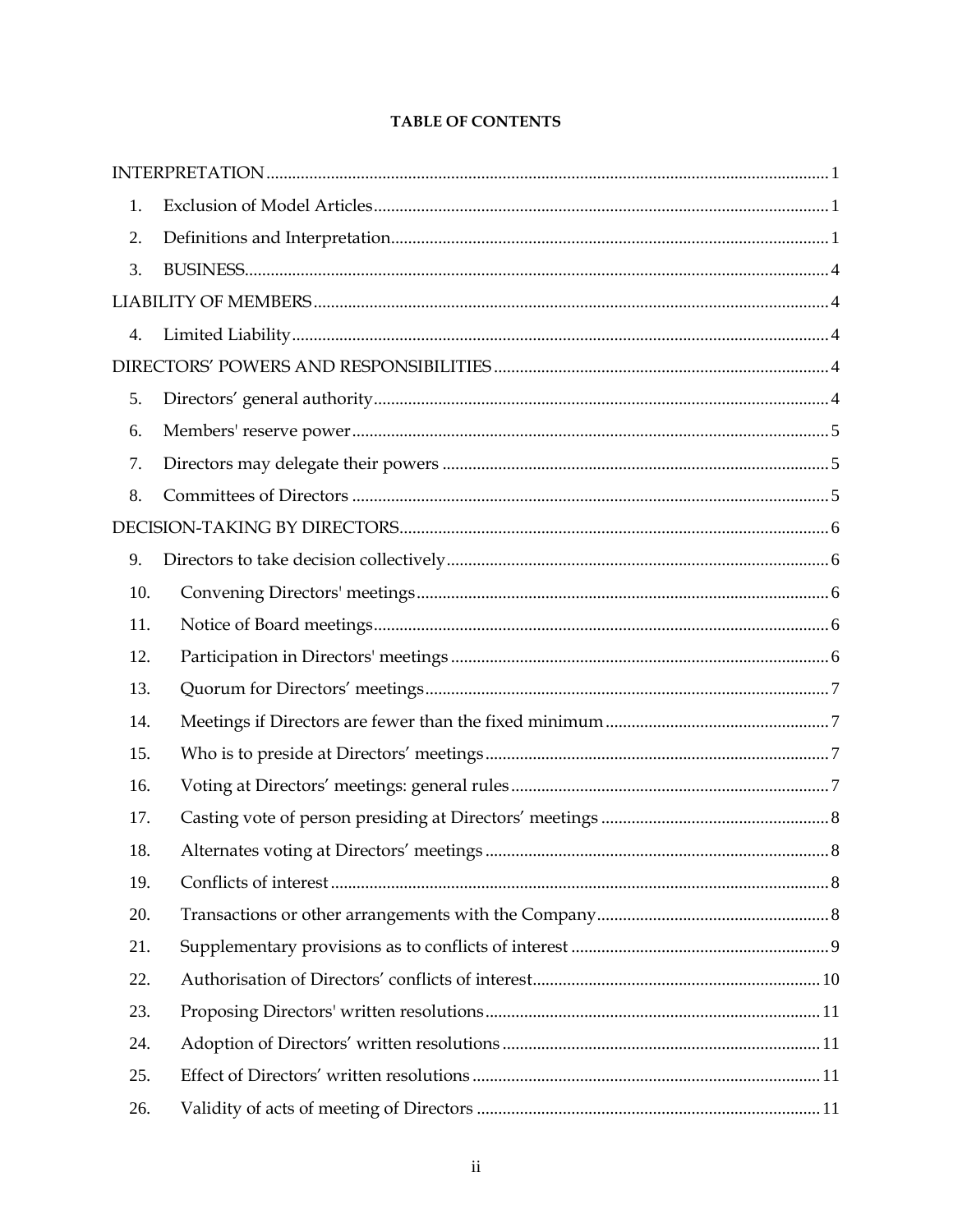| 1.  |  |
|-----|--|
| 2.  |  |
| 3.  |  |
|     |  |
| 4.  |  |
|     |  |
| 5.  |  |
| 6.  |  |
| 7.  |  |
| 8.  |  |
|     |  |
| 9.  |  |
| 10. |  |
| 11. |  |
| 12. |  |
| 13. |  |
| 14. |  |
| 15. |  |
| 16. |  |
| 17. |  |
| 18. |  |
| 19. |  |
| 20. |  |
| 21. |  |
| 22. |  |
| 23. |  |
| 24. |  |
| 25. |  |
| 26. |  |

# **TABLE OF CONTENTS**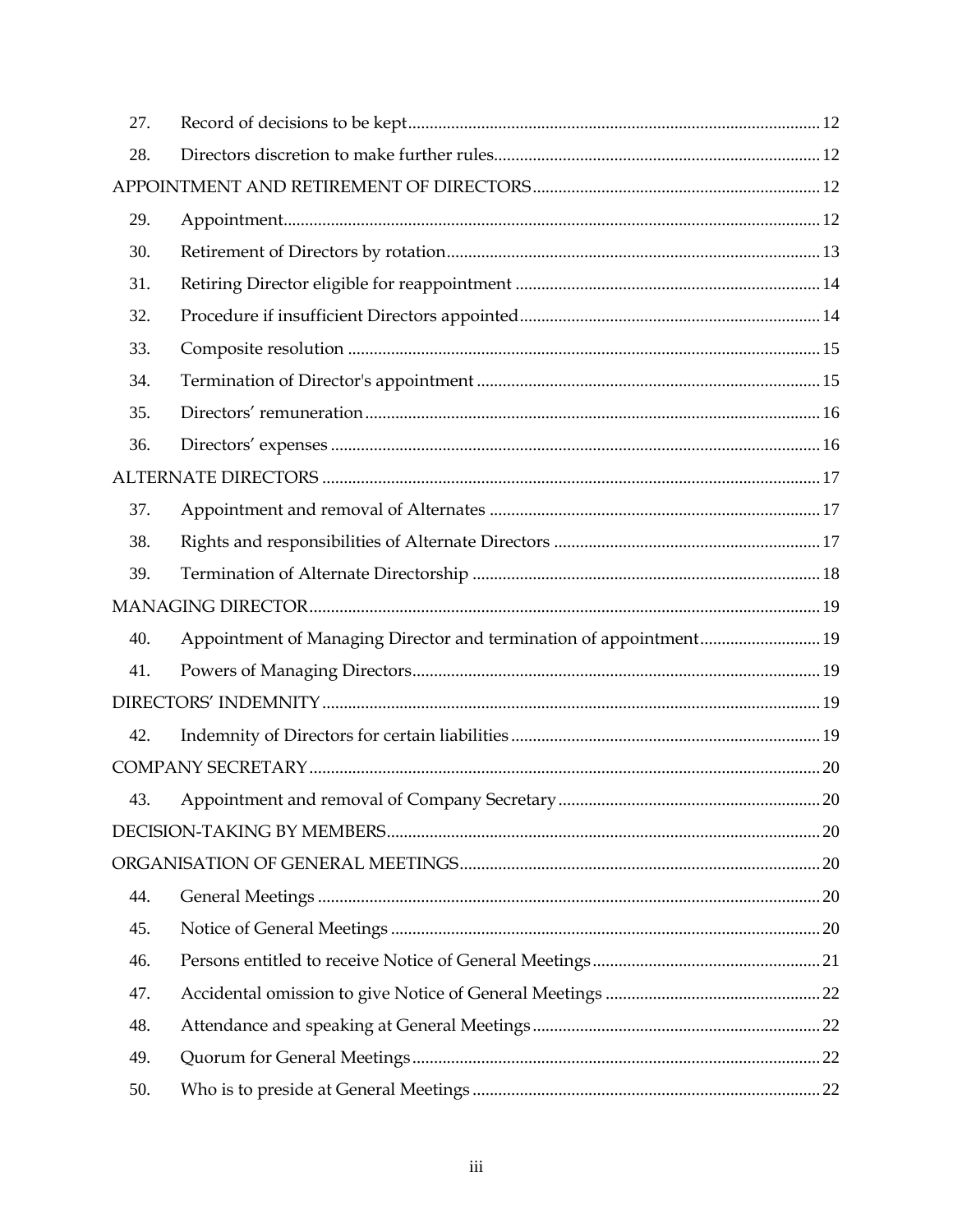| 27. |                                                                    |  |
|-----|--------------------------------------------------------------------|--|
| 28. |                                                                    |  |
|     |                                                                    |  |
| 29. |                                                                    |  |
| 30. |                                                                    |  |
| 31. |                                                                    |  |
| 32. |                                                                    |  |
| 33. |                                                                    |  |
| 34. |                                                                    |  |
| 35. |                                                                    |  |
| 36. |                                                                    |  |
|     |                                                                    |  |
| 37. |                                                                    |  |
| 38. |                                                                    |  |
| 39. |                                                                    |  |
|     |                                                                    |  |
| 40. | Appointment of Managing Director and termination of appointment 19 |  |
| 41. |                                                                    |  |
|     |                                                                    |  |
| 42. |                                                                    |  |
|     |                                                                    |  |
| 43. |                                                                    |  |
|     |                                                                    |  |
|     |                                                                    |  |
| 44. |                                                                    |  |
| 45. |                                                                    |  |
| 46. |                                                                    |  |
| 47. |                                                                    |  |
| 48. |                                                                    |  |
| 49. |                                                                    |  |
| 50. |                                                                    |  |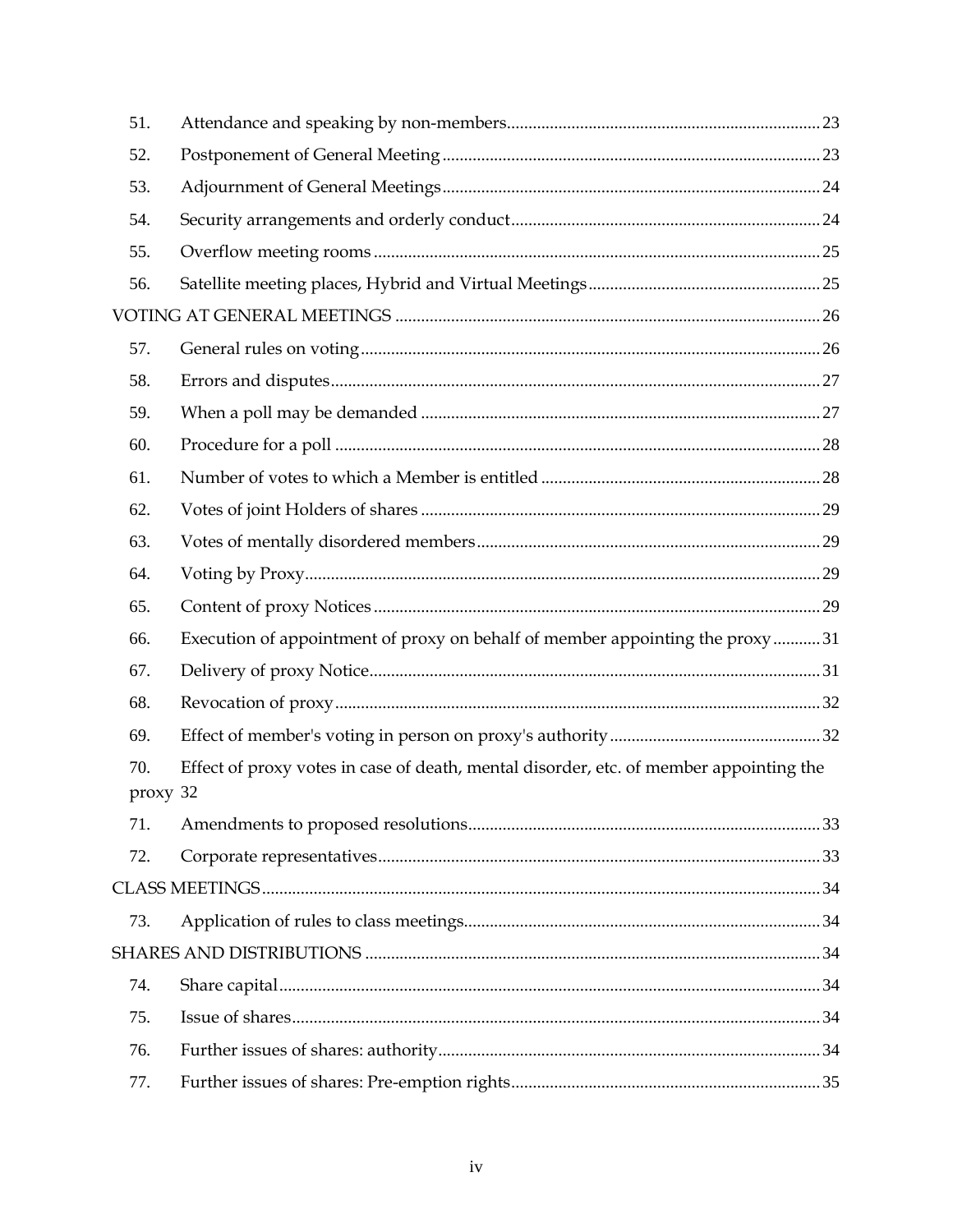| 51.             |                                                                                        |  |
|-----------------|----------------------------------------------------------------------------------------|--|
| 52.             |                                                                                        |  |
| 53.             |                                                                                        |  |
| 54.             |                                                                                        |  |
| 55.             |                                                                                        |  |
| 56.             |                                                                                        |  |
|                 |                                                                                        |  |
| 57.             |                                                                                        |  |
| 58.             |                                                                                        |  |
| 59.             |                                                                                        |  |
| 60.             |                                                                                        |  |
| 61.             |                                                                                        |  |
| 62.             |                                                                                        |  |
| 63.             |                                                                                        |  |
| 64.             |                                                                                        |  |
| 65.             |                                                                                        |  |
| 66.             | Execution of appointment of proxy on behalf of member appointing the proxy31           |  |
| 67.             |                                                                                        |  |
| 68.             |                                                                                        |  |
| 69.             |                                                                                        |  |
| 70.<br>proxy 32 | Effect of proxy votes in case of death, mental disorder, etc. of member appointing the |  |
| 71.             |                                                                                        |  |
| 72.             |                                                                                        |  |
|                 |                                                                                        |  |
| 73.             |                                                                                        |  |
|                 |                                                                                        |  |
| 74.             |                                                                                        |  |
| 75.             |                                                                                        |  |
| 76.             |                                                                                        |  |
| 77.             |                                                                                        |  |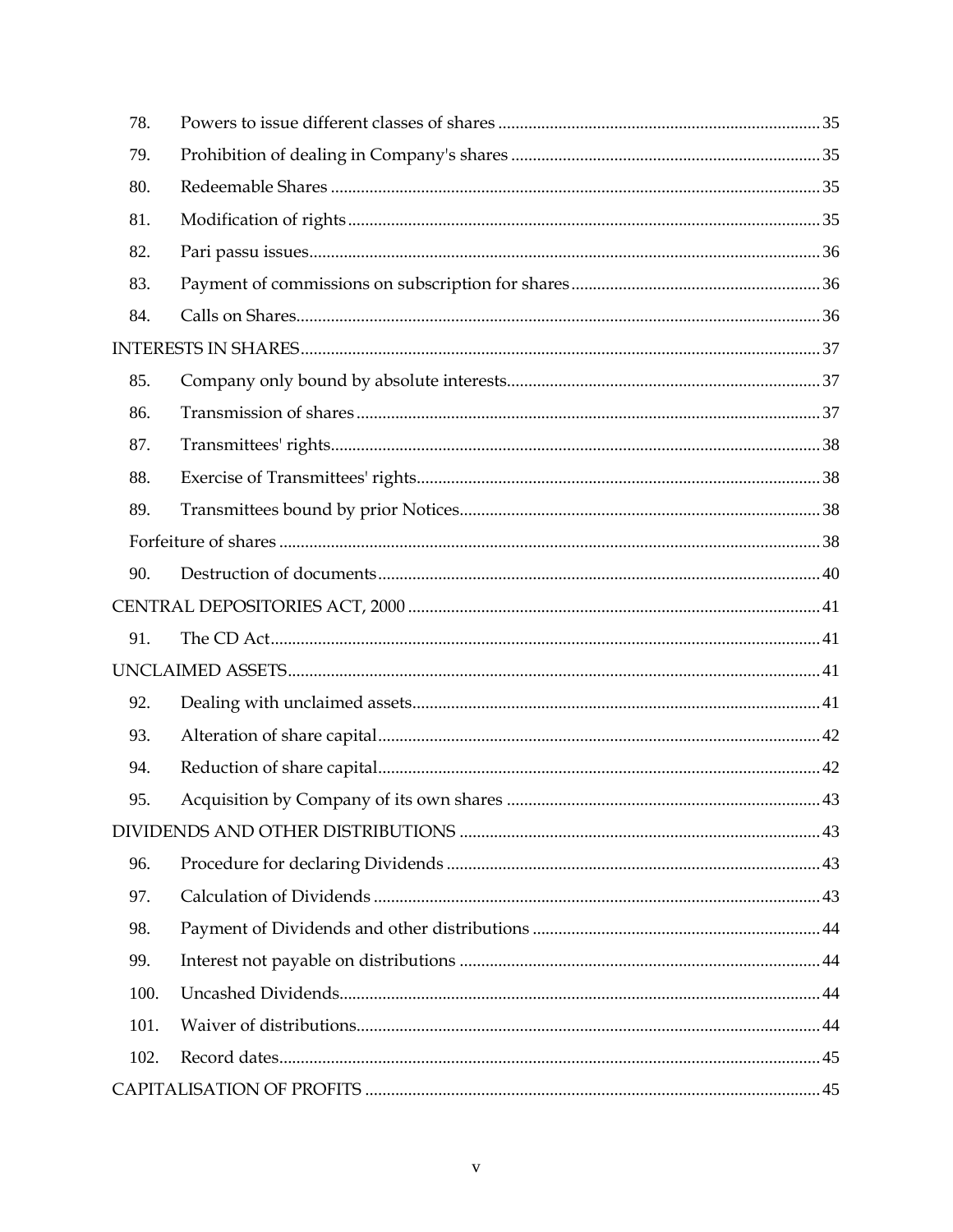| 78.  |  |
|------|--|
| 79.  |  |
| 80.  |  |
| 81.  |  |
| 82.  |  |
| 83.  |  |
| 84.  |  |
|      |  |
| 85.  |  |
| 86.  |  |
| 87.  |  |
| 88.  |  |
| 89.  |  |
|      |  |
| 90.  |  |
|      |  |
| 91.  |  |
|      |  |
| 92.  |  |
| 93.  |  |
| 94.  |  |
| 95.  |  |
|      |  |
| 96.  |  |
| 97.  |  |
| 98.  |  |
| 99.  |  |
| 100. |  |
| 101. |  |
| 102. |  |
|      |  |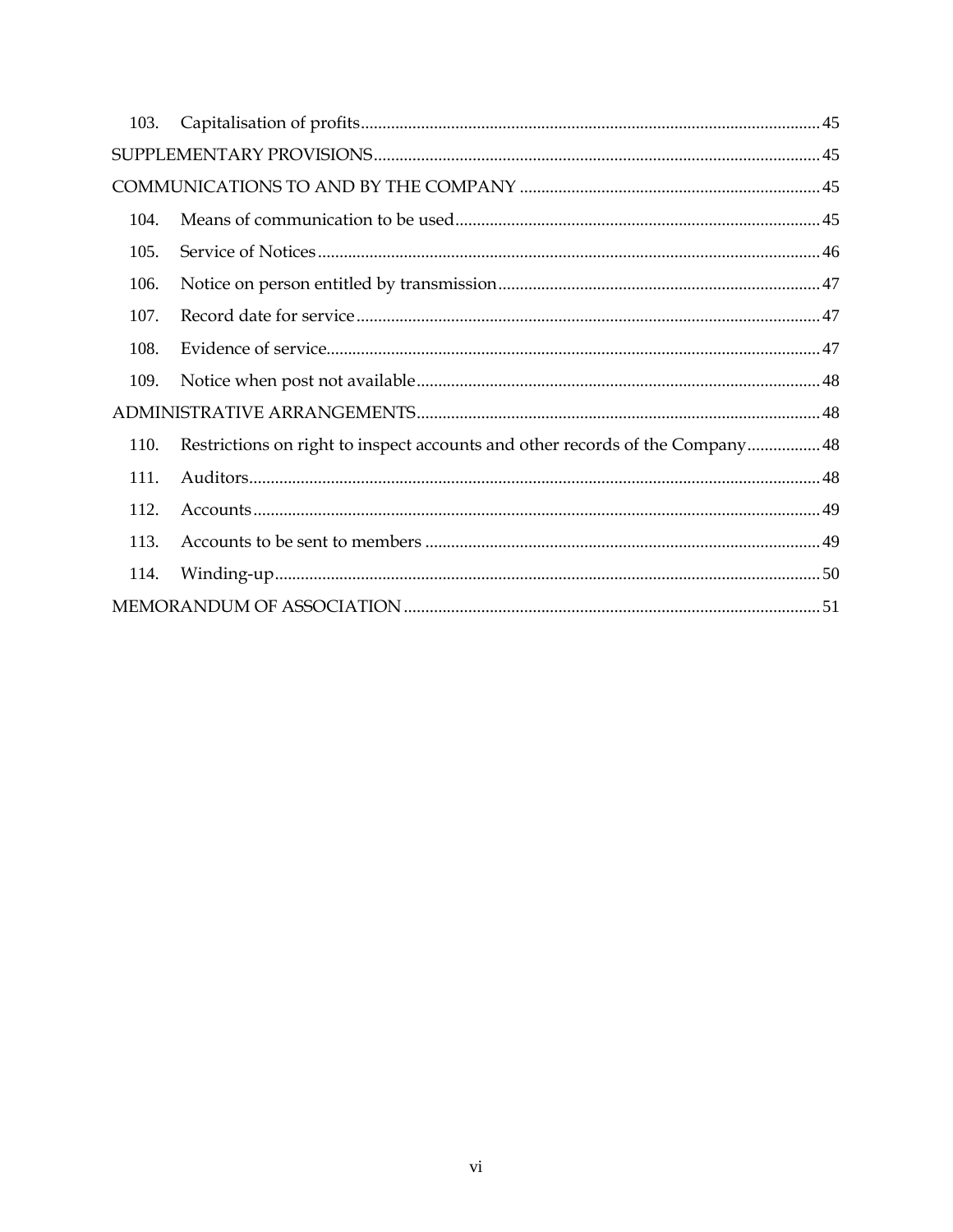| 103. |                                                                               |  |
|------|-------------------------------------------------------------------------------|--|
|      |                                                                               |  |
|      |                                                                               |  |
| 104. |                                                                               |  |
| 105. |                                                                               |  |
| 106. |                                                                               |  |
| 107. |                                                                               |  |
| 108. |                                                                               |  |
| 109. |                                                                               |  |
|      |                                                                               |  |
| 110. | Restrictions on right to inspect accounts and other records of the Company 48 |  |
| 111. |                                                                               |  |
| 112. |                                                                               |  |
| 113. |                                                                               |  |
| 114. |                                                                               |  |
|      |                                                                               |  |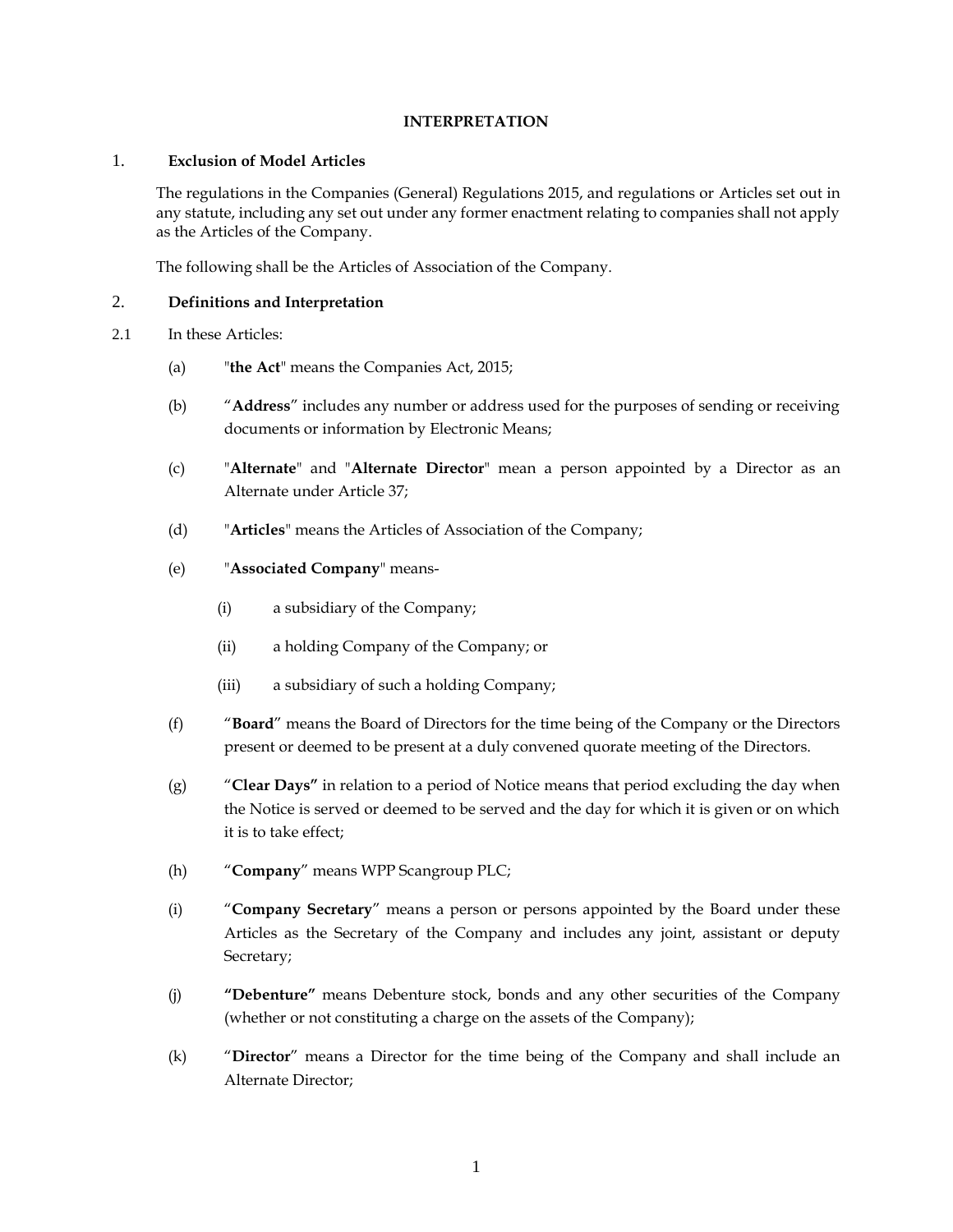#### **INTERPRETATION**

#### <span id="page-6-1"></span><span id="page-6-0"></span>1. **Exclusion of Model Articles**

The regulations in the Companies (General) Regulations 2015, and regulations or Articles set out in any statute, including any set out under any former enactment relating to companies shall not apply as the Articles of the Company.

The following shall be the Articles of Association of the Company.

### <span id="page-6-2"></span>2. **Definitions and Interpretation**

- 2.1 In these Articles:
	- (a) "**the Act**" means the Companies Act, 2015;
	- (b) "**Address**" includes any number or address used for the purposes of sending or receiving documents or information by Electronic Means;
	- (c) "**Alternate**" and "**Alternate Director**" mean a person appointed by a Director as an Alternate under Article [37;](#page-22-1)
	- (d) "**Articles**" means the Articles of Association of the Company;
	- (e) "**Associated Company**" means-
		- (i) a subsidiary of the Company;
		- (ii) a holding Company of the Company; or
		- (iii) a subsidiary of such a holding Company;
	- (f) "**Board**" means the Board of Directors for the time being of the Company or the Directors present or deemed to be present at a duly convened quorate meeting of the Directors.
	- (g) "**Clear Days"** in relation to a period of Notice means that period excluding the day when the Notice is served or deemed to be served and the day for which it is given or on which it is to take effect;
	- (h) "**Company**" means WPP Scangroup PLC;
	- (i) "**Company Secretary**" means a person or persons appointed by the Board under these Articles as the Secretary of the Company and includes any joint, assistant or deputy Secretary;
	- (j) **"Debenture"** means Debenture stock, bonds and any other securities of the Company (whether or not constituting a charge on the assets of the Company);
	- (k) "**Director**" means a Director for the time being of the Company and shall include an Alternate Director;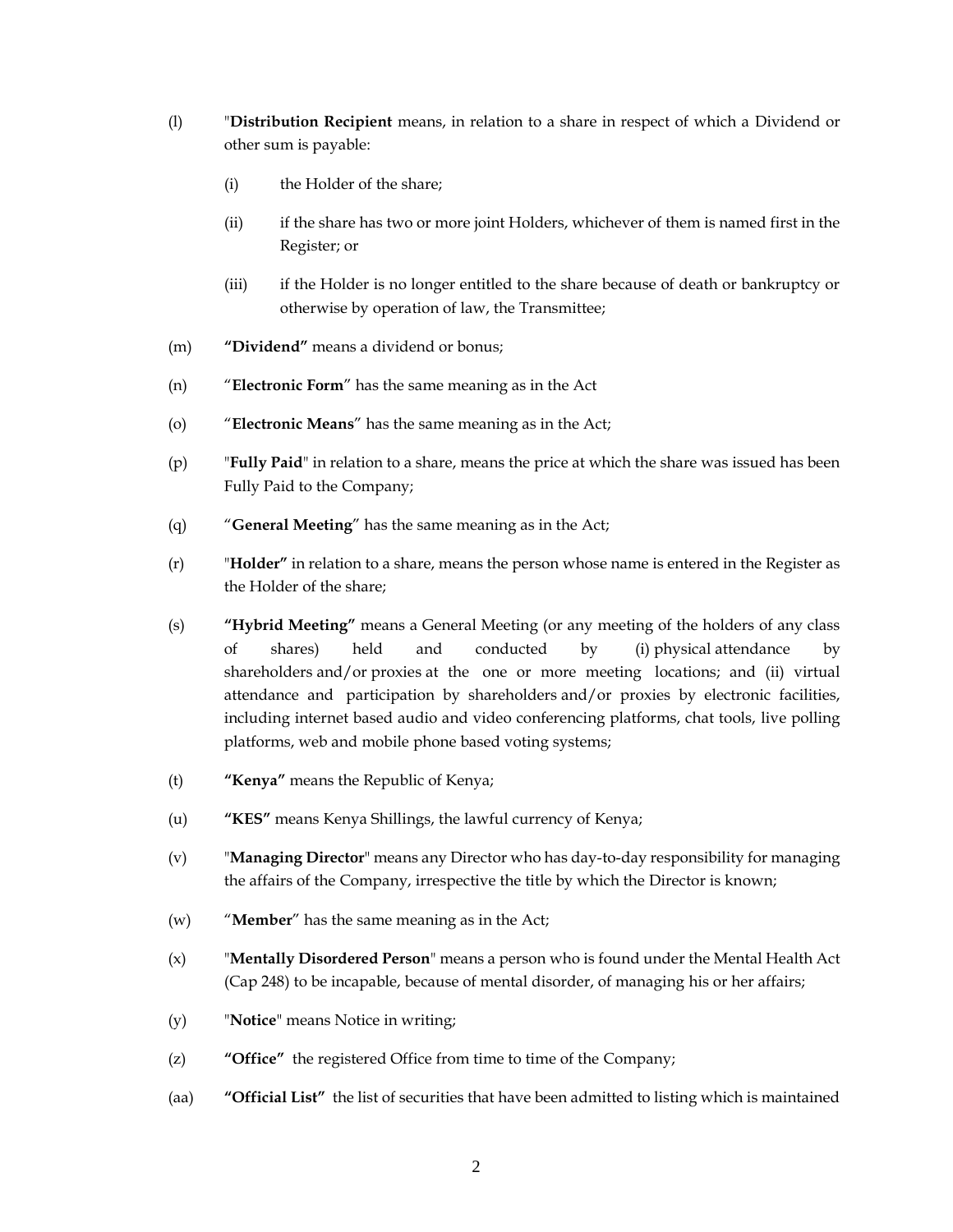- (l) "**Distribution Recipient** means, in relation to a share in respect of which a Dividend or other sum is payable:
	- (i) the Holder of the share;
	- (ii) if the share has two or more joint Holders, whichever of them is named first in the Register; or
	- (iii) if the Holder is no longer entitled to the share because of death or bankruptcy or otherwise by operation of law, the Transmittee;
- (m) **"Dividend"** means a dividend or bonus;
- (n) "**Electronic Form**" has the same meaning as in the Act
- (o) "**Electronic Means**" has the same meaning as in the Act;
- (p) "**Fully Paid**" in relation to a share, means the price at which the share was issued has been Fully Paid to the Company;
- (q) "**General Meeting**" has the same meaning as in the Act;
- (r) "**Holder"** in relation to a share, means the person whose name is entered in the Register as the Holder of the share;
- (s) **"Hybrid Meeting"** means a General Meeting (or any meeting of the holders of any class of shares) held and conducted by (i) [physical](https://www.lawinsider.com/clause/physical) attendance by shareholders [and/or](https://www.lawinsider.com/dictionary/andor) [proxies](https://www.lawinsider.com/clause/proxies) at the one or more meeting [locations;](https://www.lawinsider.com/clause/locations) and (ii) virtual attendance and [participation by shareholders](https://www.lawinsider.com/clause/participation-by-shareholders) and/or proxies by electronic facilities, including internet based audio and video conferencing platforms, chat tools, live polling platforms, web and mobile phone based voting systems;
- (t) **"Kenya"** means the Republic of Kenya;
- (u) **"KES"** means Kenya Shillings, the lawful currency of Kenya;
- (v) "**Managing Director**" means any Director who has day-to-day responsibility for managing the affairs of the Company, irrespective the title by which the Director is known;
- (w) "**Member**" has the same meaning as in the Act;
- (x) "**Mentally Disordered Person**" means a person who is found under the Mental Health Act (Cap 248) to be incapable, because of mental disorder, of managing his or her affairs;
- (y) "**Notice**" means Notice in writing;
- (z) **"Office"** the registered Office from time to time of the Company;
- (aa) **"Official List"** the list of securities that have been admitted to listing which is maintained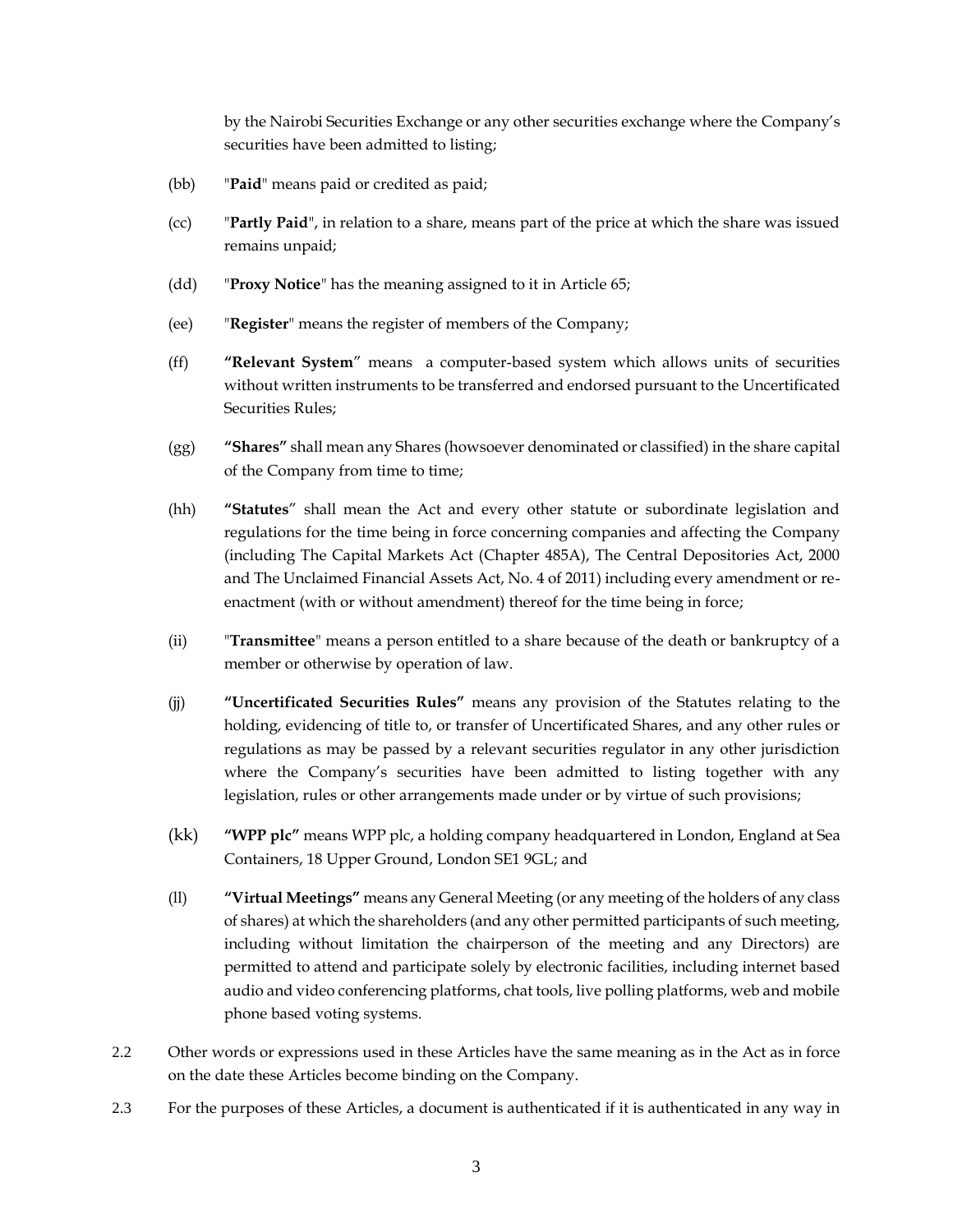by the Nairobi Securities Exchange or any other securities exchange where the Company's securities have been admitted to listing;

- (bb) "**Paid**" means paid or credited as paid;
- (cc) "**Partly Paid**", in relation to a share, means part of the price at which the share was issued remains unpaid;
- (dd) "**Proxy Notice**" has the meaning assigned to it in Article [65;](#page-34-3)
- (ee) "**Register**" means the register of members of the Company;
- (ff) **"Relevant System**" means a computer-based system which allows units of securities without written instruments to be transferred and endorsed pursuant to the Uncertificated Securities Rules;
- (gg) **"Shares"** shall mean any Shares (howsoever denominated or classified) in the share capital of the Company from time to time;
- (hh) **"Statutes**" shall mean the Act and every other statute or subordinate legislation and regulations for the time being in force concerning companies and affecting the Company (including The Capital Markets Act (Chapter 485A), The Central Depositories Act, 2000 and The Unclaimed Financial Assets Act, No. 4 of 2011) including every amendment or reenactment (with or without amendment) thereof for the time being in force;
- (ii) "**Transmittee**" means a person entitled to a share because of the death or bankruptcy of a member or otherwise by operation of law.
- (jj) **"Uncertificated Securities Rules"** means any provision of the Statutes relating to the holding, evidencing of title to, or transfer of Uncertificated Shares, and any other rules or regulations as may be passed by a relevant securities regulator in any other jurisdiction where the Company's securities have been admitted to listing together with any legislation, rules or other arrangements made under or by virtue of such provisions;
- (kk) **"WPP plc"** means WPP plc, a holding company headquartered in London, England at Sea Containers, 18 Upper Ground, London SE1 9GL; and
- (ll) **"Virtual Meetings"** means any General Meeting (or any meeting of the holders of any class of shares) at which the shareholders (and any other permitted participants of such meeting, including without limitation the chairperson of the meeting and any Directors) are permitted to attend and participate solely by electronic facilities, including internet based audio and video conferencing platforms, chat tools, live polling platforms, web and mobile phone based voting systems.
- 2.2 Other words or expressions used in these Articles have the same meaning as in the Act as in force on the date these Articles become binding on the Company.
- 2.3 For the purposes of these Articles, a document is authenticated if it is authenticated in any way in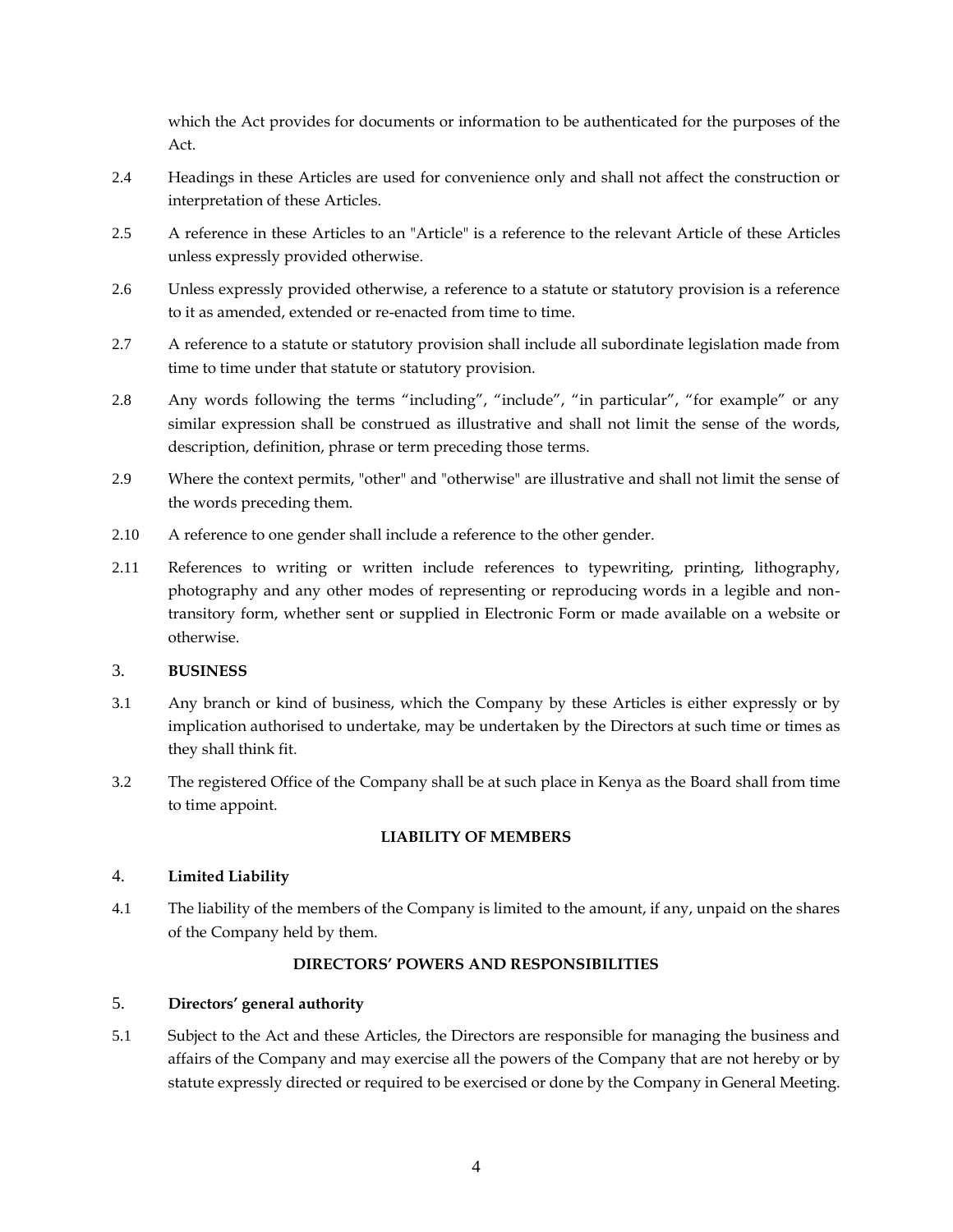which the Act provides for documents or information to be authenticated for the purposes of the Act.

- 2.4 Headings in these Articles are used for convenience only and shall not affect the construction or interpretation of these Articles.
- 2.5 A reference in these Articles to an "Article" is a reference to the relevant Article of these Articles unless expressly provided otherwise.
- 2.6 Unless expressly provided otherwise, a reference to a statute or statutory provision is a reference to it as amended, extended or re-enacted from time to time.
- 2.7 A reference to a statute or statutory provision shall include all subordinate legislation made from time to time under that statute or statutory provision.
- 2.8 Any words following the terms "including", "include", "in particular", "for example" or any similar expression shall be construed as illustrative and shall not limit the sense of the words, description, definition, phrase or term preceding those terms.
- 2.9 Where the context permits, "other" and "otherwise" are illustrative and shall not limit the sense of the words preceding them.
- 2.10 A reference to one gender shall include a reference to the other gender.
- 2.11 References to writing or written include references to typewriting, printing, lithography, photography and any other modes of representing or reproducing words in a legible and nontransitory form, whether sent or supplied in Electronic Form or made available on a website or otherwise.

# <span id="page-9-0"></span>3. **BUSINESS**

- 3.1 Any branch or kind of business, which the Company by these Articles is either expressly or by implication authorised to undertake, may be undertaken by the Directors at such time or times as they shall think fit.
- 3.2 The registered Office of the Company shall be at such place in Kenya as the Board shall from time to time appoint.

# **LIABILITY OF MEMBERS**

# <span id="page-9-2"></span><span id="page-9-1"></span>4. **Limited Liability**

4.1 The liability of the members of the Company is limited to the amount, if any, unpaid on the shares of the Company held by them.

# **DIRECTORS' POWERS AND RESPONSIBILITIES**

# <span id="page-9-4"></span><span id="page-9-3"></span>5. **Directors' general authority**

5.1 Subject to the Act and these Articles, the Directors are responsible for managing the business and affairs of the Company and may exercise all the powers of the Company that are not hereby or by statute expressly directed or required to be exercised or done by the Company in General Meeting.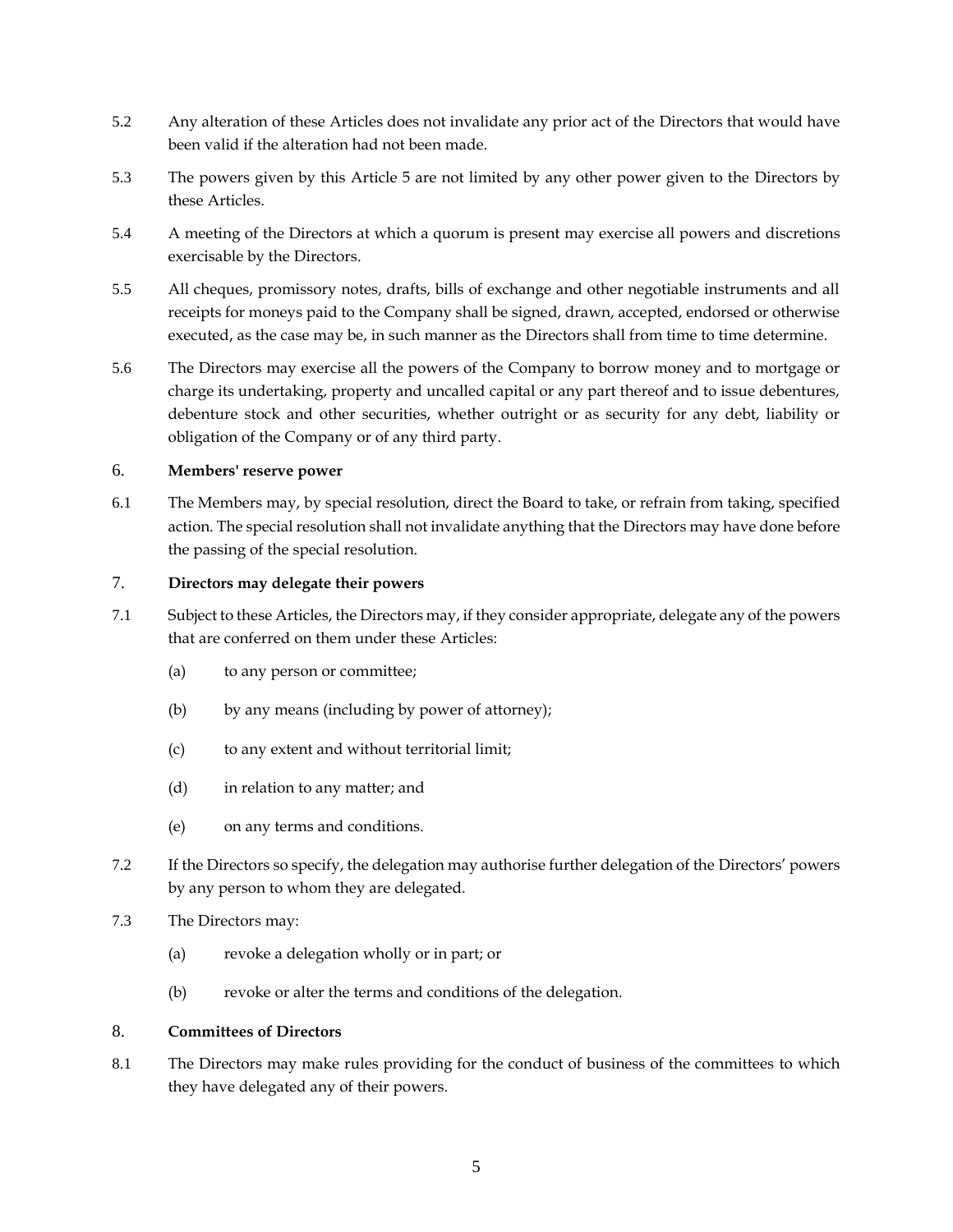- 5.2 Any alteration of these Articles does not invalidate any prior act of the Directors that would have been valid if the alteration had not been made.
- 5.3 The powers given by this Article [5](#page-9-4) are not limited by any other power given to the Directors by these Articles.
- 5.4 A meeting of the Directors at which a quorum is present may exercise all powers and discretions exercisable by the Directors.
- 5.5 All cheques, promissory notes, drafts, bills of exchange and other negotiable instruments and all receipts for moneys paid to the Company shall be signed, drawn, accepted, endorsed or otherwise executed, as the case may be, in such manner as the Directors shall from time to time determine.
- 5.6 The Directors may exercise all the powers of the Company to borrow money and to mortgage or charge its undertaking, property and uncalled capital or any part thereof and to issue debentures, debenture stock and other securities, whether outright or as security for any debt, liability or obligation of the Company or of any third party.

# <span id="page-10-0"></span>6. **Members' reserve power**

6.1 The Members may, by special resolution, direct the Board to take, or refrain from taking, specified action. The special resolution shall not invalidate anything that the Directors may have done before the passing of the special resolution.

# <span id="page-10-1"></span>7. **Directors may delegate their powers**

- 7.1 Subject to these Articles, the Directors may, if they consider appropriate, delegate any of the powers that are conferred on them under these Articles:
	- (a) to any person or committee;
	- (b) by any means (including by power of attorney);
	- (c) to any extent and without territorial limit;
	- (d) in relation to any matter; and
	- (e) on any terms and conditions.
- 7.2 If the Directors so specify, the delegation may authorise further delegation of the Directors' powers by any person to whom they are delegated.
- 7.3 The Directors may:
	- (a) revoke a delegation wholly or in part; or
	- (b) revoke or alter the terms and conditions of the delegation.

# <span id="page-10-2"></span>8. **Committees of Directors**

8.1 The Directors may make rules providing for the conduct of business of the committees to which they have delegated any of their powers.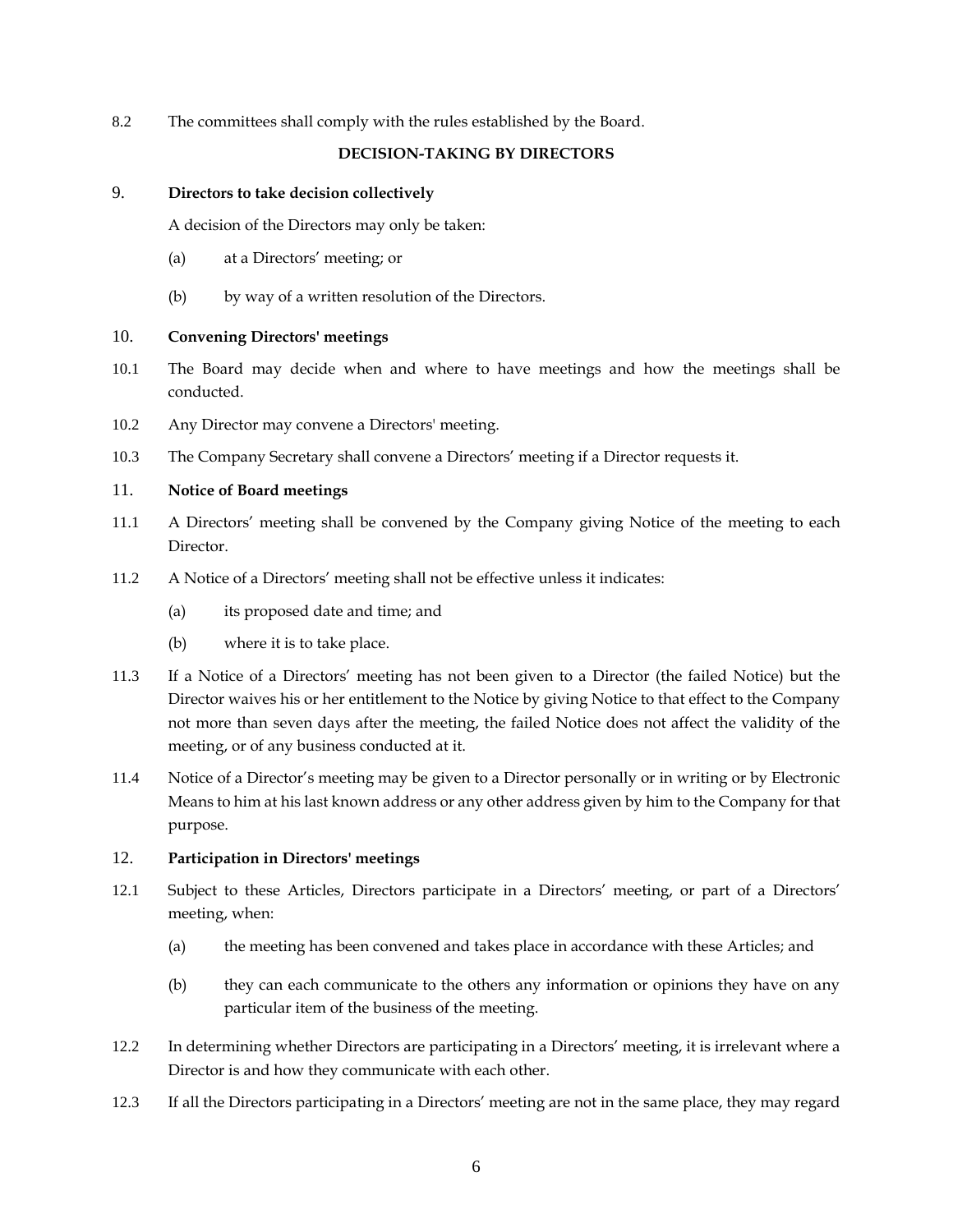<span id="page-11-0"></span>8.2 The committees shall comply with the rules established by the Board.

# **DECISION-TAKING BY DIRECTORS**

#### <span id="page-11-1"></span>9. **Directors to take decision collectively**

A decision of the Directors may only be taken:

- (a) at a Directors' meeting; or
- (b) by way of a written resolution of the Directors.

### <span id="page-11-2"></span>10. **Convening Directors' meetings**

- 10.1 The Board may decide when and where to have meetings and how the meetings shall be conducted.
- 10.2 Any Director may convene a Directors' meeting.
- 10.3 The Company Secretary shall convene a Directors' meeting if a Director requests it.

### <span id="page-11-3"></span>11. **Notice of Board meetings**

- 11.1 A Directors' meeting shall be convened by the Company giving Notice of the meeting to each Director.
- 11.2 A Notice of a Directors' meeting shall not be effective unless it indicates:
	- (a) its proposed date and time; and
	- (b) where it is to take place.
- 11.3 If a Notice of a Directors' meeting has not been given to a Director (the failed Notice) but the Director waives his or her entitlement to the Notice by giving Notice to that effect to the Company not more than seven days after the meeting, the failed Notice does not affect the validity of the meeting, or of any business conducted at it.
- 11.4 Notice of a Director's meeting may be given to a Director personally or in writing or by Electronic Means to him at his last known address or any other address given by him to the Company for that purpose.

### <span id="page-11-4"></span>12. **Participation in Directors' meetings**

- 12.1 Subject to these Articles, Directors participate in a Directors' meeting, or part of a Directors' meeting, when:
	- (a) the meeting has been convened and takes place in accordance with these Articles; and
	- (b) they can each communicate to the others any information or opinions they have on any particular item of the business of the meeting.
- 12.2 In determining whether Directors are participating in a Directors' meeting, it is irrelevant where a Director is and how they communicate with each other.
- 12.3 If all the Directors participating in a Directors' meeting are not in the same place, they may regard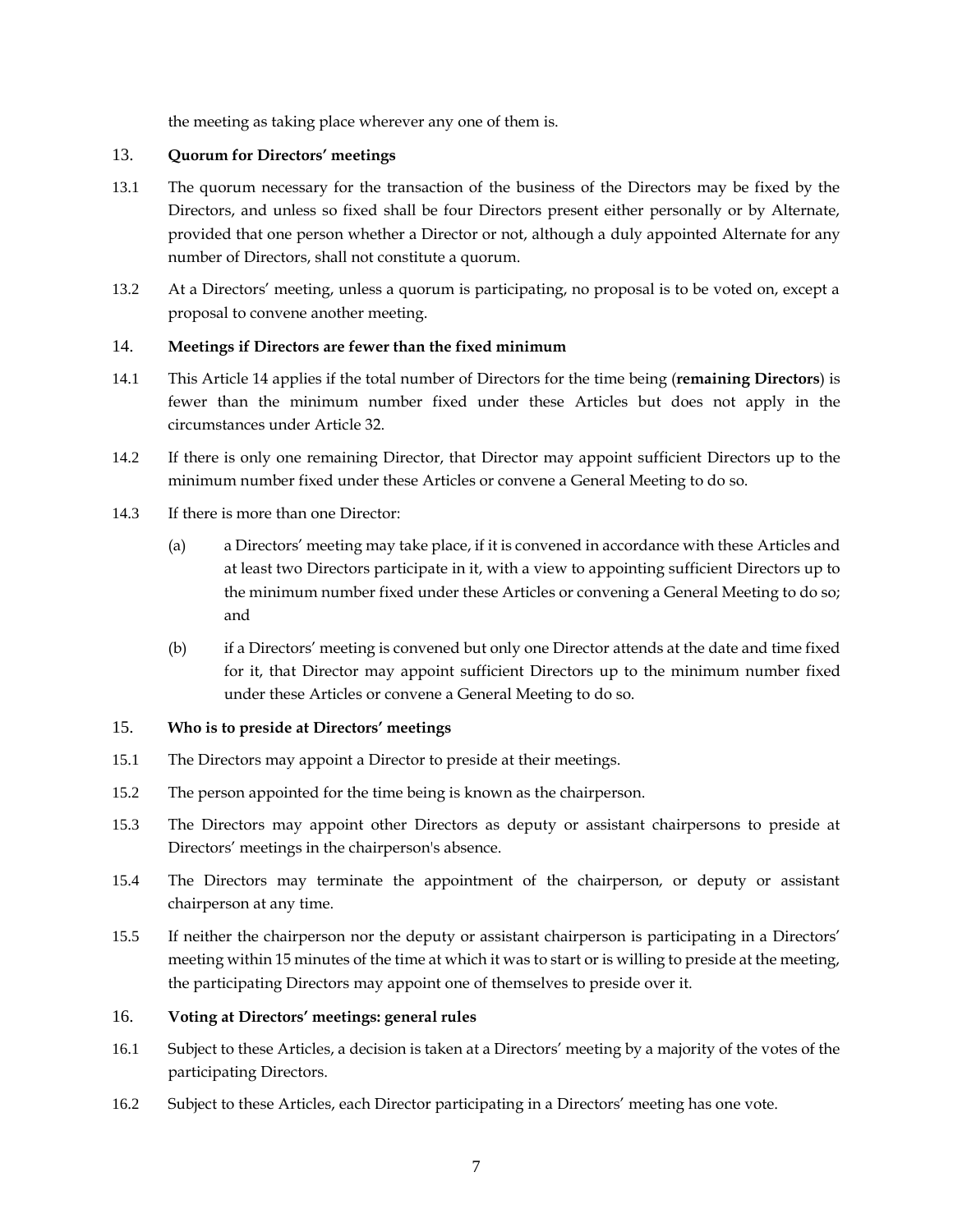the meeting as taking place wherever any one of them is.

### <span id="page-12-0"></span>13. **Quorum for Directors' meetings**

- 13.1 The quorum necessary for the transaction of the business of the Directors may be fixed by the Directors, and unless so fixed shall be four Directors present either personally or by Alternate, provided that one person whether a Director or not, although a duly appointed Alternate for any number of Directors, shall not constitute a quorum.
- 13.2 At a Directors' meeting, unless a quorum is participating, no proposal is to be voted on, except a proposal to convene another meeting.

# <span id="page-12-1"></span>14. **Meetings if Directors are fewer than the fixed minimum**

- 14.1 This Article [14](#page-12-1) applies if the total number of Directors for the time being (**remaining Directors**) is fewer than the minimum number fixed under these Articles but does not apply in the circumstances under Article [32.](#page-19-1)
- 14.2 If there is only one remaining Director, that Director may appoint sufficient Directors up to the minimum number fixed under these Articles or convene a General Meeting to do so.
- 14.3 If there is more than one Director:
	- (a) a Directors' meeting may take place, if it is convened in accordance with these Articles and at least two Directors participate in it, with a view to appointing sufficient Directors up to the minimum number fixed under these Articles or convening a General Meeting to do so; and
	- (b) if a Directors' meeting is convened but only one Director attends at the date and time fixed for it, that Director may appoint sufficient Directors up to the minimum number fixed under these Articles or convene a General Meeting to do so.

# <span id="page-12-2"></span>15. **Who is to preside at Directors' meetings**

- 15.1 The Directors may appoint a Director to preside at their meetings.
- 15.2 The person appointed for the time being is known as the chairperson.
- 15.3 The Directors may appoint other Directors as deputy or assistant chairpersons to preside at Directors' meetings in the chairperson's absence.
- 15.4 The Directors may terminate the appointment of the chairperson, or deputy or assistant chairperson at any time.
- 15.5 If neither the chairperson nor the deputy or assistant chairperson is participating in a Directors' meeting within 15 minutes of the time at which it was to start or is willing to preside at the meeting, the participating Directors may appoint one of themselves to preside over it.

#### <span id="page-12-3"></span>16. **Voting at Directors' meetings: general rules**

- 16.1 Subject to these Articles, a decision is taken at a Directors' meeting by a majority of the votes of the participating Directors.
- 16.2 Subject to these Articles, each Director participating in a Directors' meeting has one vote.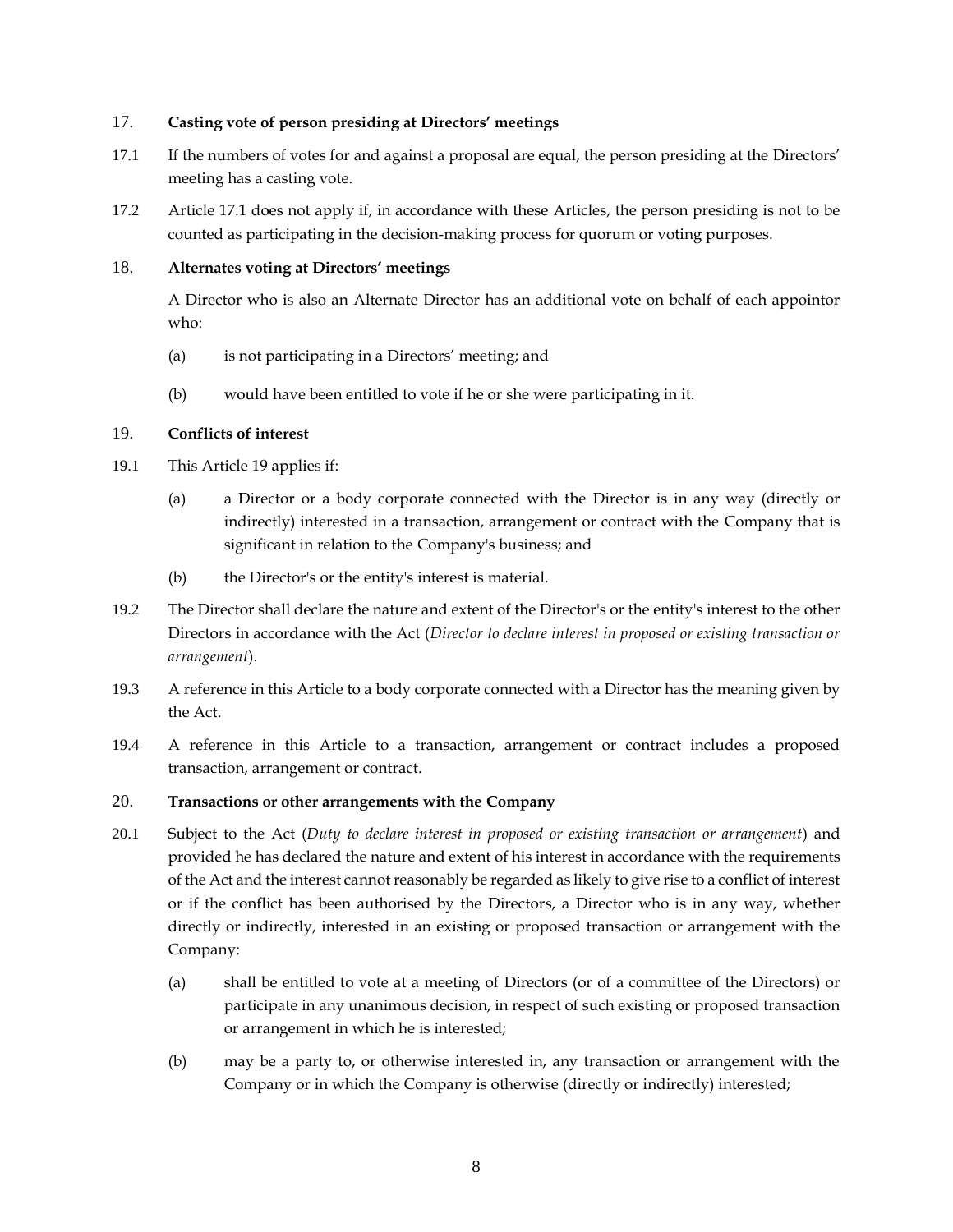### <span id="page-13-0"></span>17. **Casting vote of person presiding at Directors' meetings**

- <span id="page-13-4"></span>17.1 If the numbers of votes for and against a proposal are equal, the person presiding at the Directors' meeting has a casting vote.
- 17.2 Article [17.1](#page-13-4) does not apply if, in accordance with these Articles, the person presiding is not to be counted as participating in the decision-making process for quorum or voting purposes.

# <span id="page-13-1"></span>18. **Alternates voting at Directors' meetings**

A Director who is also an Alternate Director has an additional vote on behalf of each appointor who:

- (a) is not participating in a Directors' meeting; and
- (b) would have been entitled to vote if he or she were participating in it.

# <span id="page-13-2"></span>19. **Conflicts of interest**

- 19.1 This Article [19](#page-13-2) applies if:
	- (a) a Director or a body corporate connected with the Director is in any way (directly or indirectly) interested in a transaction, arrangement or contract with the Company that is significant in relation to the Company's business; and
	- (b) the Director's or the entity's interest is material.
- 19.2 The Director shall declare the nature and extent of the Director's or the entity's interest to the other Directors in accordance with the Act (*Director to declare interest in proposed or existing transaction or arrangement*).
- 19.3 A reference in this Article to a body corporate connected with a Director has the meaning given by the Act.
- 19.4 A reference in this Article to a transaction, arrangement or contract includes a proposed transaction, arrangement or contract.

# <span id="page-13-3"></span>20. **Transactions or other arrangements with the Company**

- 20.1 Subject to the Act (*Duty to declare interest in proposed or existing transaction or arrangement*) and provided he has declared the nature and extent of his interest in accordance with the requirements of the Act and the interest cannot reasonably be regarded as likely to give rise to a conflict of interest or if the conflict has been authorised by the Directors, a Director who is in any way, whether directly or indirectly, interested in an existing or proposed transaction or arrangement with the Company:
	- (a) shall be entitled to vote at a meeting of Directors (or of a committee of the Directors) or participate in any unanimous decision, in respect of such existing or proposed transaction or arrangement in which he is interested;
	- (b) may be a party to, or otherwise interested in, any transaction or arrangement with the Company or in which the Company is otherwise (directly or indirectly) interested;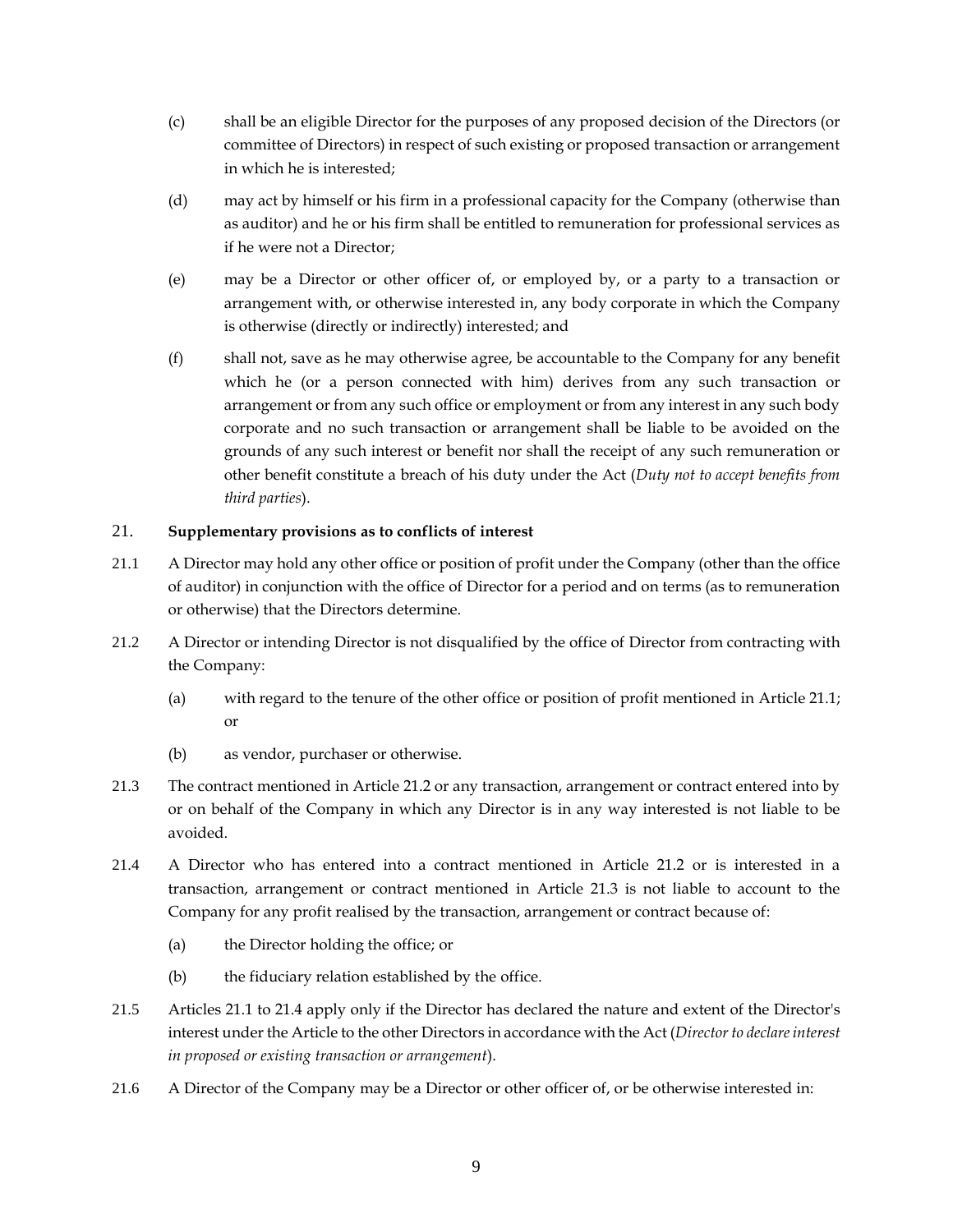- (c) shall be an eligible Director for the purposes of any proposed decision of the Directors (or committee of Directors) in respect of such existing or proposed transaction or arrangement in which he is interested;
- (d) may act by himself or his firm in a professional capacity for the Company (otherwise than as auditor) and he or his firm shall be entitled to remuneration for professional services as if he were not a Director;
- (e) may be a Director or other officer of, or employed by, or a party to a transaction or arrangement with, or otherwise interested in, any body corporate in which the Company is otherwise (directly or indirectly) interested; and
- (f) shall not, save as he may otherwise agree, be accountable to the Company for any benefit which he (or a person connected with him) derives from any such transaction or arrangement or from any such office or employment or from any interest in any such body corporate and no such transaction or arrangement shall be liable to be avoided on the grounds of any such interest or benefit nor shall the receipt of any such remuneration or other benefit constitute a breach of his duty under the Act (*Duty not to accept benefits from third parties*).

# <span id="page-14-0"></span>21. **Supplementary provisions as to conflicts of interest**

- <span id="page-14-1"></span>21.1 A Director may hold any other office or position of profit under the Company (other than the office of auditor) in conjunction with the office of Director for a period and on terms (as to remuneration or otherwise) that the Directors determine.
- <span id="page-14-2"></span>21.2 A Director or intending Director is not disqualified by the office of Director from contracting with the Company:
	- (a) with regard to the tenure of the other office or position of profit mentioned in Article [21.1;](#page-14-1) or
	- (b) as vendor, purchaser or otherwise.
- <span id="page-14-3"></span>21.3 The contract mentioned in Article [21.2](#page-14-2) or any transaction, arrangement or contract entered into by or on behalf of the Company in which any Director is in any way interested is not liable to be avoided.
- <span id="page-14-4"></span>21.4 A Director who has entered into a contract mentioned in Article [21.2](#page-14-2) or is interested in a transaction, arrangement or contract mentioned in Article [21.3](#page-14-3) is not liable to account to the Company for any profit realised by the transaction, arrangement or contract because of:
	- (a) the Director holding the office; or
	- (b) the fiduciary relation established by the office.
- 21.5 Articles [21.1](#page-14-1) t[o 21.4](#page-14-4) apply only if the Director has declared the nature and extent of the Director's interest under the Article to the other Directors in accordance with the Act (*Director to declare interest in proposed or existing transaction or arrangement*).
- 21.6 A Director of the Company may be a Director or other officer of, or be otherwise interested in: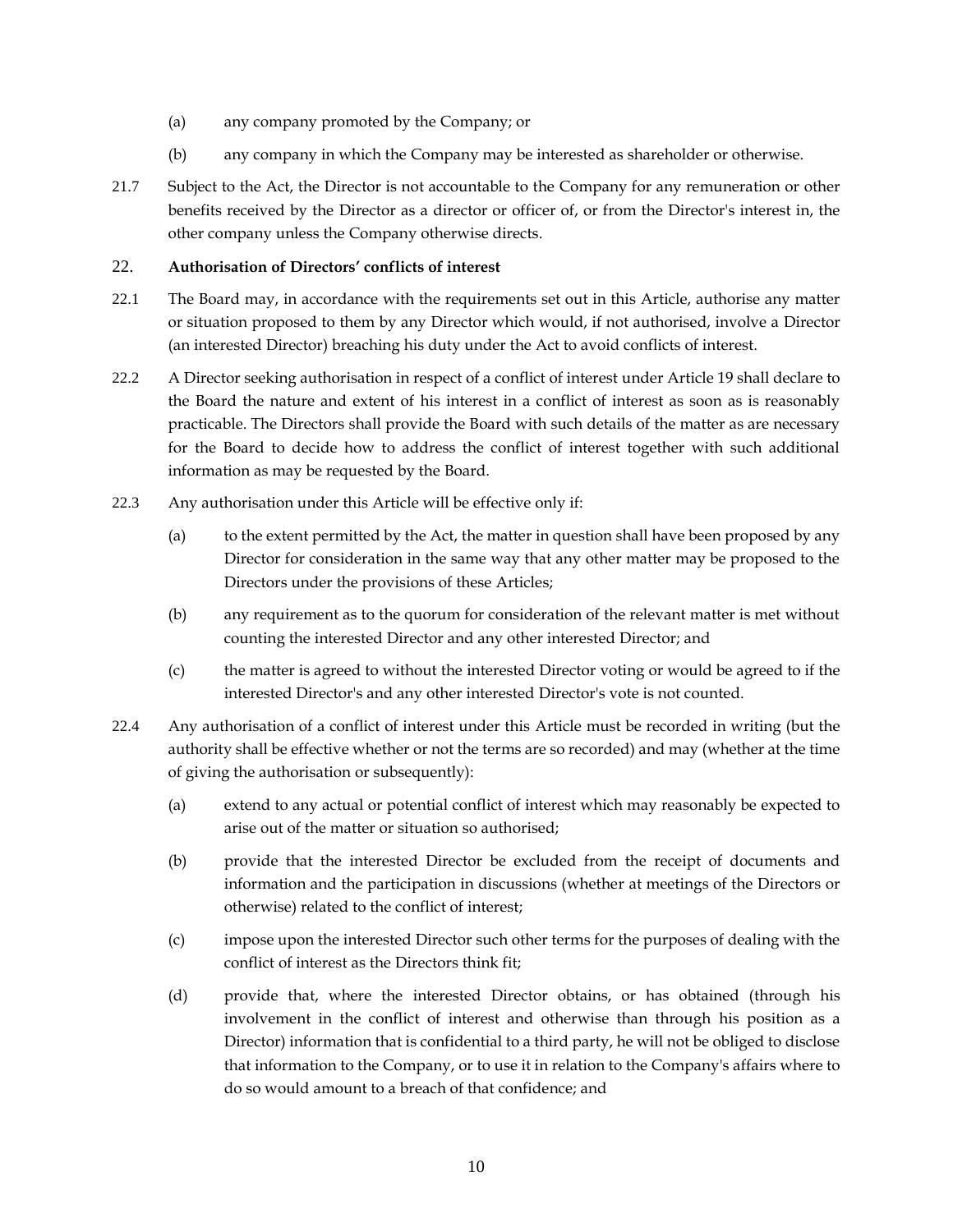- (a) any company promoted by the Company; or
- (b) any company in which the Company may be interested as shareholder or otherwise.
- 21.7 Subject to the Act, the Director is not accountable to the Company for any remuneration or other benefits received by the Director as a director or officer of, or from the Director's interest in, the other company unless the Company otherwise directs.

# <span id="page-15-0"></span>22. **Authorisation of Directors' conflicts of interest**

- 22.1 The Board may, in accordance with the requirements set out in this Article, authorise any matter or situation proposed to them by any Director which would, if not authorised, involve a Director (an interested Director) breaching his duty under the Act to avoid conflicts of interest.
- 22.2 A Director seeking authorisation in respect of a conflict of interest under Article [19](#page-13-2) shall declare to the Board the nature and extent of his interest in a conflict of interest as soon as is reasonably practicable. The Directors shall provide the Board with such details of the matter as are necessary for the Board to decide how to address the conflict of interest together with such additional information as may be requested by the Board.
- 22.3 Any authorisation under this Article will be effective only if:
	- (a) to the extent permitted by the Act, the matter in question shall have been proposed by any Director for consideration in the same way that any other matter may be proposed to the Directors under the provisions of these Articles;
	- (b) any requirement as to the quorum for consideration of the relevant matter is met without counting the interested Director and any other interested Director; and
	- (c) the matter is agreed to without the interested Director voting or would be agreed to if the interested Director's and any other interested Director's vote is not counted.
- 22.4 Any authorisation of a conflict of interest under this Article must be recorded in writing (but the authority shall be effective whether or not the terms are so recorded) and may (whether at the time of giving the authorisation or subsequently):
	- (a) extend to any actual or potential conflict of interest which may reasonably be expected to arise out of the matter or situation so authorised;
	- (b) provide that the interested Director be excluded from the receipt of documents and information and the participation in discussions (whether at meetings of the Directors or otherwise) related to the conflict of interest;
	- (c) impose upon the interested Director such other terms for the purposes of dealing with the conflict of interest as the Directors think fit;
	- (d) provide that, where the interested Director obtains, or has obtained (through his involvement in the conflict of interest and otherwise than through his position as a Director) information that is confidential to a third party, he will not be obliged to disclose that information to the Company, or to use it in relation to the Company's affairs where to do so would amount to a breach of that confidence; and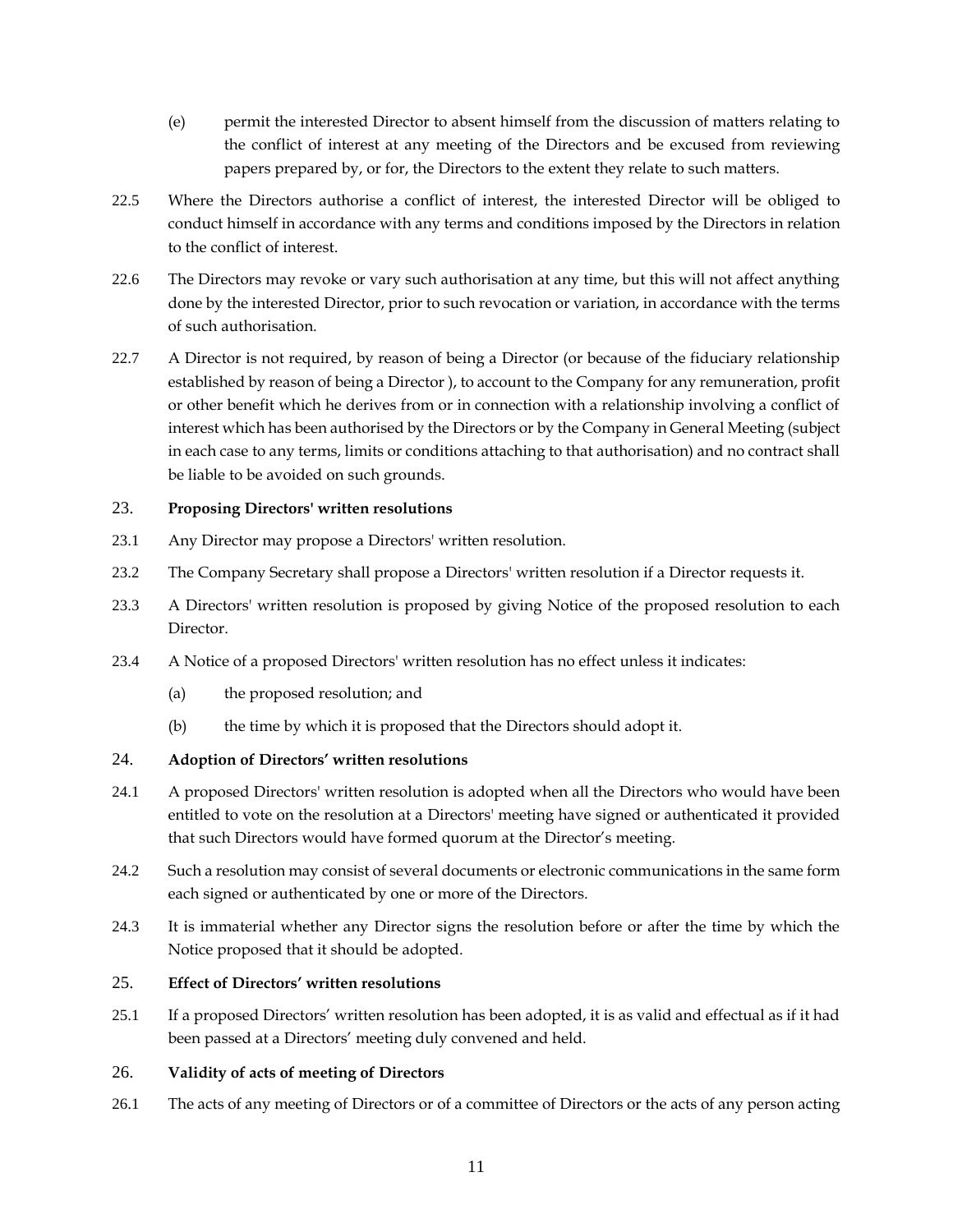- (e) permit the interested Director to absent himself from the discussion of matters relating to the conflict of interest at any meeting of the Directors and be excused from reviewing papers prepared by, or for, the Directors to the extent they relate to such matters.
- 22.5 Where the Directors authorise a conflict of interest, the interested Director will be obliged to conduct himself in accordance with any terms and conditions imposed by the Directors in relation to the conflict of interest.
- 22.6 The Directors may revoke or vary such authorisation at any time, but this will not affect anything done by the interested Director, prior to such revocation or variation, in accordance with the terms of such authorisation.
- 22.7 A Director is not required, by reason of being a Director (or because of the fiduciary relationship established by reason of being a Director ), to account to the Company for any remuneration, profit or other benefit which he derives from or in connection with a relationship involving a conflict of interest which has been authorised by the Directors or by the Company in General Meeting (subject in each case to any terms, limits or conditions attaching to that authorisation) and no contract shall be liable to be avoided on such grounds.

# <span id="page-16-0"></span>23. **Proposing Directors' written resolutions**

- 23.1 Any Director may propose a Directors' written resolution.
- 23.2 The Company Secretary shall propose a Directors' written resolution if a Director requests it.
- 23.3 A Directors' written resolution is proposed by giving Notice of the proposed resolution to each Director.
- 23.4 A Notice of a proposed Directors' written resolution has no effect unless it indicates:
	- (a) the proposed resolution; and
	- (b) the time by which it is proposed that the Directors should adopt it.

# <span id="page-16-1"></span>24. **Adoption of Directors' written resolutions**

- 24.1 A proposed Directors' written resolution is adopted when all the Directors who would have been entitled to vote on the resolution at a Directors' meeting have signed or authenticated it provided that such Directors would have formed quorum at the Director's meeting.
- 24.2 Such a resolution may consist of several documents or electronic communications in the same form each signed or authenticated by one or more of the Directors.
- 24.3 It is immaterial whether any Director signs the resolution before or after the time by which the Notice proposed that it should be adopted.

# <span id="page-16-2"></span>25. **Effect of Directors' written resolutions**

25.1 If a proposed Directors' written resolution has been adopted, it is as valid and effectual as if it had been passed at a Directors' meeting duly convened and held.

# <span id="page-16-3"></span>26. **Validity of acts of meeting of Directors**

26.1 The acts of any meeting of Directors or of a committee of Directors or the acts of any person acting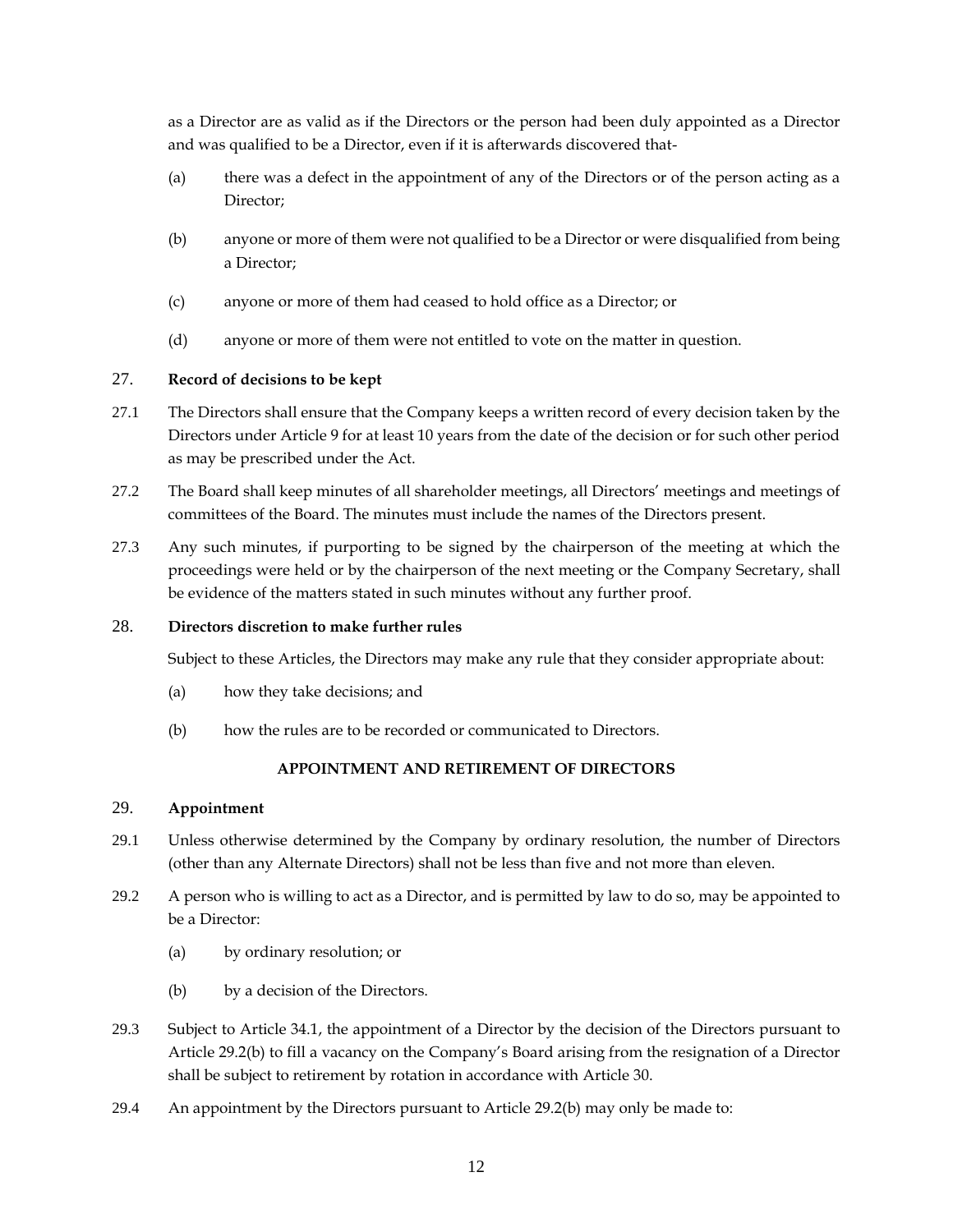as a Director are as valid as if the Directors or the person had been duly appointed as a Director and was qualified to be a Director, even if it is afterwards discovered that-

- (a) there was a defect in the appointment of any of the Directors or of the person acting as a Director;
- (b) anyone or more of them were not qualified to be a Director or were disqualified from being a Director;
- (c) anyone or more of them had ceased to hold office as a Director; or
- (d) anyone or more of them were not entitled to vote on the matter in question.

### <span id="page-17-0"></span>27. **Record of decisions to be kept**

- 27.1 The Directors shall ensure that the Company keeps a written record of every decision taken by the Directors under Article [9](#page-11-1) for at least 10 years from the date of the decision or for such other period as may be prescribed under the Act.
- 27.2 The Board shall keep minutes of all shareholder meetings, all Directors' meetings and meetings of committees of the Board. The minutes must include the names of the Directors present.
- 27.3 Any such minutes, if purporting to be signed by the chairperson of the meeting at which the proceedings were held or by the chairperson of the next meeting or the Company Secretary, shall be evidence of the matters stated in such minutes without any further proof.

### <span id="page-17-1"></span>28. **Directors discretion to make further rules**

Subject to these Articles, the Directors may make any rule that they consider appropriate about:

- (a) how they take decisions; and
- (b) how the rules are to be recorded or communicated to Directors.

# **APPOINTMENT AND RETIREMENT OF DIRECTORS**

### <span id="page-17-3"></span><span id="page-17-2"></span>29. **Appointment**

- 29.1 Unless otherwise determined by the Company by ordinary resolution, the number of Directors (other than any Alternate Directors) shall not be less than five and not more than eleven.
- <span id="page-17-4"></span>29.2 A person who is willing to act as a Director, and is permitted by law to do so, may be appointed to be a Director:
	- (a) by ordinary resolution; or
	- (b) by a decision of the Directors.
- 29.3 Subject to Article [34.1,](#page-20-2) the appointment of a Director by the decision of the Directors pursuant to Article [29.2\(b\)](#page-17-4) to fill a vacancy on the Company's Board arising from the resignation of a Director shall be subject to retirement by rotation in accordance with Article [30.](#page-18-0)
- <span id="page-17-5"></span>29.4 An appointment by the Directors pursuant to Article [29.2\(b\)](#page-17-4) may only be made to: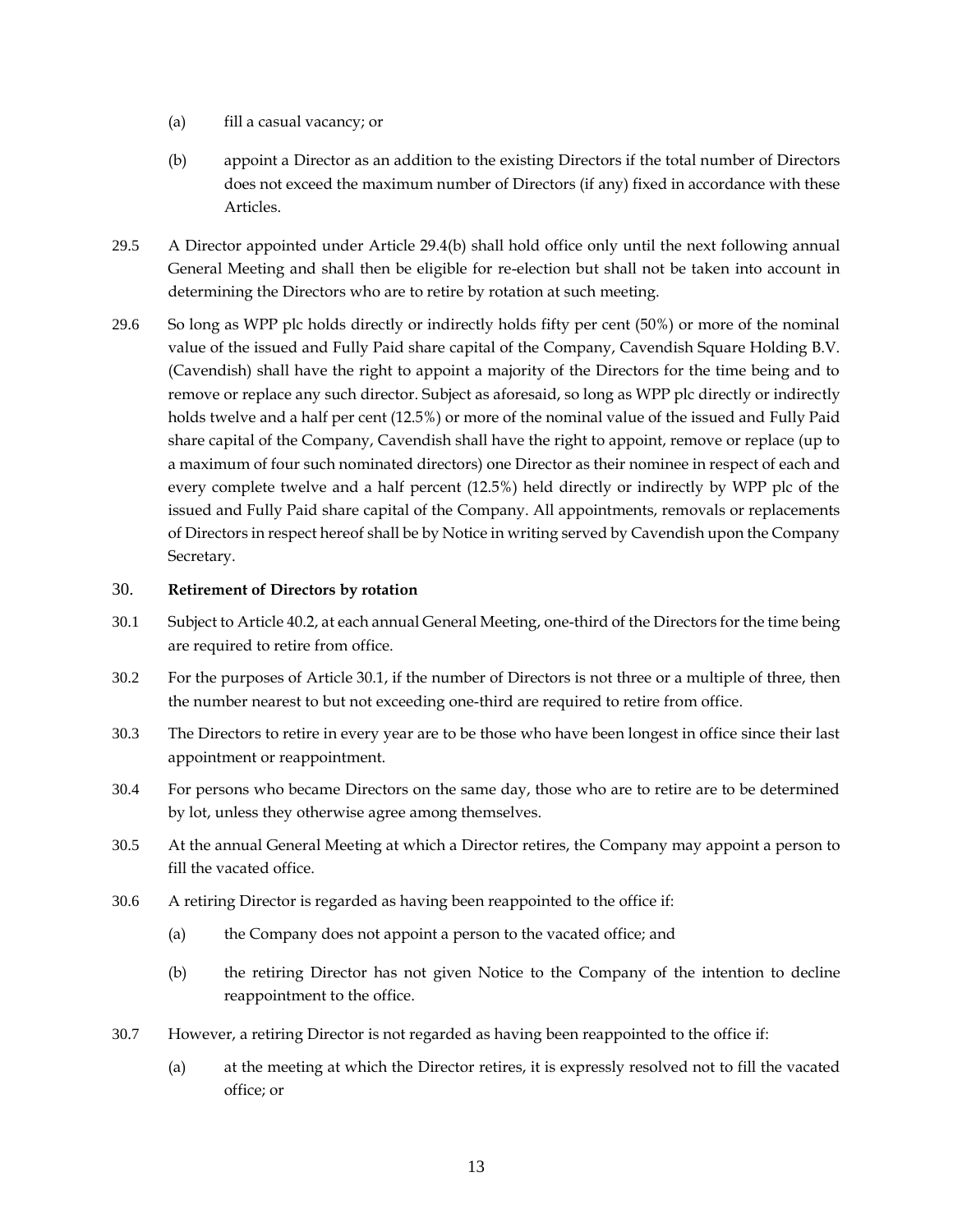- (a) fill a casual vacancy; or
- (b) appoint a Director as an addition to the existing Directors if the total number of Directors does not exceed the maximum number of Directors (if any) fixed in accordance with these Articles.
- 29.5 A Director appointed under Article [29.4\(b\)](#page-17-5) shall hold office only until the next following annual General Meeting and shall then be eligible for re-election but shall not be taken into account in determining the Directors who are to retire by rotation at such meeting.
- 29.6 So long as WPP plc holds directly or indirectly holds fifty per cent (50%) or more of the nominal value of the issued and Fully Paid share capital of the Company, Cavendish Square Holding B.V. (Cavendish) shall have the right to appoint a majority of the Directors for the time being and to remove or replace any such director. Subject as aforesaid, so long as WPP plc directly or indirectly holds twelve and a half per cent (12.5%) or more of the nominal value of the issued and Fully Paid share capital of the Company, Cavendish shall have the right to appoint, remove or replace (up to a maximum of four such nominated directors) one Director as their nominee in respect of each and every complete twelve and a half percent (12.5%) held directly or indirectly by WPP plc of the issued and Fully Paid share capital of the Company. All appointments, removals or replacements of Directors in respect hereof shall be by Notice in writing served by Cavendish upon the Company Secretary.

### <span id="page-18-0"></span>30. **Retirement of Directors by rotation**

- <span id="page-18-1"></span>30.1 Subject to Article [40.2,](#page-24-5) at each annual General Meeting, one-third of the Directors for the time being are required to retire from office.
- 30.2 For the purposes of Article [30.1,](#page-18-1) if the number of Directors is not three or a multiple of three, then the number nearest to but not exceeding one-third are required to retire from office.
- 30.3 The Directors to retire in every year are to be those who have been longest in office since their last appointment or reappointment.
- 30.4 For persons who became Directors on the same day, those who are to retire are to be determined by lot, unless they otherwise agree among themselves.
- 30.5 At the annual General Meeting at which a Director retires, the Company may appoint a person to fill the vacated office.
- 30.6 A retiring Director is regarded as having been reappointed to the office if:
	- (a) the Company does not appoint a person to the vacated office; and
	- (b) the retiring Director has not given Notice to the Company of the intention to decline reappointment to the office.
- 30.7 However, a retiring Director is not regarded as having been reappointed to the office if:
	- (a) at the meeting at which the Director retires, it is expressly resolved not to fill the vacated office; or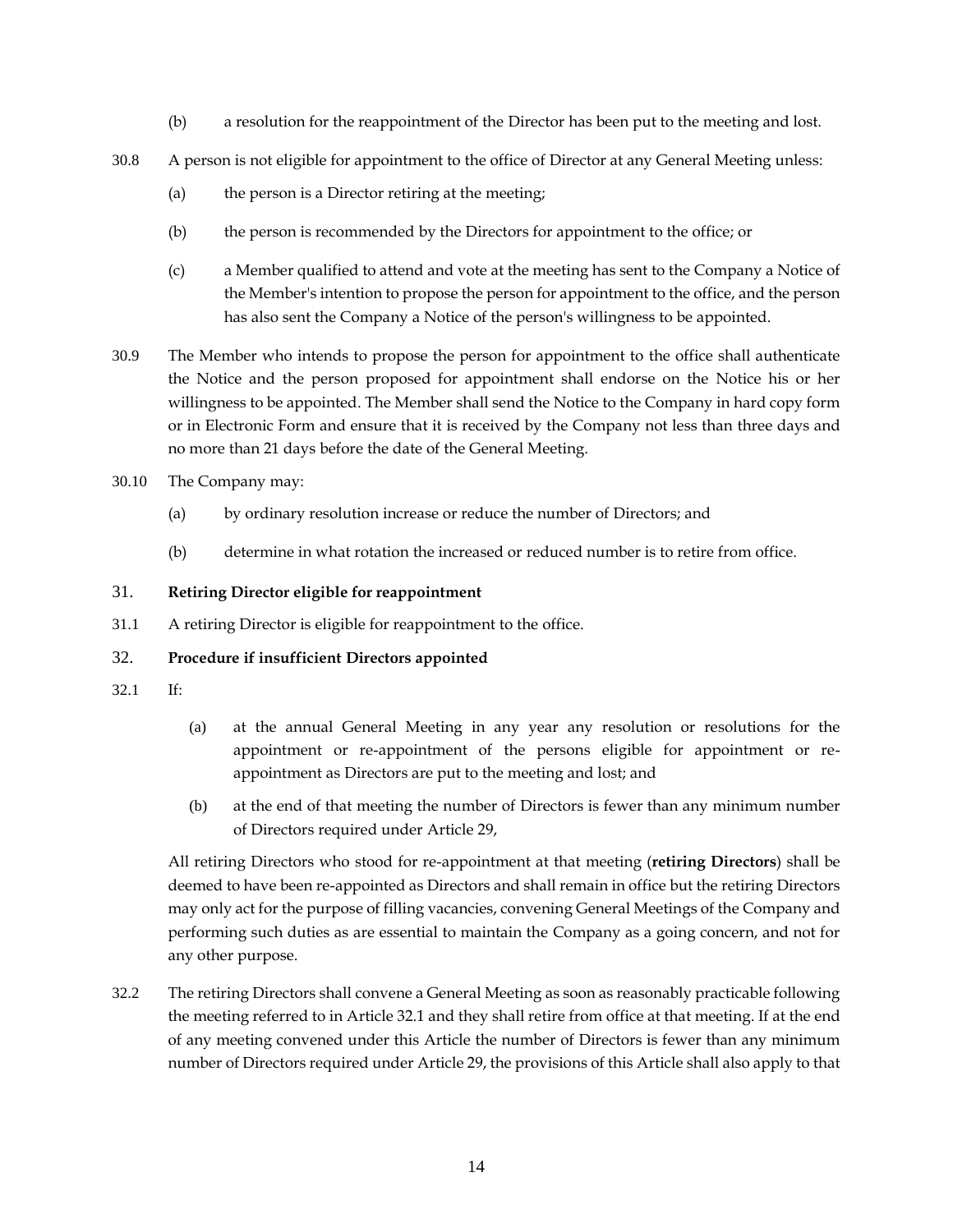- (b) a resolution for the reappointment of the Director has been put to the meeting and lost.
- 30.8 A person is not eligible for appointment to the office of Director at any General Meeting unless:
	- (a) the person is a Director retiring at the meeting;
	- (b) the person is recommended by the Directors for appointment to the office; or
	- (c) a Member qualified to attend and vote at the meeting has sent to the Company a Notice of the Member's intention to propose the person for appointment to the office, and the person has also sent the Company a Notice of the person's willingness to be appointed.
- 30.9 The Member who intends to propose the person for appointment to the office shall authenticate the Notice and the person proposed for appointment shall endorse on the Notice his or her willingness to be appointed. The Member shall send the Notice to the Company in hard copy form or in Electronic Form and ensure that it is received by the Company not less than three days and no more than 21 days before the date of the General Meeting.
- 30.10 The Company may:
	- (a) by ordinary resolution increase or reduce the number of Directors; and
	- (b) determine in what rotation the increased or reduced number is to retire from office.

# <span id="page-19-0"></span>31. **Retiring Director eligible for reappointment**

31.1 A retiring Director is eligible for reappointment to the office.

# <span id="page-19-1"></span>32. **Procedure if insufficient Directors appointed**

- <span id="page-19-2"></span>32.1 If:
- (a) at the annual General Meeting in any year any resolution or resolutions for the appointment or re-appointment of the persons eligible for appointment or reappointment as Directors are put to the meeting and lost; and
- (b) at the end of that meeting the number of Directors is fewer than any minimum number of Directors required under Article [29,](#page-17-3)

All retiring Directors who stood for re-appointment at that meeting (**retiring Directors**) shall be deemed to have been re-appointed as Directors and shall remain in office but the retiring Directors may only act for the purpose of filling vacancies, convening General Meetings of the Company and performing such duties as are essential to maintain the Company as a going concern, and not for any other purpose.

32.2 The retiring Directors shall convene a General Meeting as soon as reasonably practicable following the meeting referred to in Article [32.1](#page-19-2) and they shall retire from office at that meeting. If at the end of any meeting convened under this Article the number of Directors is fewer than any minimum number of Directors required under Article [29,](#page-17-3) the provisions of this Article shall also apply to that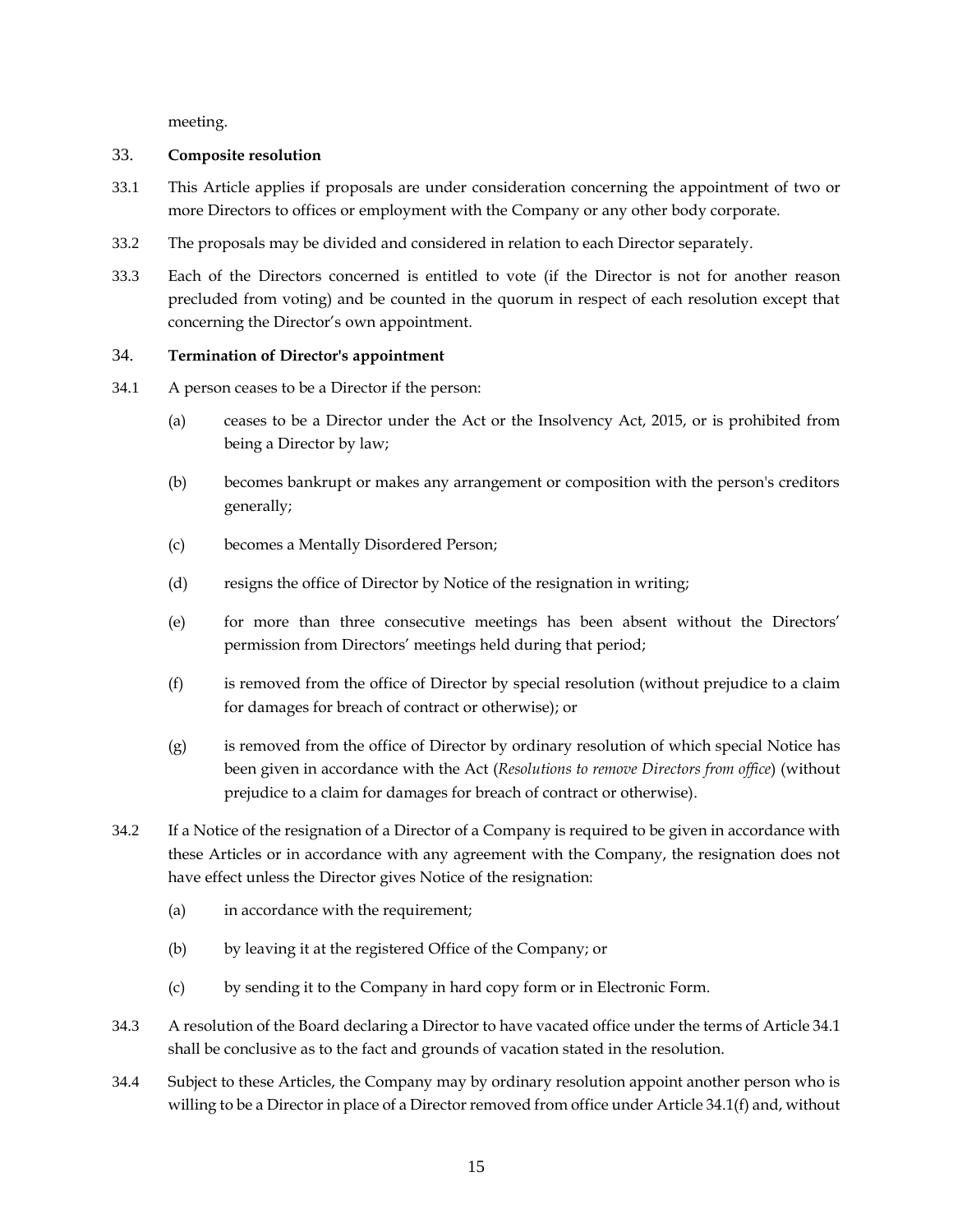meeting.

### <span id="page-20-0"></span>33. **Composite resolution**

- 33.1 This Article applies if proposals are under consideration concerning the appointment of two or more Directors to offices or employment with the Company or any other body corporate.
- 33.2 The proposals may be divided and considered in relation to each Director separately.
- 33.3 Each of the Directors concerned is entitled to vote (if the Director is not for another reason precluded from voting) and be counted in the quorum in respect of each resolution except that concerning the Director's own appointment.

# <span id="page-20-1"></span>34. **Termination of Director's appointment**

- <span id="page-20-2"></span>34.1 A person ceases to be a Director if the person:
	- (a) ceases to be a Director under the Act or the Insolvency Act, 2015, or is prohibited from being a Director by law;
	- (b) becomes bankrupt or makes any arrangement or composition with the person's creditors generally;
	- (c) becomes a Mentally Disordered Person;
	- (d) resigns the office of Director by Notice of the resignation in writing;
	- (e) for more than three consecutive meetings has been absent without the Directors' permission from Directors' meetings held during that period;
	- (f) is removed from the office of Director by special resolution (without prejudice to a claim for damages for breach of contract or otherwise); or
	- (g) is removed from the office of Director by ordinary resolution of which special Notice has been given in accordance with the Act (*Resolutions to remove Directors from office*) (without prejudice to a claim for damages for breach of contract or otherwise).
- 34.2 If a Notice of the resignation of a Director of a Company is required to be given in accordance with these Articles or in accordance with any agreement with the Company, the resignation does not have effect unless the Director gives Notice of the resignation:
	- (a) in accordance with the requirement;
	- (b) by leaving it at the registered Office of the Company; or
	- (c) by sending it to the Company in hard copy form or in Electronic Form.
- 34.3 A resolution of the Board declaring a Director to have vacated office under the terms of Article [34.1](#page-20-2) shall be conclusive as to the fact and grounds of vacation stated in the resolution.
- <span id="page-20-3"></span>34.4 Subject to these Articles, the Company may by ordinary resolution appoint another person who is willing to be a Director in place of a Director removed from office under Article [34.1\(f\)](#page-20-2) and, without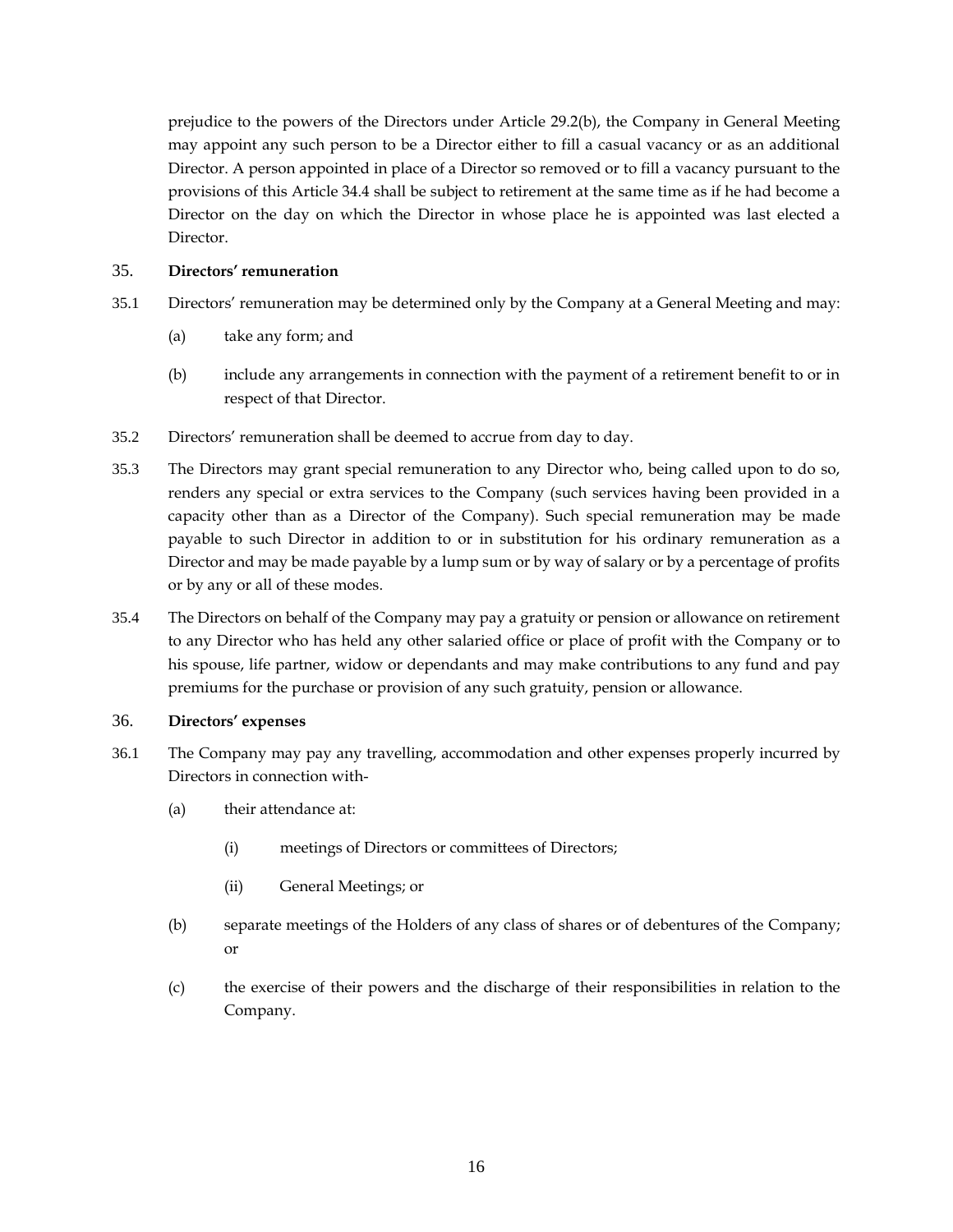prejudice to the powers of the Directors under Article [29.2\(](#page-17-4)b), the Company in General Meeting may appoint any such person to be a Director either to fill a casual vacancy or as an additional Director. A person appointed in place of a Director so removed or to fill a vacancy pursuant to the provisions of this Article [34.4](#page-20-3) shall be subject to retirement at the same time as if he had become a Director on the day on which the Director in whose place he is appointed was last elected a Director.

### <span id="page-21-0"></span>35. **Directors' remuneration**

- 35.1 Directors' remuneration may be determined only by the Company at a General Meeting and may:
	- (a) take any form; and
	- (b) include any arrangements in connection with the payment of a retirement benefit to or in respect of that Director.
- 35.2 Directors' remuneration shall be deemed to accrue from day to day.
- 35.3 The Directors may grant special remuneration to any Director who, being called upon to do so, renders any special or extra services to the Company (such services having been provided in a capacity other than as a Director of the Company). Such special remuneration may be made payable to such Director in addition to or in substitution for his ordinary remuneration as a Director and may be made payable by a lump sum or by way of salary or by a percentage of profits or by any or all of these modes.
- 35.4 The Directors on behalf of the Company may pay a gratuity or pension or allowance on retirement to any Director who has held any other salaried office or place of profit with the Company or to his spouse, life partner, widow or dependants and may make contributions to any fund and pay premiums for the purchase or provision of any such gratuity, pension or allowance.

# <span id="page-21-1"></span>36. **Directors' expenses**

- 36.1 The Company may pay any travelling, accommodation and other expenses properly incurred by Directors in connection with-
	- (a) their attendance at:
		- (i) meetings of Directors or committees of Directors;
		- (ii) General Meetings; or
	- (b) separate meetings of the Holders of any class of shares or of debentures of the Company; or
	- (c) the exercise of their powers and the discharge of their responsibilities in relation to the Company.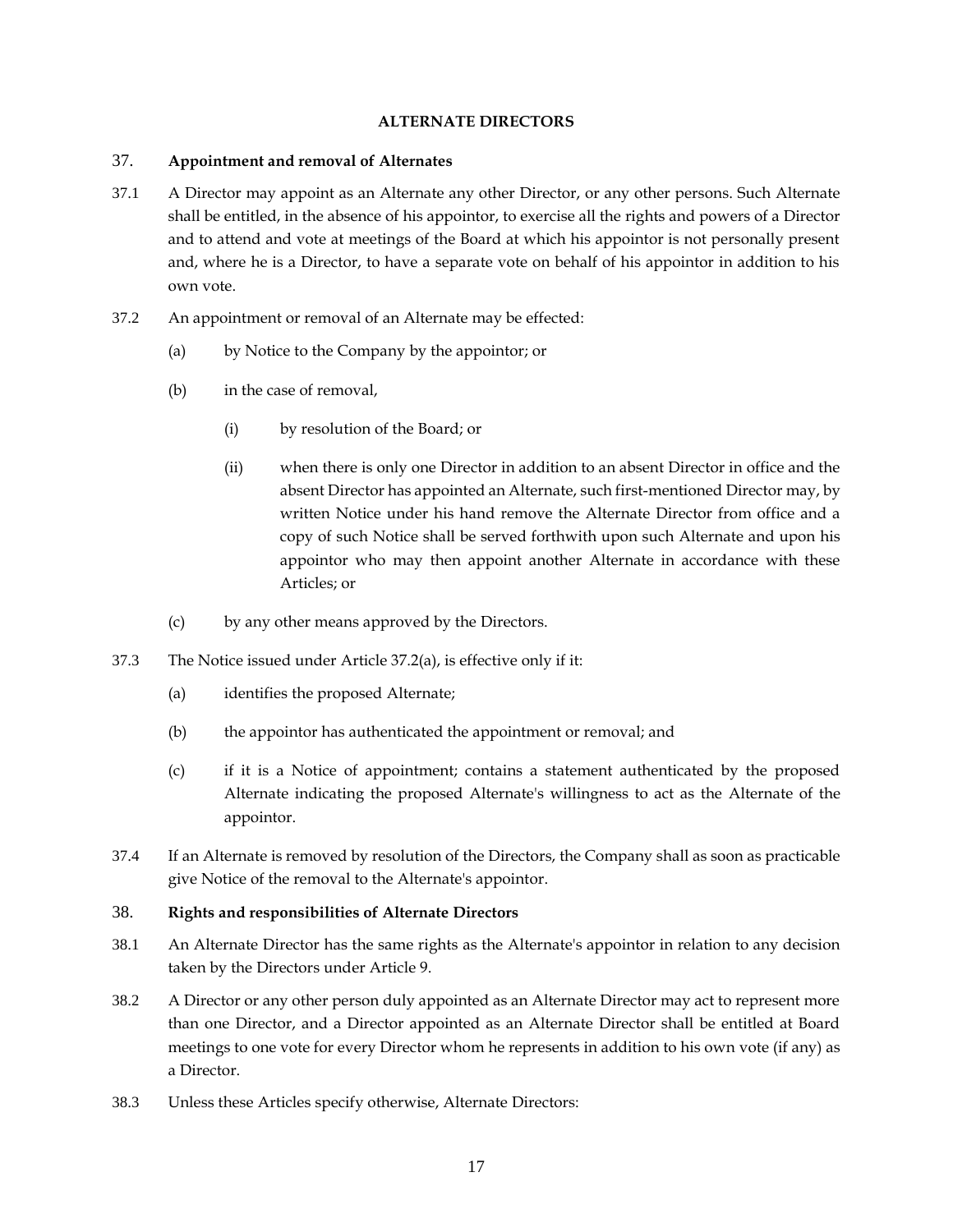#### **ALTERNATE DIRECTORS**

#### <span id="page-22-1"></span><span id="page-22-0"></span>37. **Appointment and removal of Alternates**

- 37.1 A Director may appoint as an Alternate any other Director, or any other persons. Such Alternate shall be entitled, in the absence of his appointor, to exercise all the rights and powers of a Director and to attend and vote at meetings of the Board at which his appointor is not personally present and, where he is a Director, to have a separate vote on behalf of his appointor in addition to his own vote.
- <span id="page-22-3"></span>37.2 An appointment or removal of an Alternate may be effected:
	- (a) by Notice to the Company by the appointor; or
	- (b) in the case of removal,
		- (i) by resolution of the Board; or
		- (ii) when there is only one Director in addition to an absent Director in office and the absent Director has appointed an Alternate, such first-mentioned Director may, by written Notice under his hand remove the Alternate Director from office and a copy of such Notice shall be served forthwith upon such Alternate and upon his appointor who may then appoint another Alternate in accordance with these Articles; or
	- (c) by any other means approved by the Directors.
- 37.3 The Notice issued under Article [37.2\(](#page-22-3)a), is effective only if it:
	- (a) identifies the proposed Alternate;
	- (b) the appointor has authenticated the appointment or removal; and
	- (c) if it is a Notice of appointment; contains a statement authenticated by the proposed Alternate indicating the proposed Alternate's willingness to act as the Alternate of the appointor.
- 37.4 If an Alternate is removed by resolution of the Directors, the Company shall as soon as practicable give Notice of the removal to the Alternate's appointor.

#### <span id="page-22-2"></span>38. **Rights and responsibilities of Alternate Directors**

- 38.1 An Alternate Director has the same rights as the Alternate's appointor in relation to any decision taken by the Directors under Article 9.
- 38.2 A Director or any other person duly appointed as an Alternate Director may act to represent more than one Director, and a Director appointed as an Alternate Director shall be entitled at Board meetings to one vote for every Director whom he represents in addition to his own vote (if any) as a Director.
- 38.3 Unless these Articles specify otherwise, Alternate Directors: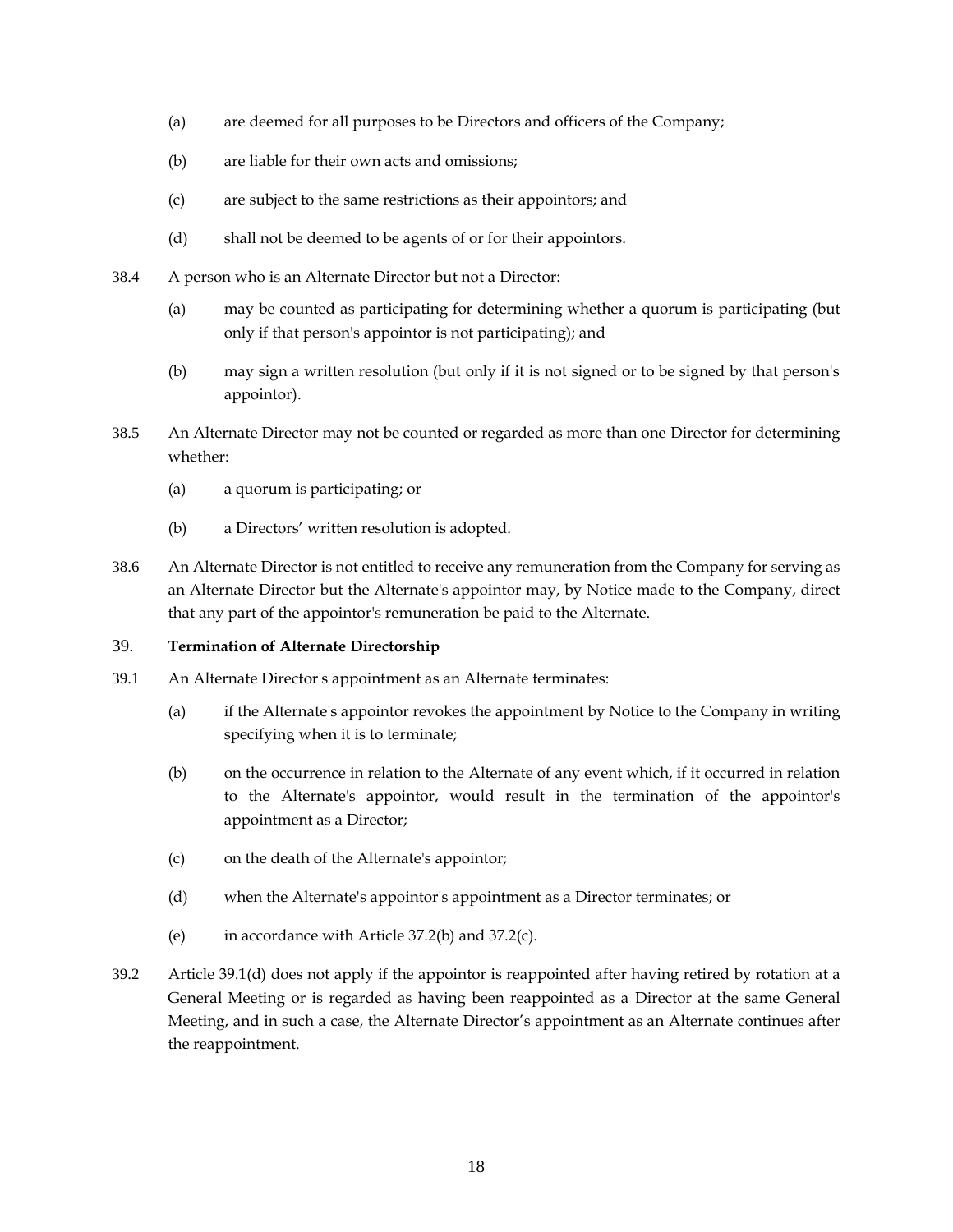- (a) are deemed for all purposes to be Directors and officers of the Company;
- (b) are liable for their own acts and omissions;
- (c) are subject to the same restrictions as their appointors; and
- (d) shall not be deemed to be agents of or for their appointors.
- 38.4 A person who is an Alternate Director but not a Director:
	- (a) may be counted as participating for determining whether a quorum is participating (but only if that person's appointor is not participating); and
	- (b) may sign a written resolution (but only if it is not signed or to be signed by that person's appointor).
- 38.5 An Alternate Director may not be counted or regarded as more than one Director for determining whether:
	- (a) a quorum is participating; or
	- (b) a Directors' written resolution is adopted.
- 38.6 An Alternate Director is not entitled to receive any remuneration from the Company for serving as an Alternate Director but the Alternate's appointor may, by Notice made to the Company, direct that any part of the appointor's remuneration be paid to the Alternate.

#### <span id="page-23-0"></span>39. **Termination of Alternate Directorship**

- <span id="page-23-1"></span>39.1 An Alternate Director's appointment as an Alternate terminates:
	- (a) if the Alternate's appointor revokes the appointment by Notice to the Company in writing specifying when it is to terminate;
	- (b) on the occurrence in relation to the Alternate of any event which, if it occurred in relation to the Alternate's appointor, would result in the termination of the appointor's appointment as a Director;
	- (c) on the death of the Alternate's appointor;
	- (d) when the Alternate's appointor's appointment as a Director terminates; or
	- (e) in accordance with Article [37.2\(b\)](#page-22-3) and [37.2\(c\).](#page-22-3)
- 39.2 Article [39.1\(d\)](#page-23-1) does not apply if the appointor is reappointed after having retired by rotation at a General Meeting or is regarded as having been reappointed as a Director at the same General Meeting, and in such a case, the Alternate Director's appointment as an Alternate continues after the reappointment.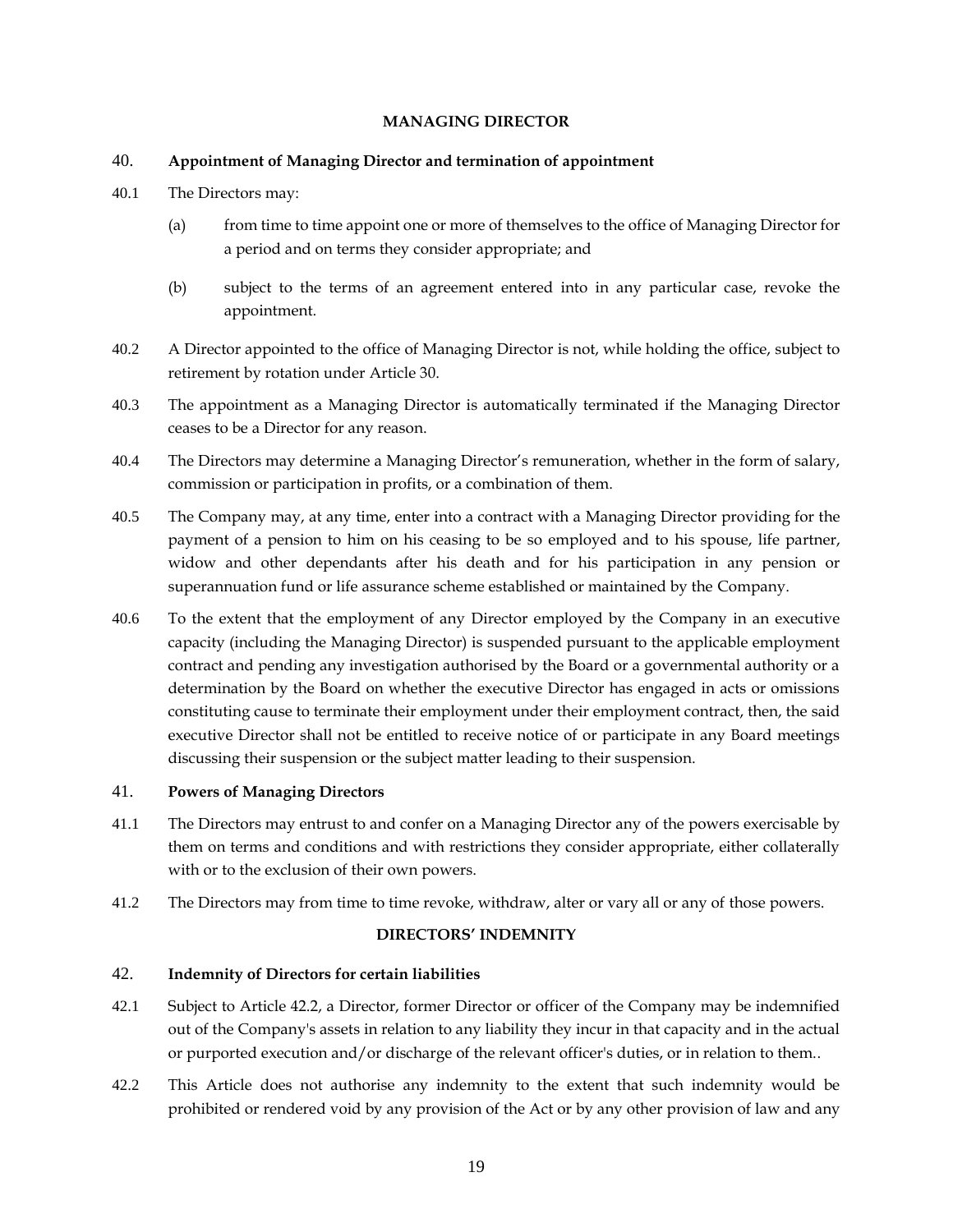#### **MANAGING DIRECTOR**

#### <span id="page-24-1"></span><span id="page-24-0"></span>40. **Appointment of Managing Director and termination of appointment**

- 40.1 The Directors may:
	- (a) from time to time appoint one or more of themselves to the office of Managing Director for a period and on terms they consider appropriate; and
	- (b) subject to the terms of an agreement entered into in any particular case, revoke the appointment.
- <span id="page-24-5"></span>40.2 A Director appointed to the office of Managing Director is not, while holding the office, subject to retirement by rotation under Article 30.
- 40.3 The appointment as a Managing Director is automatically terminated if the Managing Director ceases to be a Director for any reason.
- 40.4 The Directors may determine a Managing Director's remuneration, whether in the form of salary, commission or participation in profits, or a combination of them.
- 40.5 The Company may, at any time, enter into a contract with a Managing Director providing for the payment of a pension to him on his ceasing to be so employed and to his spouse, life partner, widow and other dependants after his death and for his participation in any pension or superannuation fund or life assurance scheme established or maintained by the Company.
- 40.6 To the extent that the employment of any Director employed by the Company in an executive capacity (including the Managing Director) is suspended pursuant to the applicable employment contract and pending any investigation authorised by the Board or a governmental authority or a determination by the Board on whether the executive Director has engaged in acts or omissions constituting cause to terminate their employment under their employment contract, then, the said executive Director shall not be entitled to receive notice of or participate in any Board meetings discussing their suspension or the subject matter leading to their suspension.

#### <span id="page-24-2"></span>41. **Powers of Managing Directors**

- 41.1 The Directors may entrust to and confer on a Managing Director any of the powers exercisable by them on terms and conditions and with restrictions they consider appropriate, either collaterally with or to the exclusion of their own powers.
- <span id="page-24-3"></span>41.2 The Directors may from time to time revoke, withdraw, alter or vary all or any of those powers.

#### **DIRECTORS' INDEMNITY**

### <span id="page-24-4"></span>42. **Indemnity of Directors for certain liabilities**

- 42.1 Subject to Article [42.2,](#page-24-6) a Director, former Director or officer of the Company may be indemnified out of the Company's assets in relation to any liability they incur in that capacity and in the actual or purported execution and/or discharge of the relevant officer's duties, or in relation to them..
- <span id="page-24-6"></span>42.2 This Article does not authorise any indemnity to the extent that such indemnity would be prohibited or rendered void by any provision of the Act or by any other provision of law and any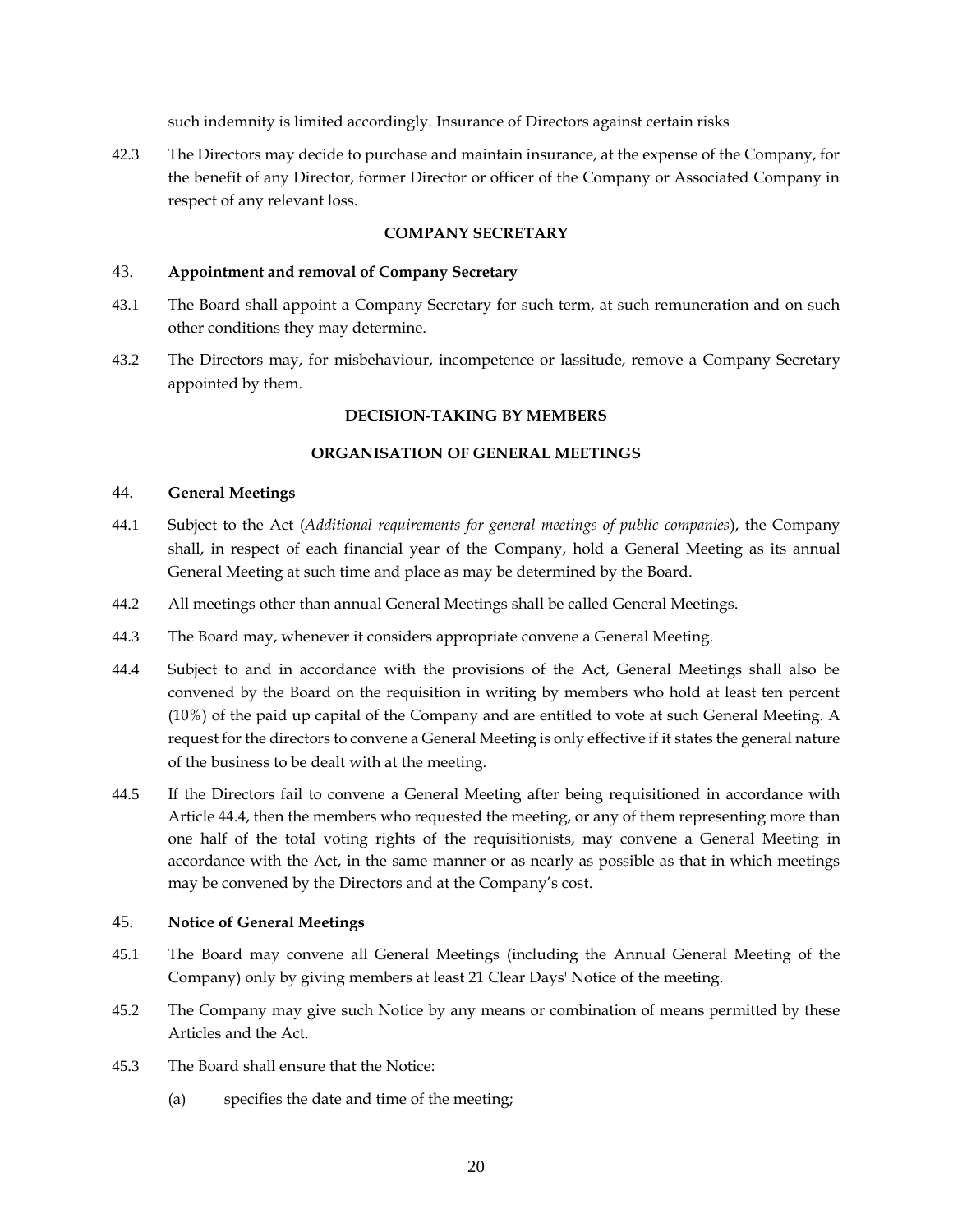such indemnity is limited accordingly. Insurance of Directors against certain risks

42.3 The Directors may decide to purchase and maintain insurance, at the expense of the Company, for the benefit of any Director, former Director or officer of the Company or Associated Company in respect of any relevant loss.

# **COMPANY SECRETARY**

### <span id="page-25-1"></span><span id="page-25-0"></span>43. **Appointment and removal of Company Secretary**

- 43.1 The Board shall appoint a Company Secretary for such term, at such remuneration and on such other conditions they may determine.
- <span id="page-25-2"></span>43.2 The Directors may, for misbehaviour, incompetence or lassitude, remove a Company Secretary appointed by them.

# **DECISION-TAKING BY MEMBERS**

# **ORGANISATION OF GENERAL MEETINGS**

### <span id="page-25-4"></span><span id="page-25-3"></span>44. **General Meetings**

- 44.1 Subject to the Act (*Additional requirements for general meetings of public companies*), the Company shall, in respect of each financial year of the Company, hold a General Meeting as its annual General Meeting at such time and place as may be determined by the Board.
- 44.2 All meetings other than annual General Meetings shall be called General Meetings.
- 44.3 The Board may, whenever it considers appropriate convene a General Meeting.
- <span id="page-25-6"></span>44.4 Subject to and in accordance with the provisions of the Act, General Meetings shall also be convened by the Board on the requisition in writing by members who hold at least ten percent (10%) of the paid up capital of the Company and are entitled to vote at such General Meeting. A request for the directors to convene a General Meeting is only effective if it states the general nature of the business to be dealt with at the meeting.
- 44.5 If the Directors fail to convene a General Meeting after being requisitioned in accordance with Article [44.4,](#page-25-6) then the members who requested the meeting, or any of them representing more than one half of the total voting rights of the requisitionists, may convene a General Meeting in accordance with the Act, in the same manner or as nearly as possible as that in which meetings may be convened by the Directors and at the Company's cost.

#### <span id="page-25-5"></span>45. **Notice of General Meetings**

- 45.1 The Board may convene all General Meetings (including the Annual General Meeting of the Company) only by giving members at least 21 Clear Days' Notice of the meeting.
- 45.2 The Company may give such Notice by any means or combination of means permitted by these Articles and the Act.
- 45.3 The Board shall ensure that the Notice:
	- (a) specifies the date and time of the meeting;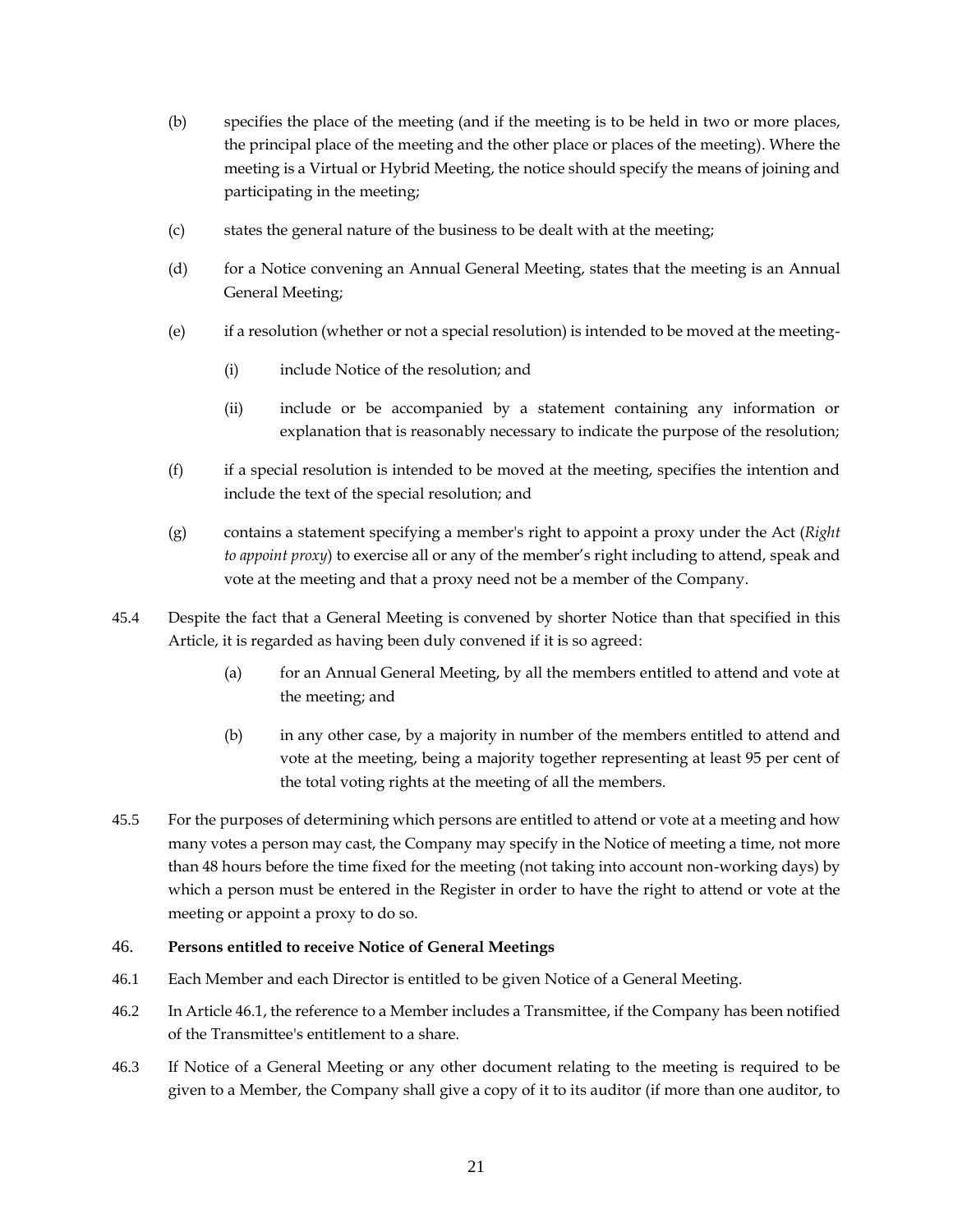- (b) specifies the place of the meeting (and if the meeting is to be held in two or more places, the principal place of the meeting and the other place or places of the meeting). Where the meeting is a Virtual or Hybrid Meeting, the notice should specify the means of joining and participating in the meeting;
- (c) states the general nature of the business to be dealt with at the meeting;
- (d) for a Notice convening an Annual General Meeting, states that the meeting is an Annual General Meeting;
- (e) if a resolution (whether or not a special resolution) is intended to be moved at the meeting-
	- (i) include Notice of the resolution; and
	- (ii) include or be accompanied by a statement containing any information or explanation that is reasonably necessary to indicate the purpose of the resolution;
- (f) if a special resolution is intended to be moved at the meeting, specifies the intention and include the text of the special resolution; and
- (g) contains a statement specifying a member's right to appoint a proxy under the Act (*Right to appoint proxy*) to exercise all or any of the member's right including to attend, speak and vote at the meeting and that a proxy need not be a member of the Company.
- 45.4 Despite the fact that a General Meeting is convened by shorter Notice than that specified in this Article, it is regarded as having been duly convened if it is so agreed:
	- (a) for an Annual General Meeting, by all the members entitled to attend and vote at the meeting; and
	- (b) in any other case, by a majority in number of the members entitled to attend and vote at the meeting, being a majority together representing at least 95 per cent of the total voting rights at the meeting of all the members.
- 45.5 For the purposes of determining which persons are entitled to attend or vote at a meeting and how many votes a person may cast, the Company may specify in the Notice of meeting a time, not more than 48 hours before the time fixed for the meeting (not taking into account non-working days) by which a person must be entered in the Register in order to have the right to attend or vote at the meeting or appoint a proxy to do so.

#### <span id="page-26-0"></span>46. **Persons entitled to receive Notice of General Meetings**

- <span id="page-26-1"></span>46.1 Each Member and each Director is entitled to be given Notice of a General Meeting.
- 46.2 In Article [46.1,](#page-26-1) the reference to a Member includes a Transmittee, if the Company has been notified of the Transmittee's entitlement to a share.
- 46.3 If Notice of a General Meeting or any other document relating to the meeting is required to be given to a Member, the Company shall give a copy of it to its auditor (if more than one auditor, to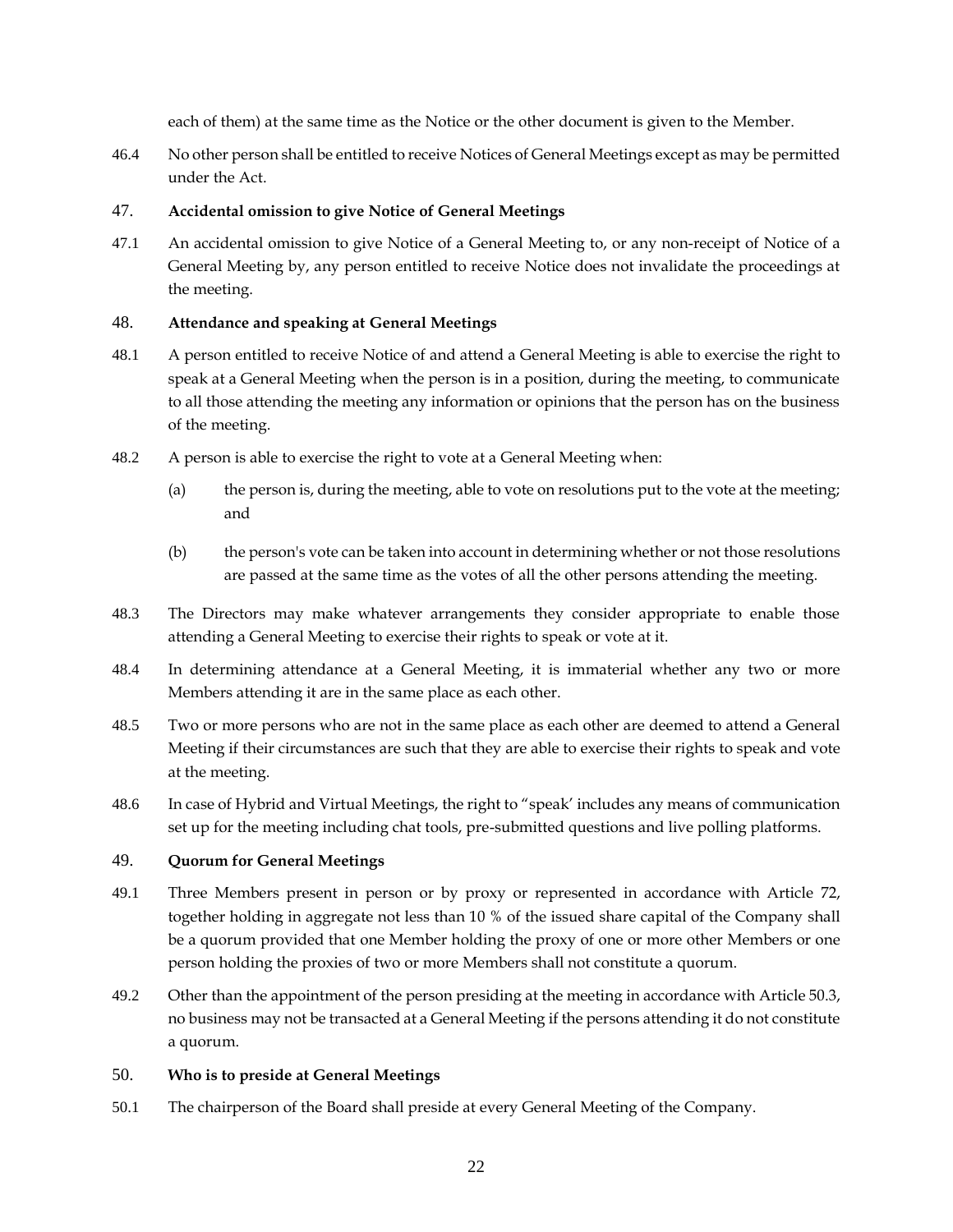each of them) at the same time as the Notice or the other document is given to the Member.

46.4 No other person shall be entitled to receive Notices of General Meetings except as may be permitted under the Act.

# <span id="page-27-0"></span>47. **Accidental omission to give Notice of General Meetings**

47.1 An accidental omission to give Notice of a General Meeting to, or any non-receipt of Notice of a General Meeting by, any person entitled to receive Notice does not invalidate the proceedings at the meeting.

# <span id="page-27-1"></span>48. **Attendance and speaking at General Meetings**

- 48.1 A person entitled to receive Notice of and attend a General Meeting is able to exercise the right to speak at a General Meeting when the person is in a position, during the meeting, to communicate to all those attending the meeting any information or opinions that the person has on the business of the meeting.
- 48.2 A person is able to exercise the right to vote at a General Meeting when:
	- (a) the person is, during the meeting, able to vote on resolutions put to the vote at the meeting; and
	- (b) the person's vote can be taken into account in determining whether or not those resolutions are passed at the same time as the votes of all the other persons attending the meeting.
- 48.3 The Directors may make whatever arrangements they consider appropriate to enable those attending a General Meeting to exercise their rights to speak or vote at it.
- 48.4 In determining attendance at a General Meeting, it is immaterial whether any two or more Members attending it are in the same place as each other.
- 48.5 Two or more persons who are not in the same place as each other are deemed to attend a General Meeting if their circumstances are such that they are able to exercise their rights to speak and vote at the meeting.
- 48.6 In case of Hybrid and Virtual Meetings, the right to "speak' includes any means of communication set up for the meeting including chat tools, pre-submitted questions and live polling platforms.

# <span id="page-27-2"></span>49. **Quorum for General Meetings**

- 49.1 Three Members present in person or by proxy or represented in accordance with Article [72,](#page-38-1) together holding in aggregate not less than 10 % of the issued share capital of the Company shall be a quorum provided that one Member holding the proxy of one or more other Members or one person holding the proxies of two or more Members shall not constitute a quorum.
- 49.2 Other than the appointment of the person presiding at the meeting in accordance with Article [50.3,](#page-28-2) no business may not be transacted at a General Meeting if the persons attending it do not constitute a quorum.

# <span id="page-27-3"></span>50. **Who is to preside at General Meetings**

50.1 The chairperson of the Board shall preside at every General Meeting of the Company.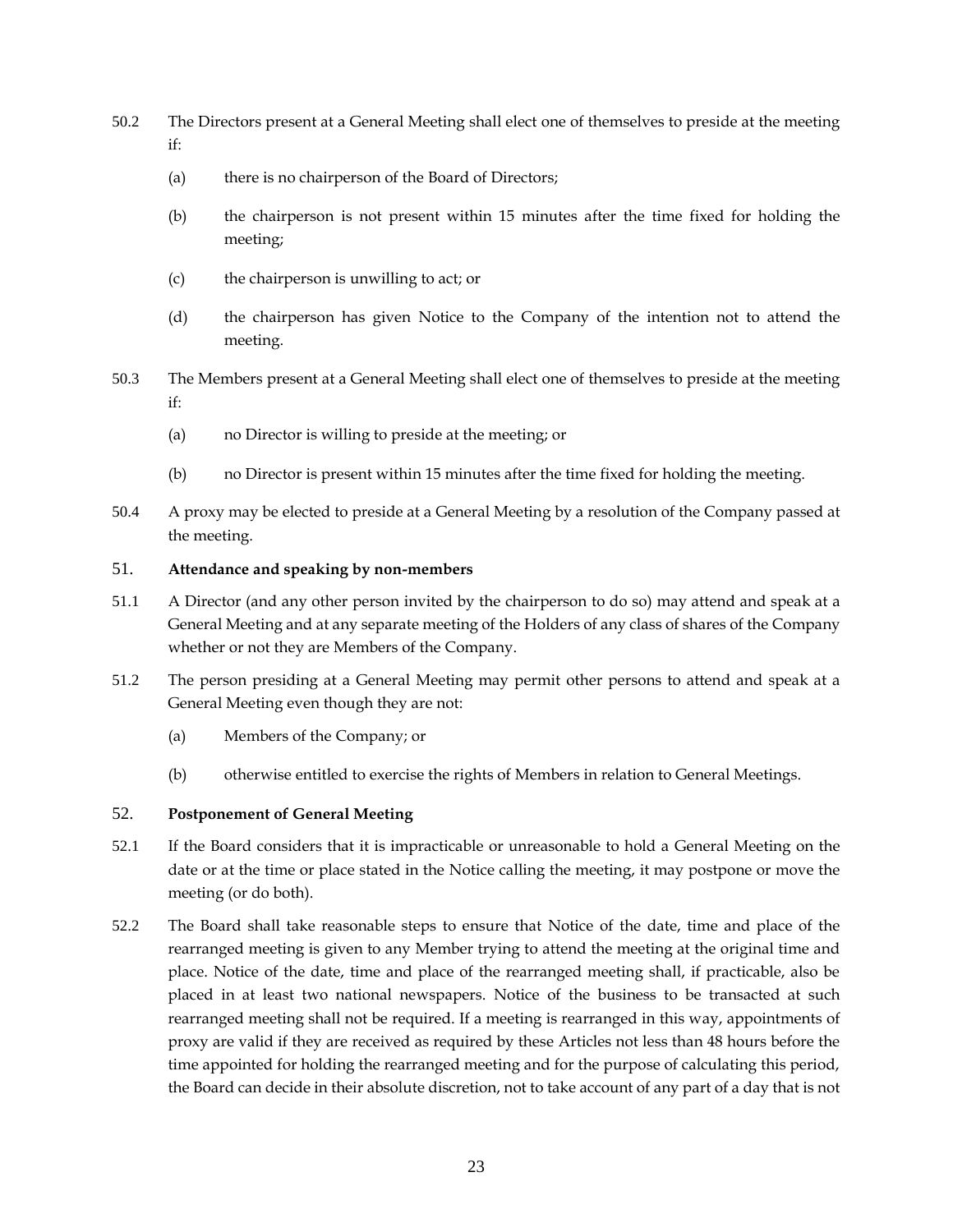- 50.2 The Directors present at a General Meeting shall elect one of themselves to preside at the meeting if:
	- (a) there is no chairperson of the Board of Directors;
	- (b) the chairperson is not present within 15 minutes after the time fixed for holding the meeting;
	- (c) the chairperson is unwilling to act; or
	- (d) the chairperson has given Notice to the Company of the intention not to attend the meeting.
- <span id="page-28-2"></span>50.3 The Members present at a General Meeting shall elect one of themselves to preside at the meeting if:
	- (a) no Director is willing to preside at the meeting; or
	- (b) no Director is present within 15 minutes after the time fixed for holding the meeting.
- 50.4 A proxy may be elected to preside at a General Meeting by a resolution of the Company passed at the meeting.

#### <span id="page-28-0"></span>51. **Attendance and speaking by non-members**

- 51.1 A Director (and any other person invited by the chairperson to do so) may attend and speak at a General Meeting and at any separate meeting of the Holders of any class of shares of the Company whether or not they are Members of the Company.
- 51.2 The person presiding at a General Meeting may permit other persons to attend and speak at a General Meeting even though they are not:
	- (a) Members of the Company; or
	- (b) otherwise entitled to exercise the rights of Members in relation to General Meetings.

#### <span id="page-28-1"></span>52. **Postponement of General Meeting**

- 52.1 If the Board considers that it is impracticable or unreasonable to hold a General Meeting on the date or at the time or place stated in the Notice calling the meeting, it may postpone or move the meeting (or do both).
- 52.2 The Board shall take reasonable steps to ensure that Notice of the date, time and place of the rearranged meeting is given to any Member trying to attend the meeting at the original time and place. Notice of the date, time and place of the rearranged meeting shall, if practicable, also be placed in at least two national newspapers. Notice of the business to be transacted at such rearranged meeting shall not be required. If a meeting is rearranged in this way, appointments of proxy are valid if they are received as required by these Articles not less than 48 hours before the time appointed for holding the rearranged meeting and for the purpose of calculating this period, the Board can decide in their absolute discretion, not to take account of any part of a day that is not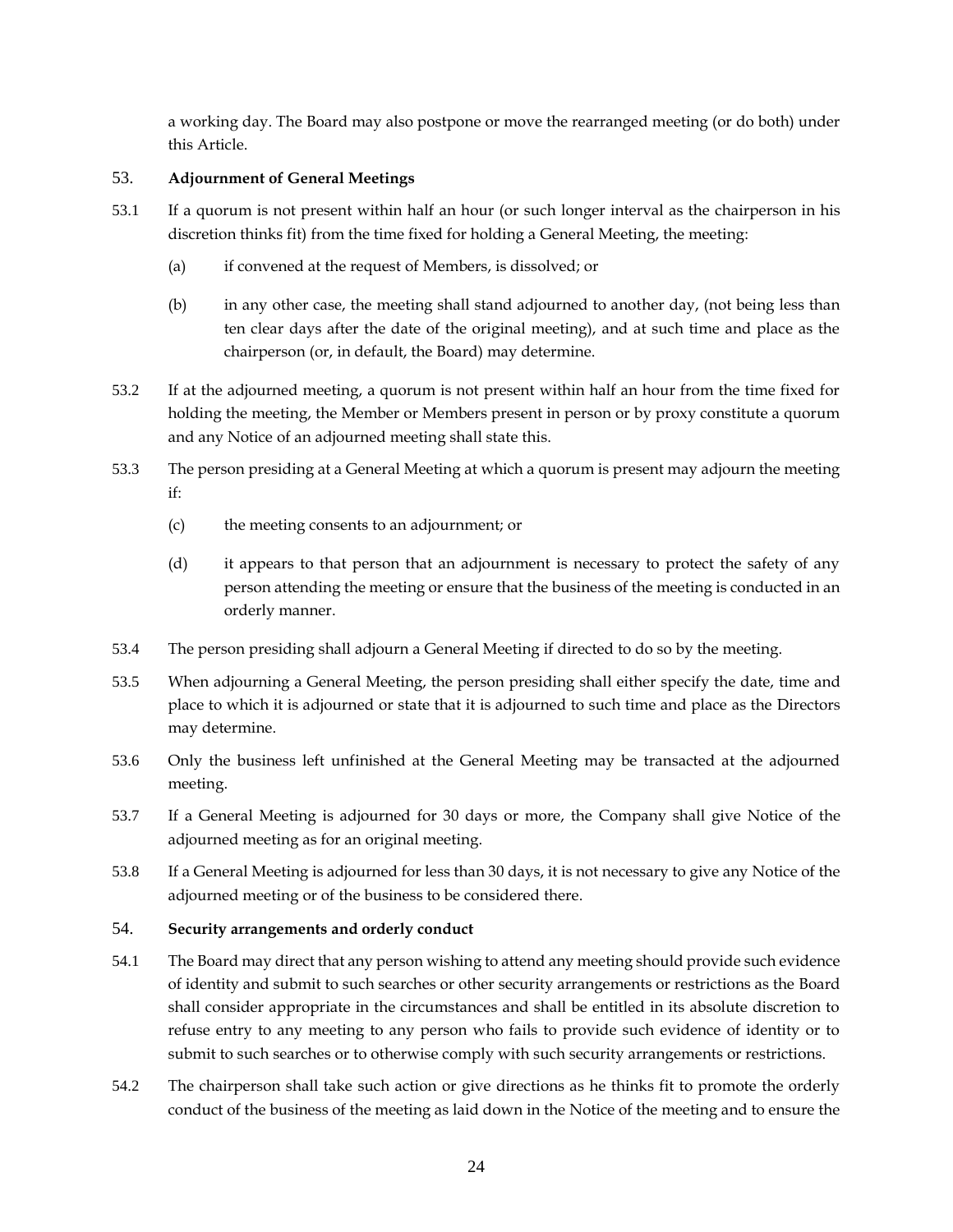a working day. The Board may also postpone or move the rearranged meeting (or do both) under this Article.

# <span id="page-29-0"></span>53. **Adjournment of General Meetings**

- 53.1 If a quorum is not present within half an hour (or such longer interval as the chairperson in his discretion thinks fit) from the time fixed for holding a General Meeting, the meeting:
	- (a) if convened at the request of Members, is dissolved; or
	- (b) in any other case, the meeting shall stand adjourned to another day, (not being less than ten clear days after the date of the original meeting), and at such time and place as the chairperson (or, in default, the Board) may determine.
- 53.2 If at the adjourned meeting, a quorum is not present within half an hour from the time fixed for holding the meeting, the Member or Members present in person or by proxy constitute a quorum and any Notice of an adjourned meeting shall state this.
- 53.3 The person presiding at a General Meeting at which a quorum is present may adjourn the meeting if:
	- (c) the meeting consents to an adjournment; or
	- (d) it appears to that person that an adjournment is necessary to protect the safety of any person attending the meeting or ensure that the business of the meeting is conducted in an orderly manner.
- 53.4 The person presiding shall adjourn a General Meeting if directed to do so by the meeting.
- 53.5 When adjourning a General Meeting, the person presiding shall either specify the date, time and place to which it is adjourned or state that it is adjourned to such time and place as the Directors may determine.
- 53.6 Only the business left unfinished at the General Meeting may be transacted at the adjourned meeting.
- 53.7 If a General Meeting is adjourned for 30 days or more, the Company shall give Notice of the adjourned meeting as for an original meeting.
- 53.8 If a General Meeting is adjourned for less than 30 days, it is not necessary to give any Notice of the adjourned meeting or of the business to be considered there.

# <span id="page-29-1"></span>54. **Security arrangements and orderly conduct**

- 54.1 The Board may direct that any person wishing to attend any meeting should provide such evidence of identity and submit to such searches or other security arrangements or restrictions as the Board shall consider appropriate in the circumstances and shall be entitled in its absolute discretion to refuse entry to any meeting to any person who fails to provide such evidence of identity or to submit to such searches or to otherwise comply with such security arrangements or restrictions.
- 54.2 The chairperson shall take such action or give directions as he thinks fit to promote the orderly conduct of the business of the meeting as laid down in the Notice of the meeting and to ensure the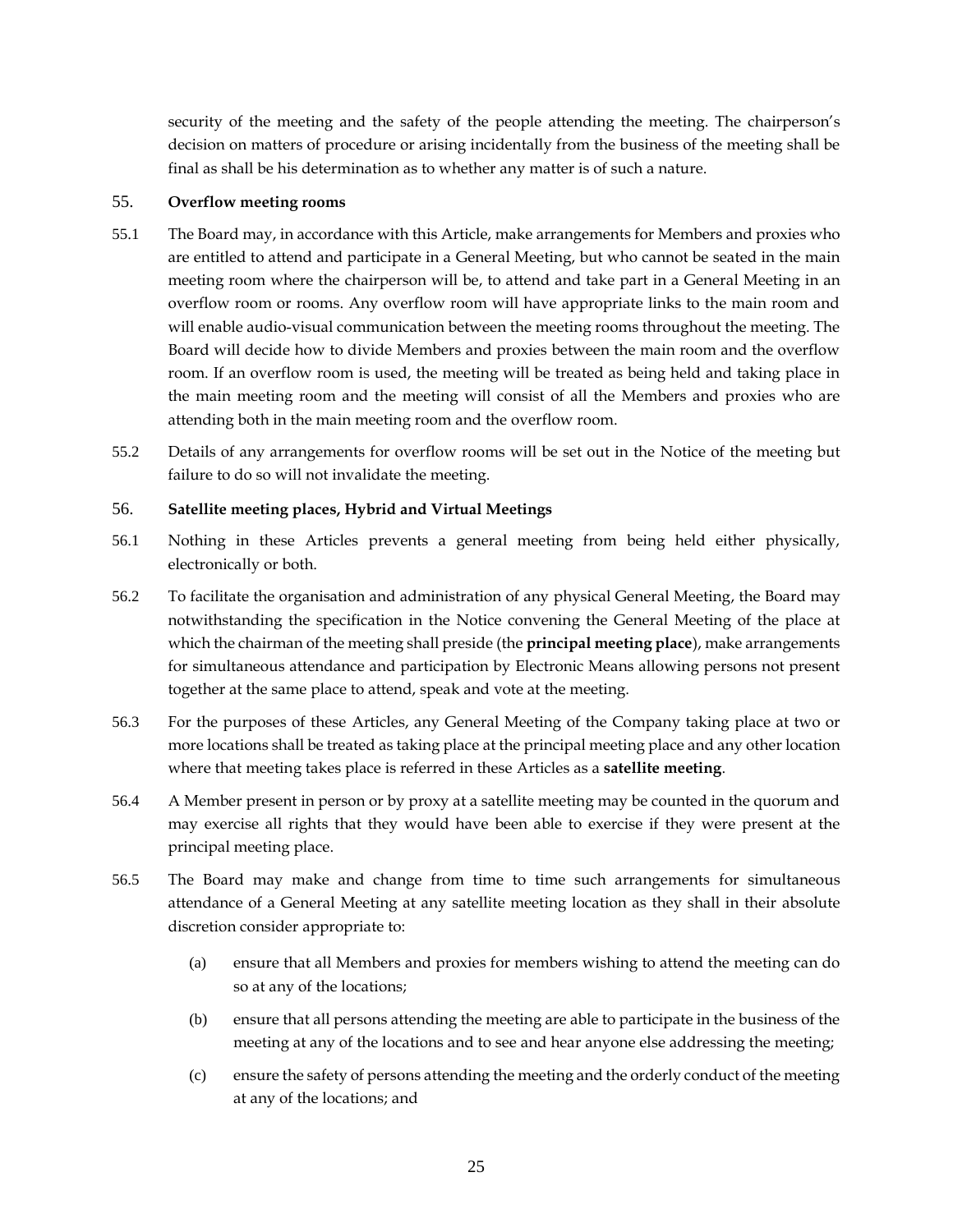security of the meeting and the safety of the people attending the meeting. The chairperson's decision on matters of procedure or arising incidentally from the business of the meeting shall be final as shall be his determination as to whether any matter is of such a nature.

### <span id="page-30-0"></span>55. **Overflow meeting rooms**

- 55.1 The Board may, in accordance with this Article, make arrangements for Members and proxies who are entitled to attend and participate in a General Meeting, but who cannot be seated in the main meeting room where the chairperson will be, to attend and take part in a General Meeting in an overflow room or rooms. Any overflow room will have appropriate links to the main room and will enable audio-visual communication between the meeting rooms throughout the meeting. The Board will decide how to divide Members and proxies between the main room and the overflow room. If an overflow room is used, the meeting will be treated as being held and taking place in the main meeting room and the meeting will consist of all the Members and proxies who are attending both in the main meeting room and the overflow room.
- 55.2 Details of any arrangements for overflow rooms will be set out in the Notice of the meeting but failure to do so will not invalidate the meeting.

### <span id="page-30-1"></span>56. **Satellite meeting places, Hybrid and Virtual Meetings**

- 56.1 Nothing in these Articles prevents a general meeting from being held either physically, electronically or both.
- 56.2 To facilitate the organisation and administration of any physical General Meeting, the Board may notwithstanding the specification in the Notice convening the General Meeting of the place at which the chairman of the meeting shall preside (the **principal meeting place**), make arrangements for simultaneous attendance and participation by Electronic Means allowing persons not present together at the same place to attend, speak and vote at the meeting.
- 56.3 For the purposes of these Articles, any General Meeting of the Company taking place at two or more locations shall be treated as taking place at the principal meeting place and any other location where that meeting takes place is referred in these Articles as a **satellite meeting**.
- 56.4 A Member present in person or by proxy at a satellite meeting may be counted in the quorum and may exercise all rights that they would have been able to exercise if they were present at the principal meeting place.
- 56.5 The Board may make and change from time to time such arrangements for simultaneous attendance of a General Meeting at any satellite meeting location as they shall in their absolute discretion consider appropriate to:
	- (a) ensure that all Members and proxies for members wishing to attend the meeting can do so at any of the locations;
	- (b) ensure that all persons attending the meeting are able to participate in the business of the meeting at any of the locations and to see and hear anyone else addressing the meeting;
	- (c) ensure the safety of persons attending the meeting and the orderly conduct of the meeting at any of the locations; and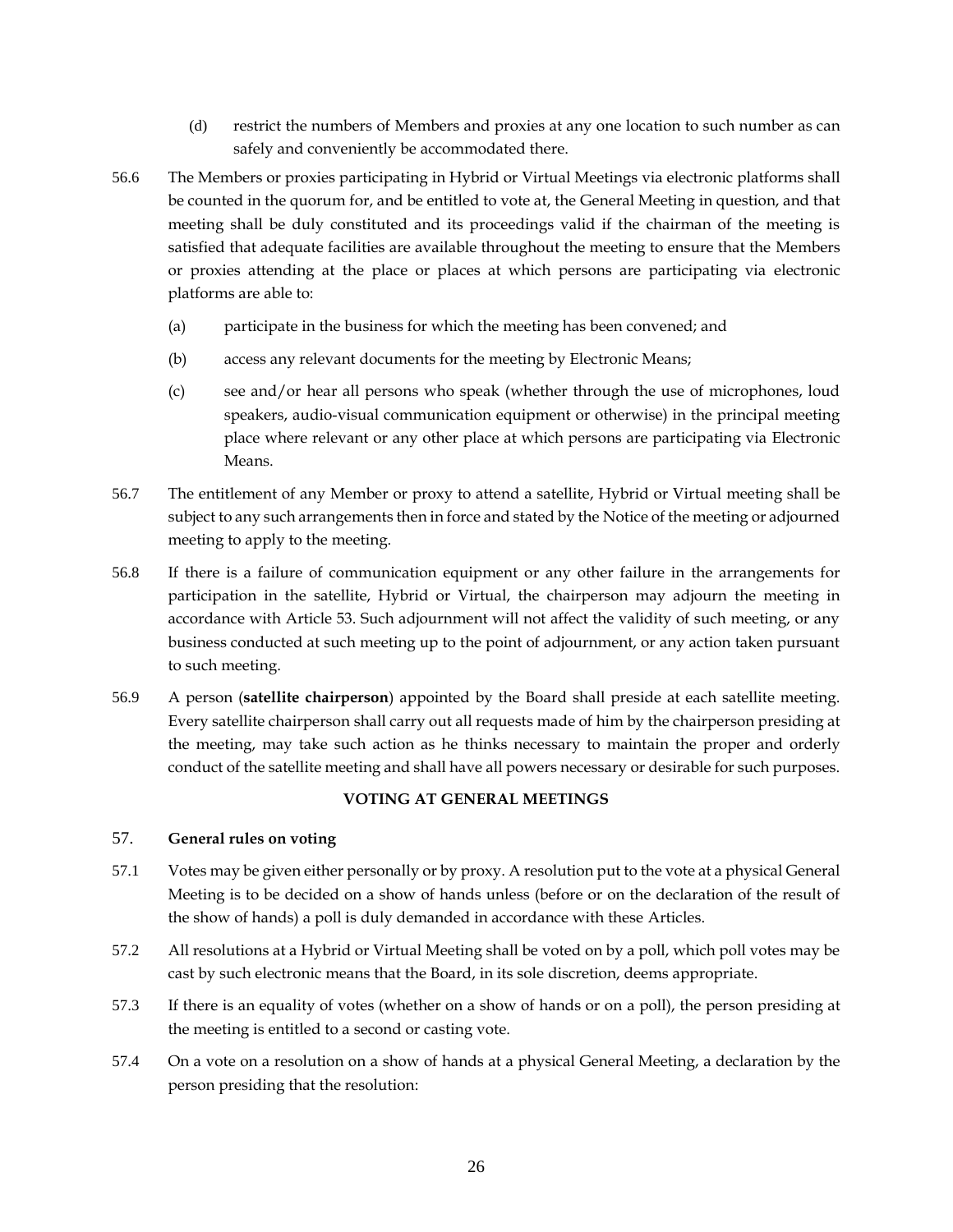- (d) restrict the numbers of Members and proxies at any one location to such number as can safely and conveniently be accommodated there.
- 56.6 The Members or proxies participating in Hybrid or Virtual Meetings via electronic platforms shall be counted in the quorum for, and be entitled to vote at, the General Meeting in question, and that meeting shall be duly constituted and its proceedings valid if the chairman of the meeting is satisfied that adequate facilities are available throughout the meeting to ensure that the Members or proxies attending at the place or places at which persons are participating via electronic platforms are able to:
	- (a) participate in the business for which the meeting has been convened; and
	- (b) access any relevant documents for the meeting by Electronic Means;
	- (c) see and/or hear all persons who speak (whether through the use of microphones, loud speakers, audio-visual communication equipment or otherwise) in the principal meeting place where relevant or any other place at which persons are participating via Electronic Means.
- 56.7 The entitlement of any Member or proxy to attend a satellite, Hybrid or Virtual meeting shall be subject to any such arrangements then in force and stated by the Notice of the meeting or adjourned meeting to apply to the meeting.
- 56.8 If there is a failure of communication equipment or any other failure in the arrangements for participation in the satellite, Hybrid or Virtual, the chairperson may adjourn the meeting in accordance with Article [53.](#page-29-0) Such adjournment will not affect the validity of such meeting, or any business conducted at such meeting up to the point of adjournment, or any action taken pursuant to such meeting.
- 56.9 A person (**satellite chairperson**) appointed by the Board shall preside at each satellite meeting. Every satellite chairperson shall carry out all requests made of him by the chairperson presiding at the meeting, may take such action as he thinks necessary to maintain the proper and orderly conduct of the satellite meeting and shall have all powers necessary or desirable for such purposes.

#### **VOTING AT GENERAL MEETINGS**

### <span id="page-31-1"></span><span id="page-31-0"></span>57. **General rules on voting**

- 57.1 Votes may be given either personally or by proxy. A resolution put to the vote at a physical General Meeting is to be decided on a show of hands unless (before or on the declaration of the result of the show of hands) a poll is duly demanded in accordance with these Articles.
- 57.2 All resolutions at a Hybrid or Virtual Meeting shall be voted on by a poll, which poll votes may be cast by such electronic means that the Board, in its sole discretion, deems appropriate.
- 57.3 If there is an equality of votes (whether on a show of hands or on a poll), the person presiding at the meeting is entitled to a second or casting vote.
- 57.4 On a vote on a resolution on a show of hands at a physical General Meeting, a declaration by the person presiding that the resolution: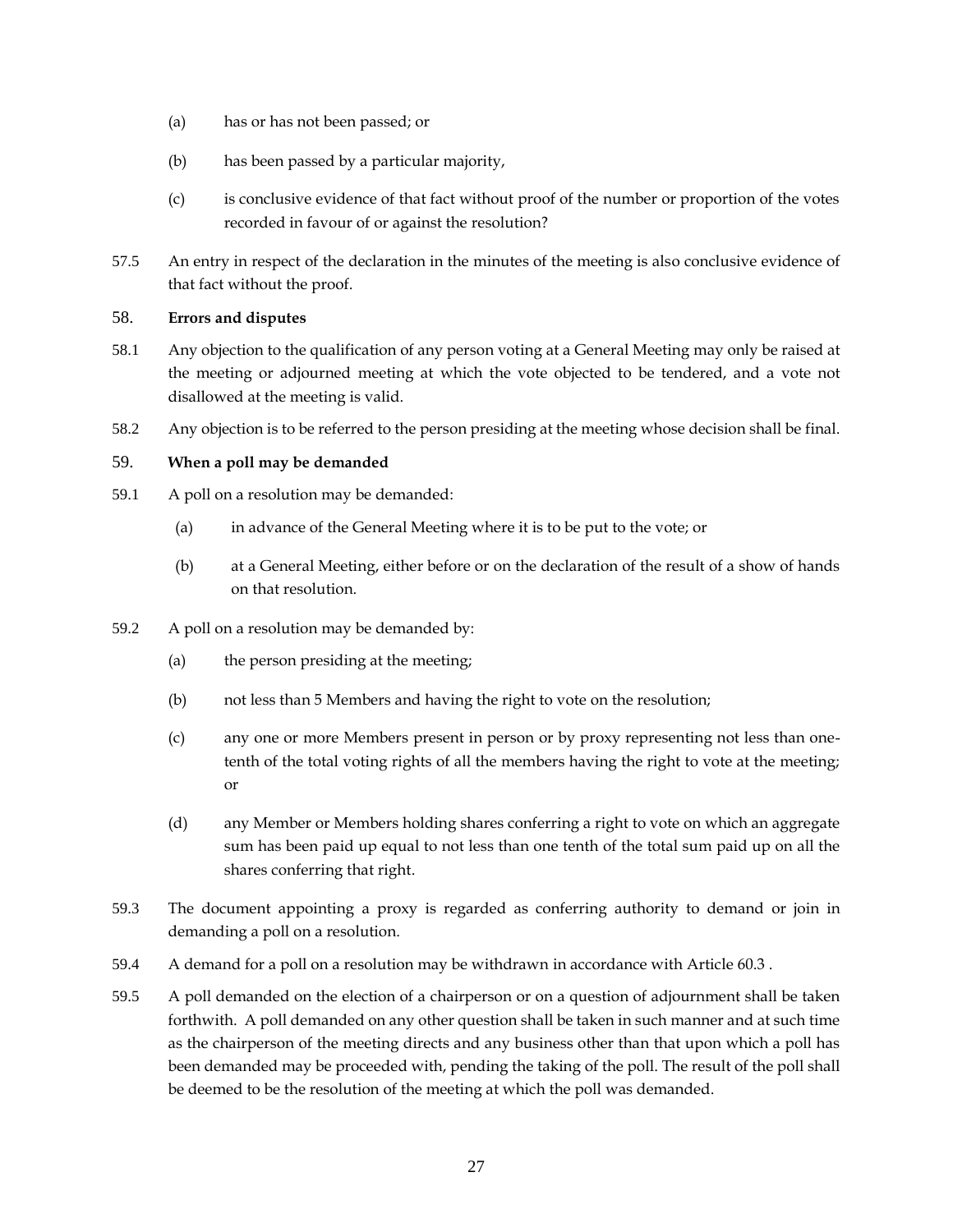- (a) has or has not been passed; or
- (b) has been passed by a particular majority,
- (c) is conclusive evidence of that fact without proof of the number or proportion of the votes recorded in favour of or against the resolution?
- 57.5 An entry in respect of the declaration in the minutes of the meeting is also conclusive evidence of that fact without the proof.

# <span id="page-32-0"></span>58. **Errors and disputes**

- 58.1 Any objection to the qualification of any person voting at a General Meeting may only be raised at the meeting or adjourned meeting at which the vote objected to be tendered, and a vote not disallowed at the meeting is valid.
- 58.2 Any objection is to be referred to the person presiding at the meeting whose decision shall be final.

### <span id="page-32-1"></span>59. **When a poll may be demanded**

- 59.1 A poll on a resolution may be demanded:
	- (a) in advance of the General Meeting where it is to be put to the vote; or
	- (b) at a General Meeting, either before or on the declaration of the result of a show of hands on that resolution.
- 59.2 A poll on a resolution may be demanded by:
	- (a) the person presiding at the meeting;
	- (b) not less than 5 Members and having the right to vote on the resolution;
	- (c) any one or more Members present in person or by proxy representing not less than onetenth of the total voting rights of all the members having the right to vote at the meeting; or
	- (d) any Member or Members holding shares conferring a right to vote on which an aggregate sum has been paid up equal to not less than one tenth of the total sum paid up on all the shares conferring that right.
- 59.3 The document appointing a proxy is regarded as conferring authority to demand or join in demanding a poll on a resolution.
- 59.4 A demand for a poll on a resolution may be withdrawn in accordance with Article [60.3](#page-33-2) .
- 59.5 A poll demanded on the election of a chairperson or on a question of adjournment shall be taken forthwith. A poll demanded on any other question shall be taken in such manner and at such time as the chairperson of the meeting directs and any business other than that upon which a poll has been demanded may be proceeded with, pending the taking of the poll. The result of the poll shall be deemed to be the resolution of the meeting at which the poll was demanded.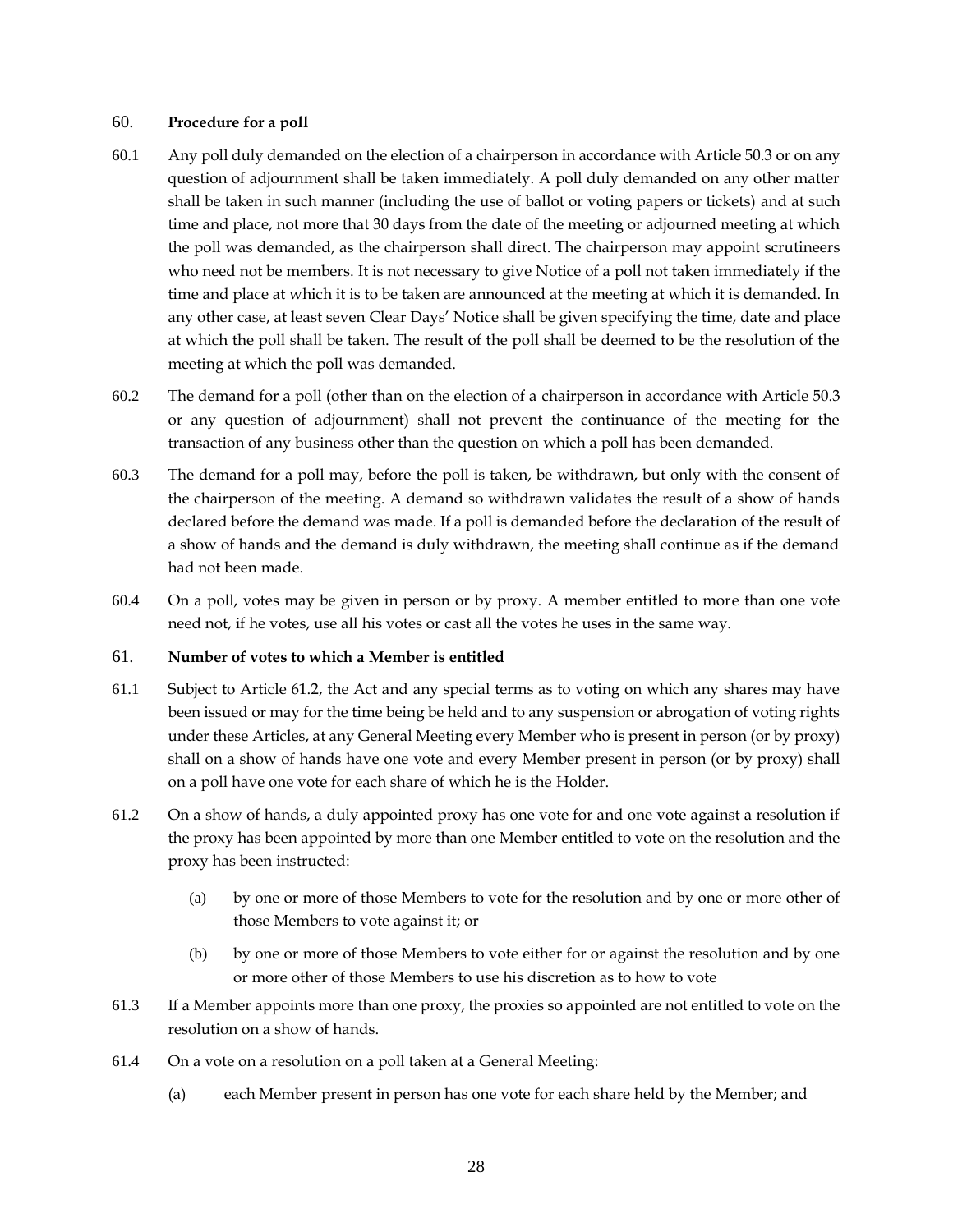#### <span id="page-33-0"></span>60. **Procedure for a poll**

- 60.1 Any poll duly demanded on the election of a chairperson in accordance with Article [50.3](#page-28-2) or on any question of adjournment shall be taken immediately. A poll duly demanded on any other matter shall be taken in such manner (including the use of ballot or voting papers or tickets) and at such time and place, not more that 30 days from the date of the meeting or adjourned meeting at which the poll was demanded, as the chairperson shall direct. The chairperson may appoint scrutineers who need not be members. It is not necessary to give Notice of a poll not taken immediately if the time and place at which it is to be taken are announced at the meeting at which it is demanded. In any other case, at least seven Clear Days' Notice shall be given specifying the time, date and place at which the poll shall be taken. The result of the poll shall be deemed to be the resolution of the meeting at which the poll was demanded.
- 60.2 The demand for a poll (other than on the election of a chairperson in accordance with Article [50.3](#page-28-2) or any question of adjournment) shall not prevent the continuance of the meeting for the transaction of any business other than the question on which a poll has been demanded.
- <span id="page-33-2"></span>60.3 The demand for a poll may, before the poll is taken, be withdrawn, but only with the consent of the chairperson of the meeting. A demand so withdrawn validates the result of a show of hands declared before the demand was made. If a poll is demanded before the declaration of the result of a show of hands and the demand is duly withdrawn, the meeting shall continue as if the demand had not been made.
- 60.4 On a poll, votes may be given in person or by proxy. A member entitled to more than one vote need not, if he votes, use all his votes or cast all the votes he uses in the same way.

#### <span id="page-33-1"></span>61. **Number of votes to which a Member is entitled**

- 61.1 Subject to Article [61.2,](#page-33-3) the Act and any special terms as to voting on which any shares may have been issued or may for the time being be held and to any suspension or abrogation of voting rights under these Articles, at any General Meeting every Member who is present in person (or by proxy) shall on a show of hands have one vote and every Member present in person (or by proxy) shall on a poll have one vote for each share of which he is the Holder.
- <span id="page-33-3"></span>61.2 On a show of hands, a duly appointed proxy has one vote for and one vote against a resolution if the proxy has been appointed by more than one Member entitled to vote on the resolution and the proxy has been instructed:
	- (a) by one or more of those Members to vote for the resolution and by one or more other of those Members to vote against it; or
	- (b) by one or more of those Members to vote either for or against the resolution and by one or more other of those Members to use his discretion as to how to vote
- 61.3 If a Member appoints more than one proxy, the proxies so appointed are not entitled to vote on the resolution on a show of hands.
- 61.4 On a vote on a resolution on a poll taken at a General Meeting:
	- (a) each Member present in person has one vote for each share held by the Member; and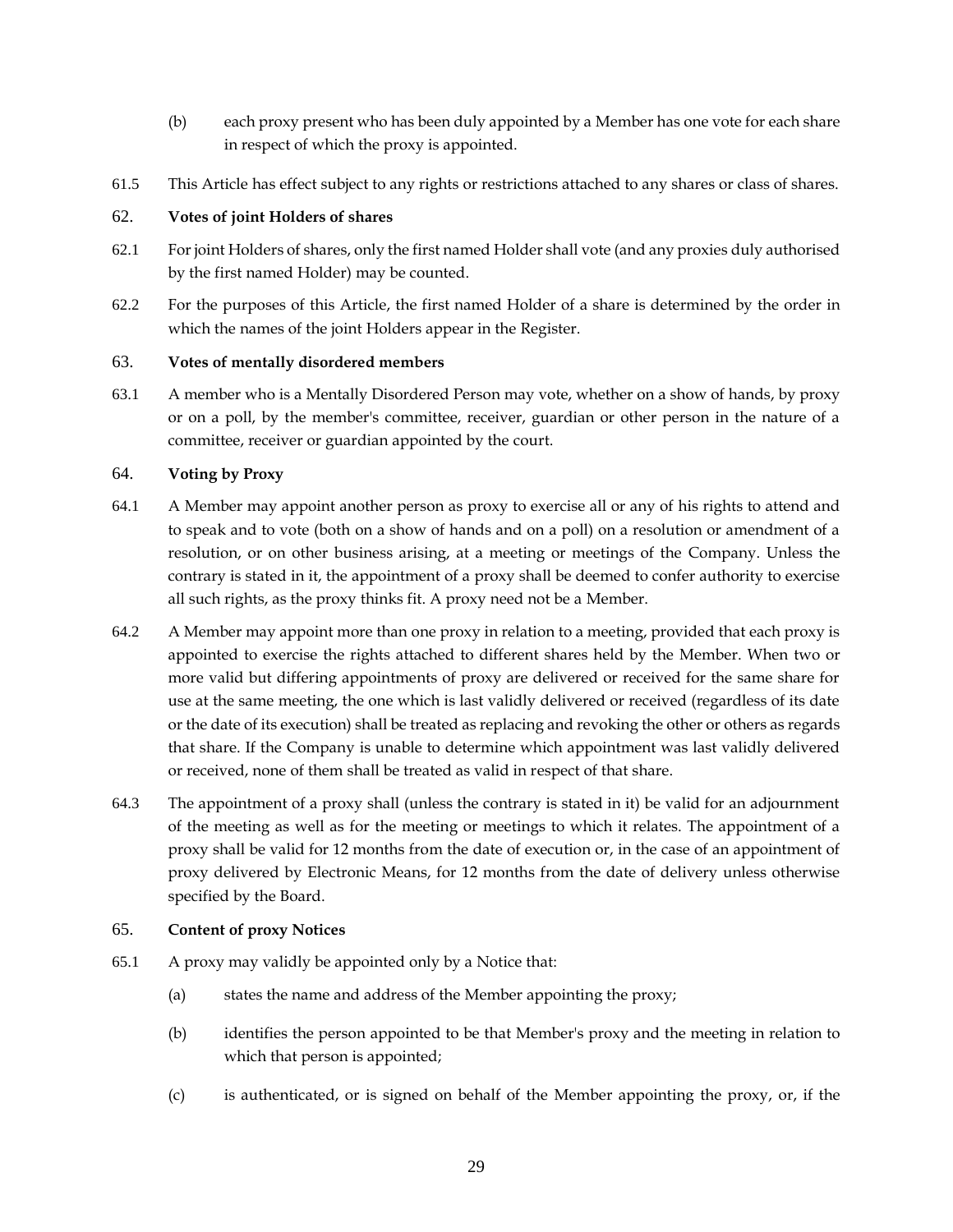- (b) each proxy present who has been duly appointed by a Member has one vote for each share in respect of which the proxy is appointed.
- 61.5 This Article has effect subject to any rights or restrictions attached to any shares or class of shares.

# <span id="page-34-0"></span>62. **Votes of joint Holders of shares**

- 62.1 For joint Holders of shares, only the first named Holder shall vote (and any proxies duly authorised by the first named Holder) may be counted.
- 62.2 For the purposes of this Article, the first named Holder of a share is determined by the order in which the names of the joint Holders appear in the Register.

# <span id="page-34-1"></span>63. **Votes of mentally disordered members**

63.1 A member who is a Mentally Disordered Person may vote, whether on a show of hands, by proxy or on a poll, by the member's committee, receiver, guardian or other person in the nature of a committee, receiver or guardian appointed by the court.

# <span id="page-34-2"></span>64. **Voting by Proxy**

- 64.1 A Member may appoint another person as proxy to exercise all or any of his rights to attend and to speak and to vote (both on a show of hands and on a poll) on a resolution or amendment of a resolution, or on other business arising, at a meeting or meetings of the Company. Unless the contrary is stated in it, the appointment of a proxy shall be deemed to confer authority to exercise all such rights, as the proxy thinks fit. A proxy need not be a Member.
- 64.2 A Member may appoint more than one proxy in relation to a meeting, provided that each proxy is appointed to exercise the rights attached to different shares held by the Member. When two or more valid but differing appointments of proxy are delivered or received for the same share for use at the same meeting, the one which is last validly delivered or received (regardless of its date or the date of its execution) shall be treated as replacing and revoking the other or others as regards that share. If the Company is unable to determine which appointment was last validly delivered or received, none of them shall be treated as valid in respect of that share.
- 64.3 The appointment of a proxy shall (unless the contrary is stated in it) be valid for an adjournment of the meeting as well as for the meeting or meetings to which it relates. The appointment of a proxy shall be valid for 12 months from the date of execution or, in the case of an appointment of proxy delivered by Electronic Means, for 12 months from the date of delivery unless otherwise specified by the Board.

# <span id="page-34-3"></span>65. **Content of proxy Notices**

- <span id="page-34-4"></span>65.1 A proxy may validly be appointed only by a Notice that:
	- (a) states the name and address of the Member appointing the proxy;
	- (b) identifies the person appointed to be that Member's proxy and the meeting in relation to which that person is appointed;
	- (c) is authenticated, or is signed on behalf of the Member appointing the proxy, or, if the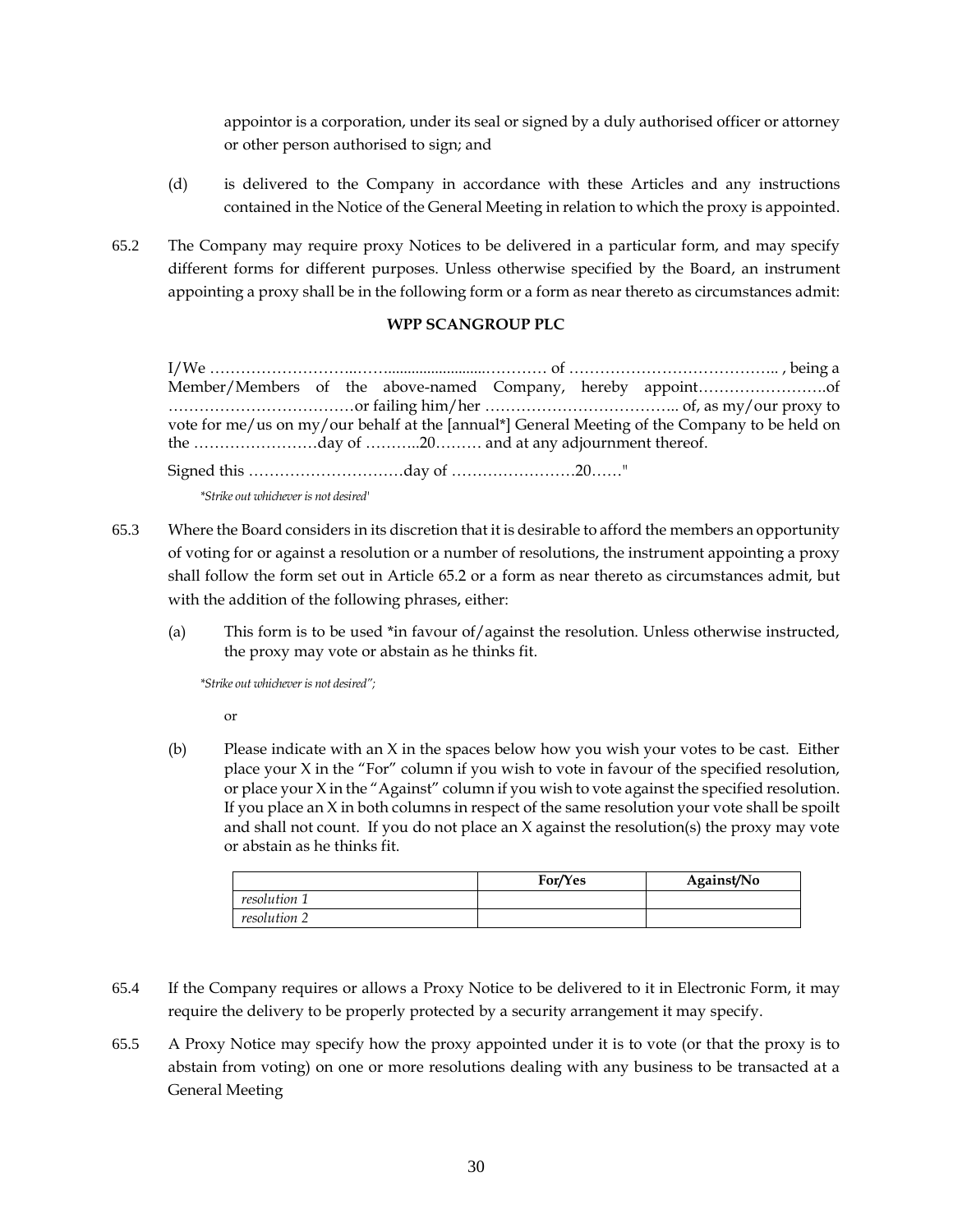appointor is a corporation, under its seal or signed by a duly authorised officer or attorney or other person authorised to sign; and

- (d) is delivered to the Company in accordance with these Articles and any instructions contained in the Notice of the General Meeting in relation to which the proxy is appointed.
- <span id="page-35-0"></span>65.2 The Company may require proxy Notices to be delivered in a particular form, and may specify different forms for different purposes. Unless otherwise specified by the Board, an instrument appointing a proxy shall be in the following form or a form as near thereto as circumstances admit:

# **WPP SCANGROUP PLC**

I/We ………………………..…….........................………… of ………………………………….. , being a Member/Members of the above-named Company, hereby appoint…………………….of ………………………………or failing him/her ……………………………….. of, as my/our proxy to vote for me/us on my/our behalf at the [annual\*] General Meeting of the Company to be held on the ……………………day of ………..20……… and at any adjournment thereof.

Signed this …………………………day of ……………………20……"

*\*Strike out whichever is not desired'*

- 65.3 Where the Board considers in its discretion that it is desirable to afford the members an opportunity of voting for or against a resolution or a number of resolutions, the instrument appointing a proxy shall follow the form set out in Article [65.2](#page-35-0) or a form as near thereto as circumstances admit, but with the addition of the following phrases, either:
	- (a) This form is to be used \*in favour of/against the resolution. Unless otherwise instructed, the proxy may vote or abstain as he thinks fit.

*\*Strike out whichever is not desired";* 

or

(b) Please indicate with an  $X$  in the spaces below how you wish your votes to be cast. Either place your X in the "For" column if you wish to vote in favour of the specified resolution, or place your X in the "Against" column if you wish to vote against the specified resolution. If you place an  $X$  in both columns in respect of the same resolution your vote shall be spoilt and shall not count. If you do not place an X against the resolution(s) the proxy may vote or abstain as he thinks fit.

|              | For/Yes | Against/No |
|--------------|---------|------------|
| resolution 1 |         |            |
| resolution 2 |         |            |

- 65.4 If the Company requires or allows a Proxy Notice to be delivered to it in Electronic Form, it may require the delivery to be properly protected by a security arrangement it may specify.
- 65.5 A Proxy Notice may specify how the proxy appointed under it is to vote (or that the proxy is to abstain from voting) on one or more resolutions dealing with any business to be transacted at a General Meeting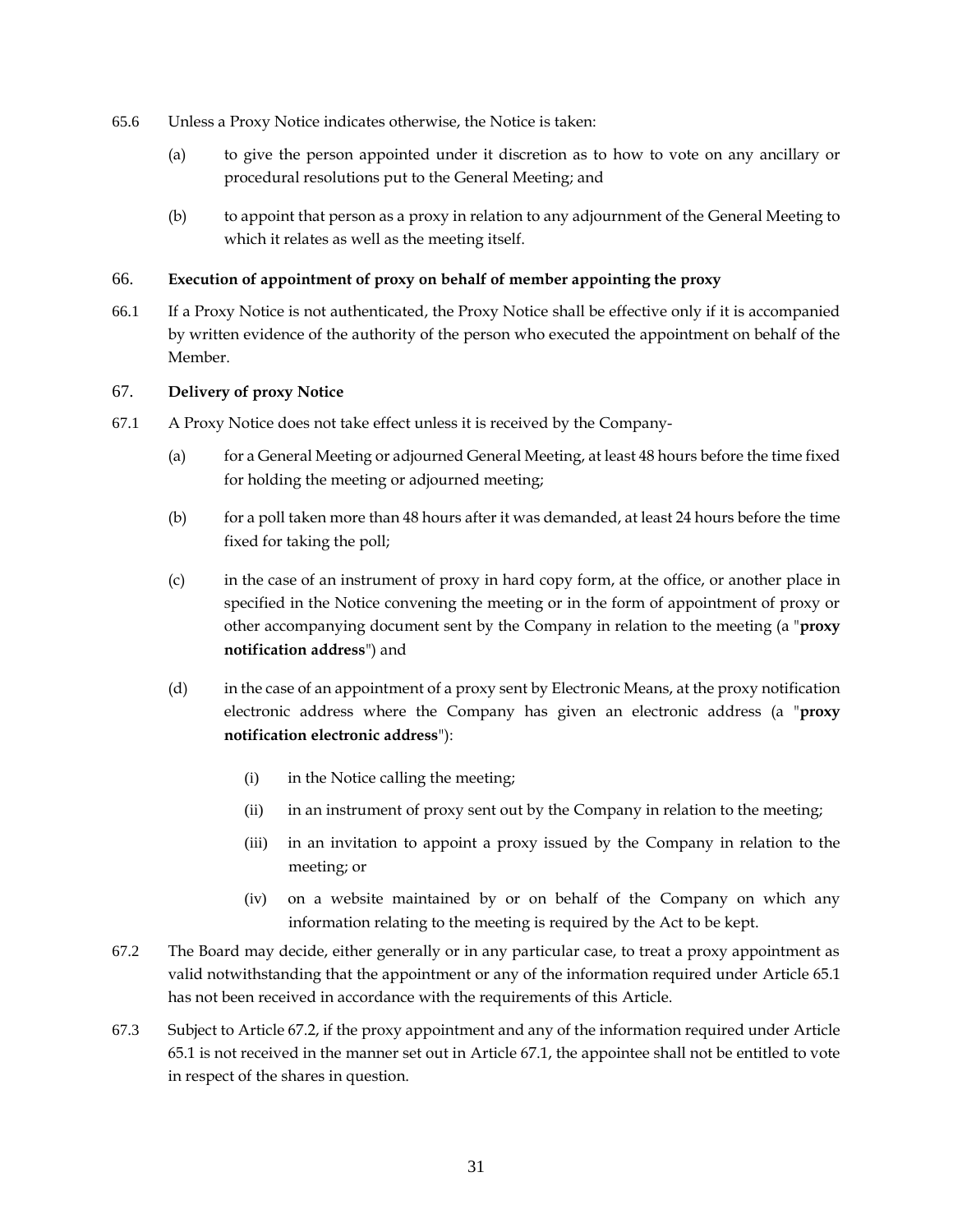- 65.6 Unless a Proxy Notice indicates otherwise, the Notice is taken:
	- (a) to give the person appointed under it discretion as to how to vote on any ancillary or procedural resolutions put to the General Meeting; and
	- (b) to appoint that person as a proxy in relation to any adjournment of the General Meeting to which it relates as well as the meeting itself.

### <span id="page-36-0"></span>66. **Execution of appointment of proxy on behalf of member appointing the proxy**

66.1 If a Proxy Notice is not authenticated, the Proxy Notice shall be effective only if it is accompanied by written evidence of the authority of the person who executed the appointment on behalf of the Member.

### <span id="page-36-1"></span>67. **Delivery of proxy Notice**

- <span id="page-36-3"></span>67.1 A Proxy Notice does not take effect unless it is received by the Company-
	- (a) for a General Meeting or adjourned General Meeting, at least 48 hours before the time fixed for holding the meeting or adjourned meeting;
	- (b) for a poll taken more than 48 hours after it was demanded, at least 24 hours before the time fixed for taking the poll;
	- (c) in the case of an instrument of proxy in hard copy form, at the office, or another place in specified in the Notice convening the meeting or in the form of appointment of proxy or other accompanying document sent by the Company in relation to the meeting (a "**proxy notification address**") and
	- (d) in the case of an appointment of a proxy sent by Electronic Means, at the proxy notification electronic address where the Company has given an electronic address (a "**proxy notification electronic address**"):
		- (i) in the Notice calling the meeting;
		- (ii) in an instrument of proxy sent out by the Company in relation to the meeting;
		- (iii) in an invitation to appoint a proxy issued by the Company in relation to the meeting; or
		- (iv) on a website maintained by or on behalf of the Company on which any information relating to the meeting is required by the Act to be kept.
- <span id="page-36-2"></span>67.2 The Board may decide, either generally or in any particular case, to treat a proxy appointment as valid notwithstanding that the appointment or any of the information required under Article [65.1](#page-34-4) has not been received in accordance with the requirements of this Article.
- 67.3 Subject to Article [67.2,](#page-36-2) if the proxy appointment and any of the information required under Article [65.1](#page-34-4) is not received in the manner set out in Article [67.1,](#page-36-3) the appointee shall not be entitled to vote in respect of the shares in question.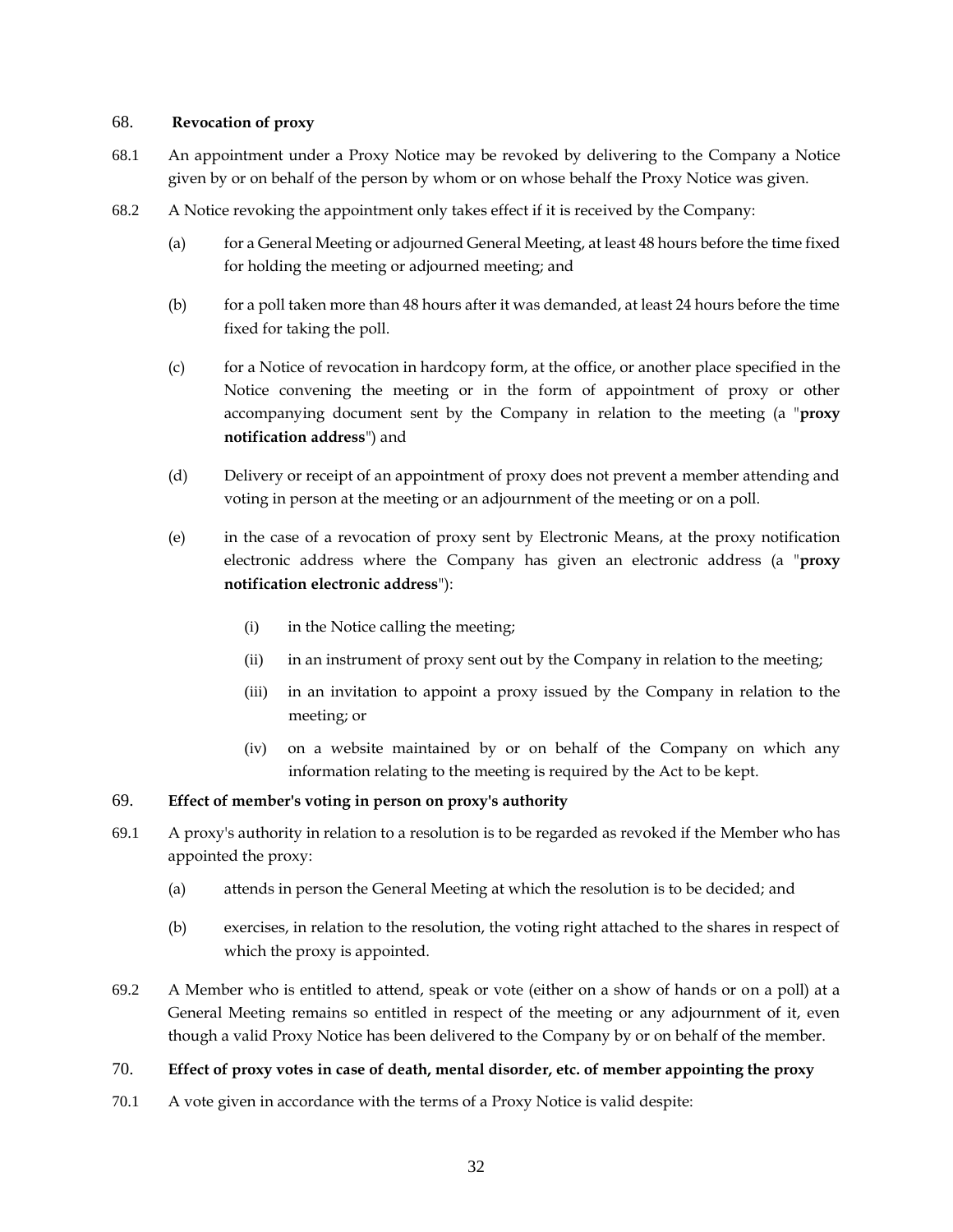#### <span id="page-37-0"></span>68. **Revocation of proxy**

- 68.1 An appointment under a Proxy Notice may be revoked by delivering to the Company a Notice given by or on behalf of the person by whom or on whose behalf the Proxy Notice was given.
- 68.2 A Notice revoking the appointment only takes effect if it is received by the Company:
	- (a) for a General Meeting or adjourned General Meeting, at least 48 hours before the time fixed for holding the meeting or adjourned meeting; and
	- (b) for a poll taken more than 48 hours after it was demanded, at least 24 hours before the time fixed for taking the poll.
	- (c) for a Notice of revocation in hardcopy form, at the office, or another place specified in the Notice convening the meeting or in the form of appointment of proxy or other accompanying document sent by the Company in relation to the meeting (a "**proxy notification address**") and
	- (d) Delivery or receipt of an appointment of proxy does not prevent a member attending and voting in person at the meeting or an adjournment of the meeting or on a poll.
	- (e) in the case of a revocation of proxy sent by Electronic Means, at the proxy notification electronic address where the Company has given an electronic address (a "**proxy notification electronic address**"):
		- (i) in the Notice calling the meeting;
		- (ii) in an instrument of proxy sent out by the Company in relation to the meeting;
		- (iii) in an invitation to appoint a proxy issued by the Company in relation to the meeting; or
		- (iv) on a website maintained by or on behalf of the Company on which any information relating to the meeting is required by the Act to be kept.

# <span id="page-37-1"></span>69. **Effect of member's voting in person on proxy's authority**

- 69.1 A proxy's authority in relation to a resolution is to be regarded as revoked if the Member who has appointed the proxy:
	- (a) attends in person the General Meeting at which the resolution is to be decided; and
	- (b) exercises, in relation to the resolution, the voting right attached to the shares in respect of which the proxy is appointed.
- 69.2 A Member who is entitled to attend, speak or vote (either on a show of hands or on a poll) at a General Meeting remains so entitled in respect of the meeting or any adjournment of it, even though a valid Proxy Notice has been delivered to the Company by or on behalf of the member.

# <span id="page-37-2"></span>70. **Effect of proxy votes in case of death, mental disorder, etc. of member appointing the proxy**

<span id="page-37-3"></span>70.1 A vote given in accordance with the terms of a Proxy Notice is valid despite: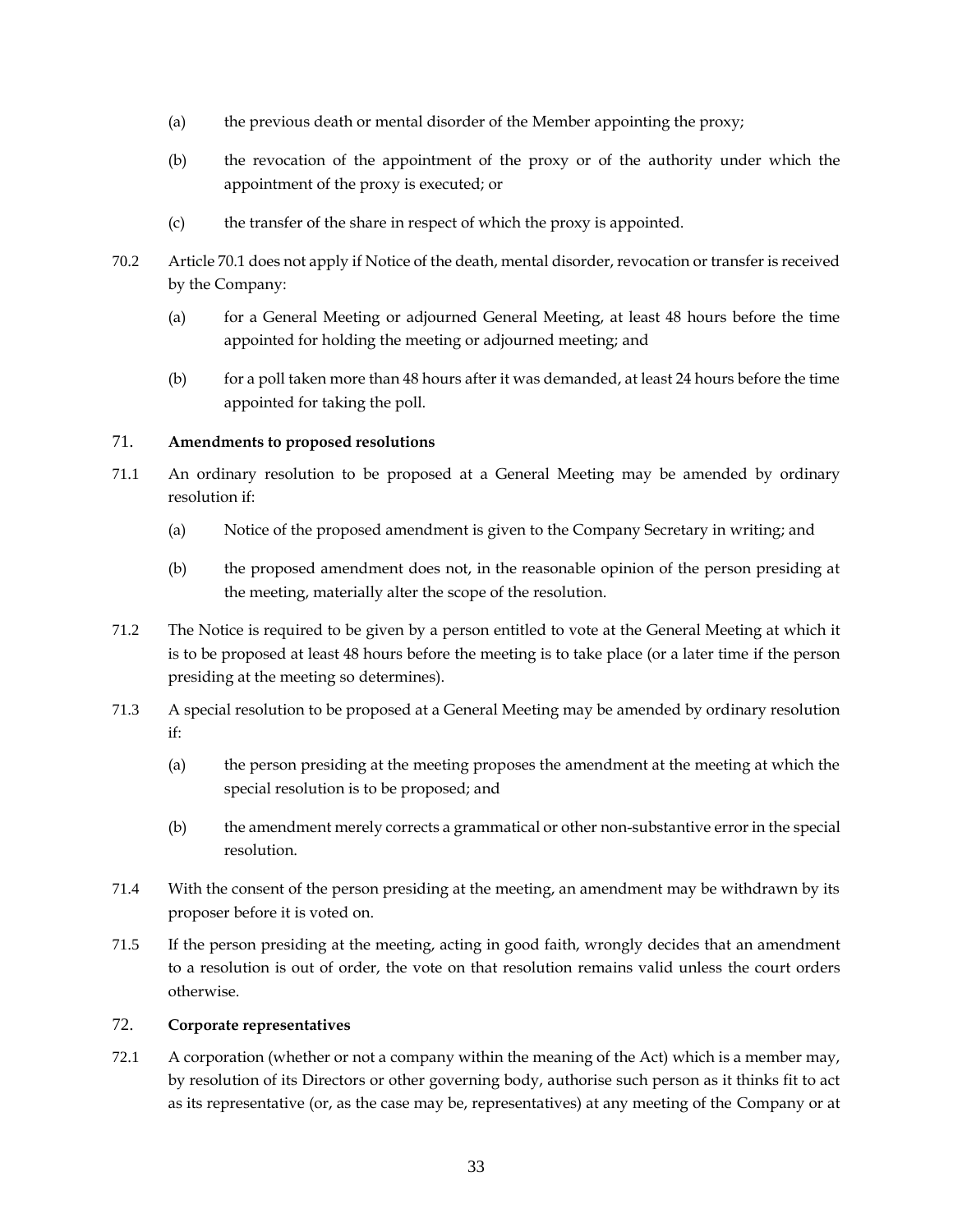- (a) the previous death or mental disorder of the Member appointing the proxy;
- (b) the revocation of the appointment of the proxy or of the authority under which the appointment of the proxy is executed; or
- (c) the transfer of the share in respect of which the proxy is appointed.
- 70.2 Article [70.1](#page-37-3) does not apply if Notice of the death, mental disorder, revocation or transfer is received by the Company:
	- (a) for a General Meeting or adjourned General Meeting, at least 48 hours before the time appointed for holding the meeting or adjourned meeting; and
	- (b) for a poll taken more than 48 hours after it was demanded, at least 24 hours before the time appointed for taking the poll.

# <span id="page-38-0"></span>71. **Amendments to proposed resolutions**

- 71.1 An ordinary resolution to be proposed at a General Meeting may be amended by ordinary resolution if:
	- (a) Notice of the proposed amendment is given to the Company Secretary in writing; and
	- (b) the proposed amendment does not, in the reasonable opinion of the person presiding at the meeting, materially alter the scope of the resolution.
- 71.2 The Notice is required to be given by a person entitled to vote at the General Meeting at which it is to be proposed at least 48 hours before the meeting is to take place (or a later time if the person presiding at the meeting so determines).
- 71.3 A special resolution to be proposed at a General Meeting may be amended by ordinary resolution if:
	- (a) the person presiding at the meeting proposes the amendment at the meeting at which the special resolution is to be proposed; and
	- (b) the amendment merely corrects a grammatical or other non-substantive error in the special resolution.
- 71.4 With the consent of the person presiding at the meeting, an amendment may be withdrawn by its proposer before it is voted on.
- 71.5 If the person presiding at the meeting, acting in good faith, wrongly decides that an amendment to a resolution is out of order, the vote on that resolution remains valid unless the court orders otherwise.

# <span id="page-38-1"></span>72. **Corporate representatives**

72.1 A corporation (whether or not a company within the meaning of the Act) which is a member may, by resolution of its Directors or other governing body, authorise such person as it thinks fit to act as its representative (or, as the case may be, representatives) at any meeting of the Company or at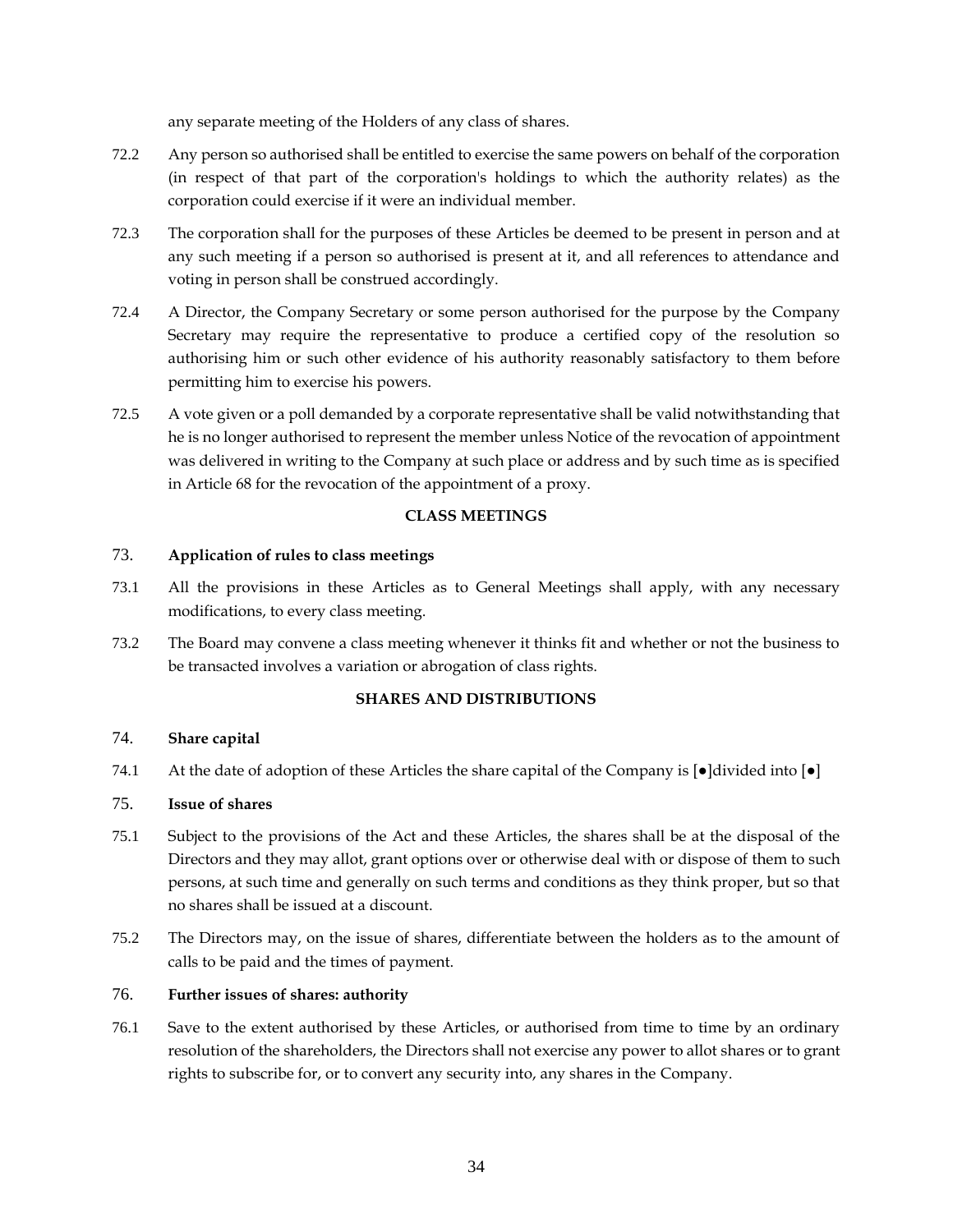any separate meeting of the Holders of any class of shares.

- 72.2 Any person so authorised shall be entitled to exercise the same powers on behalf of the corporation (in respect of that part of the corporation's holdings to which the authority relates) as the corporation could exercise if it were an individual member.
- 72.3 The corporation shall for the purposes of these Articles be deemed to be present in person and at any such meeting if a person so authorised is present at it, and all references to attendance and voting in person shall be construed accordingly.
- 72.4 A Director, the Company Secretary or some person authorised for the purpose by the Company Secretary may require the representative to produce a certified copy of the resolution so authorising him or such other evidence of his authority reasonably satisfactory to them before permitting him to exercise his powers.
- 72.5 A vote given or a poll demanded by a corporate representative shall be valid notwithstanding that he is no longer authorised to represent the member unless Notice of the revocation of appointment was delivered in writing to the Company at such place or address and by such time as is specified in Article [68](#page-37-0) for the revocation of the appointment of a proxy.

### **CLASS MEETINGS**

### <span id="page-39-1"></span><span id="page-39-0"></span>73. **Application of rules to class meetings**

- 73.1 All the provisions in these Articles as to General Meetings shall apply, with any necessary modifications, to every class meeting.
- 73.2 The Board may convene a class meeting whenever it thinks fit and whether or not the business to be transacted involves a variation or abrogation of class rights.

### **SHARES AND DISTRIBUTIONS**

### <span id="page-39-3"></span><span id="page-39-2"></span>74. **Share capital**

74.1 At the date of adoption of these Articles the share capital of the Company is  $[\bullet]$ divided into  $[\bullet]$ 

# <span id="page-39-4"></span>75. **Issue of shares**

- 75.1 Subject to the provisions of the Act and these Articles, the shares shall be at the disposal of the Directors and they may allot, grant options over or otherwise deal with or dispose of them to such persons, at such time and generally on such terms and conditions as they think proper, but so that no shares shall be issued at a discount.
- 75.2 The Directors may, on the issue of shares, differentiate between the holders as to the amount of calls to be paid and the times of payment.

# <span id="page-39-5"></span>76. **Further issues of shares: authority**

76.1 Save to the extent authorised by these Articles, or authorised from time to time by an ordinary resolution of the shareholders, the Directors shall not exercise any power to allot shares or to grant rights to subscribe for, or to convert any security into, any shares in the Company.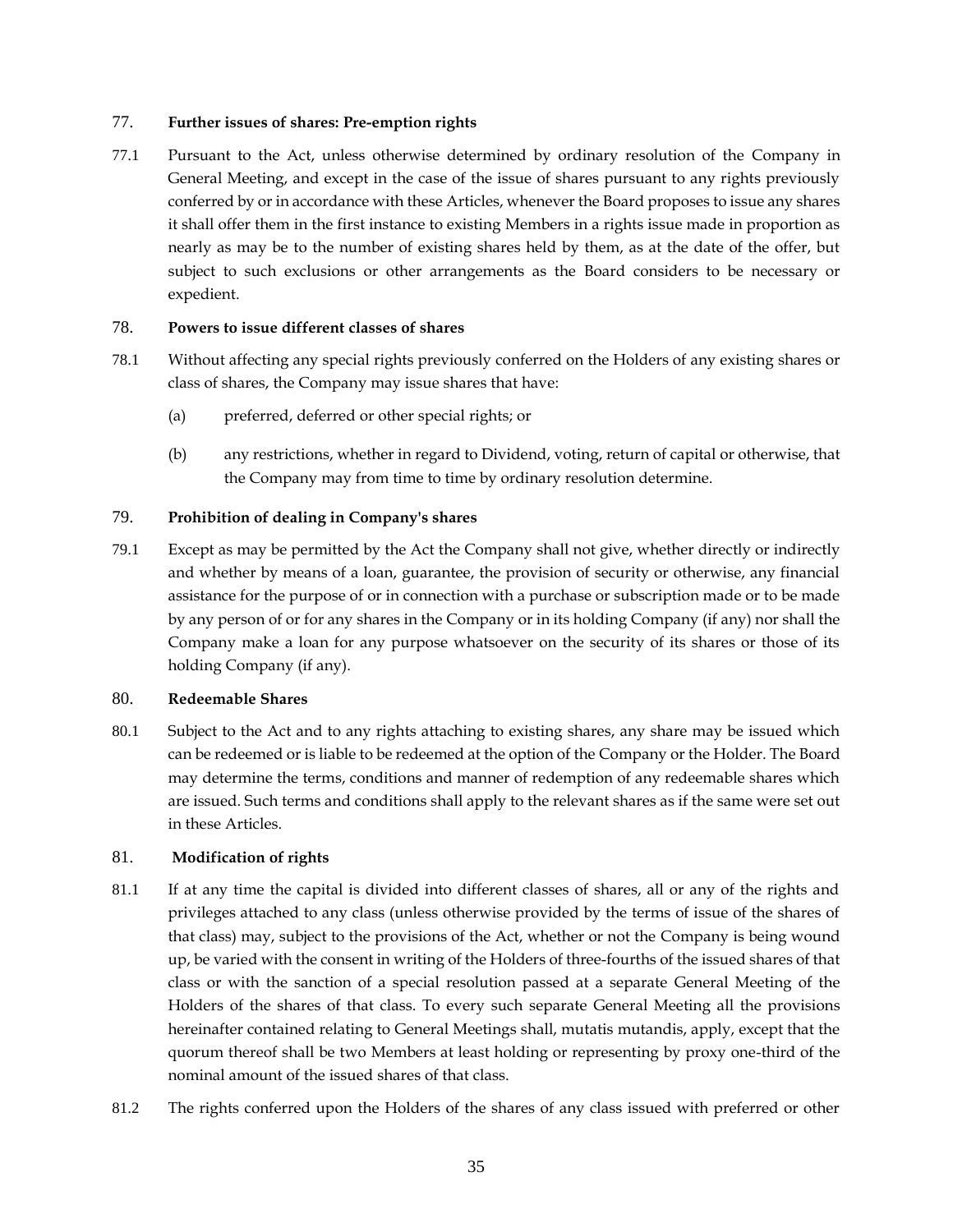### <span id="page-40-0"></span>77. **Further issues of shares: Pre-emption rights**

77.1 Pursuant to the Act, unless otherwise determined by ordinary resolution of the Company in General Meeting, and except in the case of the issue of shares pursuant to any rights previously conferred by or in accordance with these Articles, whenever the Board proposes to issue any shares it shall offer them in the first instance to existing Members in a rights issue made in proportion as nearly as may be to the number of existing shares held by them, as at the date of the offer, but subject to such exclusions or other arrangements as the Board considers to be necessary or expedient.

### <span id="page-40-1"></span>78. **Powers to issue different classes of shares**

- 78.1 Without affecting any special rights previously conferred on the Holders of any existing shares or class of shares, the Company may issue shares that have:
	- (a) preferred, deferred or other special rights; or
	- (b) any restrictions, whether in regard to Dividend, voting, return of capital or otherwise, that the Company may from time to time by ordinary resolution determine.

# <span id="page-40-2"></span>79. **Prohibition of dealing in Company's shares**

79.1 Except as may be permitted by the Act the Company shall not give, whether directly or indirectly and whether by means of a loan, guarantee, the provision of security or otherwise, any financial assistance for the purpose of or in connection with a purchase or subscription made or to be made by any person of or for any shares in the Company or in its holding Company (if any) nor shall the Company make a loan for any purpose whatsoever on the security of its shares or those of its holding Company (if any).

# <span id="page-40-3"></span>80. **Redeemable Shares**

80.1 Subject to the Act and to any rights attaching to existing shares, any share may be issued which can be redeemed or is liable to be redeemed at the option of the Company or the Holder. The Board may determine the terms, conditions and manner of redemption of any redeemable shares which are issued. Such terms and conditions shall apply to the relevant shares as if the same were set out in these Articles.

# <span id="page-40-4"></span>81. **Modification of rights**

- 81.1 If at any time the capital is divided into different classes of shares, all or any of the rights and privileges attached to any class (unless otherwise provided by the terms of issue of the shares of that class) may, subject to the provisions of the Act, whether or not the Company is being wound up, be varied with the consent in writing of the Holders of three-fourths of the issued shares of that class or with the sanction of a special resolution passed at a separate General Meeting of the Holders of the shares of that class. To every such separate General Meeting all the provisions hereinafter contained relating to General Meetings shall, mutatis mutandis, apply, except that the quorum thereof shall be two Members at least holding or representing by proxy one-third of the nominal amount of the issued shares of that class.
- 81.2 The rights conferred upon the Holders of the shares of any class issued with preferred or other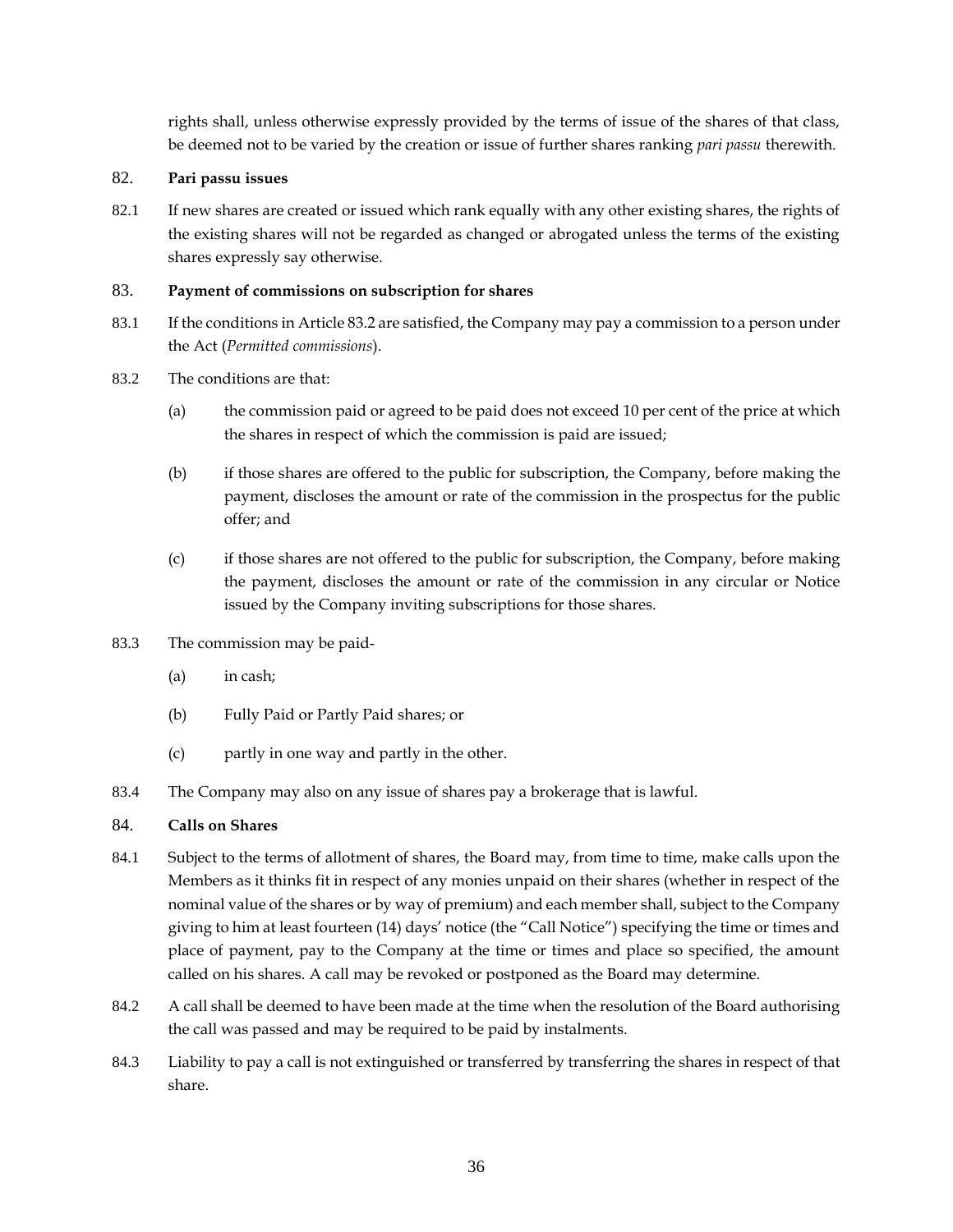rights shall, unless otherwise expressly provided by the terms of issue of the shares of that class, be deemed not to be varied by the creation or issue of further shares ranking *pari passu* therewith.

# <span id="page-41-0"></span>82. **Pari passu issues**

82.1 If new shares are created or issued which rank equally with any other existing shares, the rights of the existing shares will not be regarded as changed or abrogated unless the terms of the existing shares expressly say otherwise.

# <span id="page-41-1"></span>83. **Payment of commissions on subscription for shares**

- 83.1 If the conditions in Article [83.2](#page-41-3) are satisfied, the Company may pay a commission to a person under the Act (*Permitted commissions*).
- <span id="page-41-3"></span>83.2 The conditions are that:
	- (a) the commission paid or agreed to be paid does not exceed 10 per cent of the price at which the shares in respect of which the commission is paid are issued;
	- (b) if those shares are offered to the public for subscription, the Company, before making the payment, discloses the amount or rate of the commission in the prospectus for the public offer; and
	- (c) if those shares are not offered to the public for subscription, the Company, before making the payment, discloses the amount or rate of the commission in any circular or Notice issued by the Company inviting subscriptions for those shares.
- 83.3 The commission may be paid-
	- (a) in cash;
	- (b) Fully Paid or Partly Paid shares; or
	- (c) partly in one way and partly in the other.
- 83.4 The Company may also on any issue of shares pay a brokerage that is lawful.

#### <span id="page-41-2"></span>84. **Calls on Shares**

- 84.1 Subject to the terms of allotment of shares, the Board may, from time to time, make calls upon the Members as it thinks fit in respect of any monies unpaid on their shares (whether in respect of the nominal value of the shares or by way of premium) and each member shall, subject to the Company giving to him at least fourteen (14) days' notice (the "Call Notice") specifying the time or times and place of payment, pay to the Company at the time or times and place so specified, the amount called on his shares. A call may be revoked or postponed as the Board may determine.
- 84.2 A call shall be deemed to have been made at the time when the resolution of the Board authorising the call was passed and may be required to be paid by instalments.
- 84.3 Liability to pay a call is not extinguished or transferred by transferring the shares in respect of that share.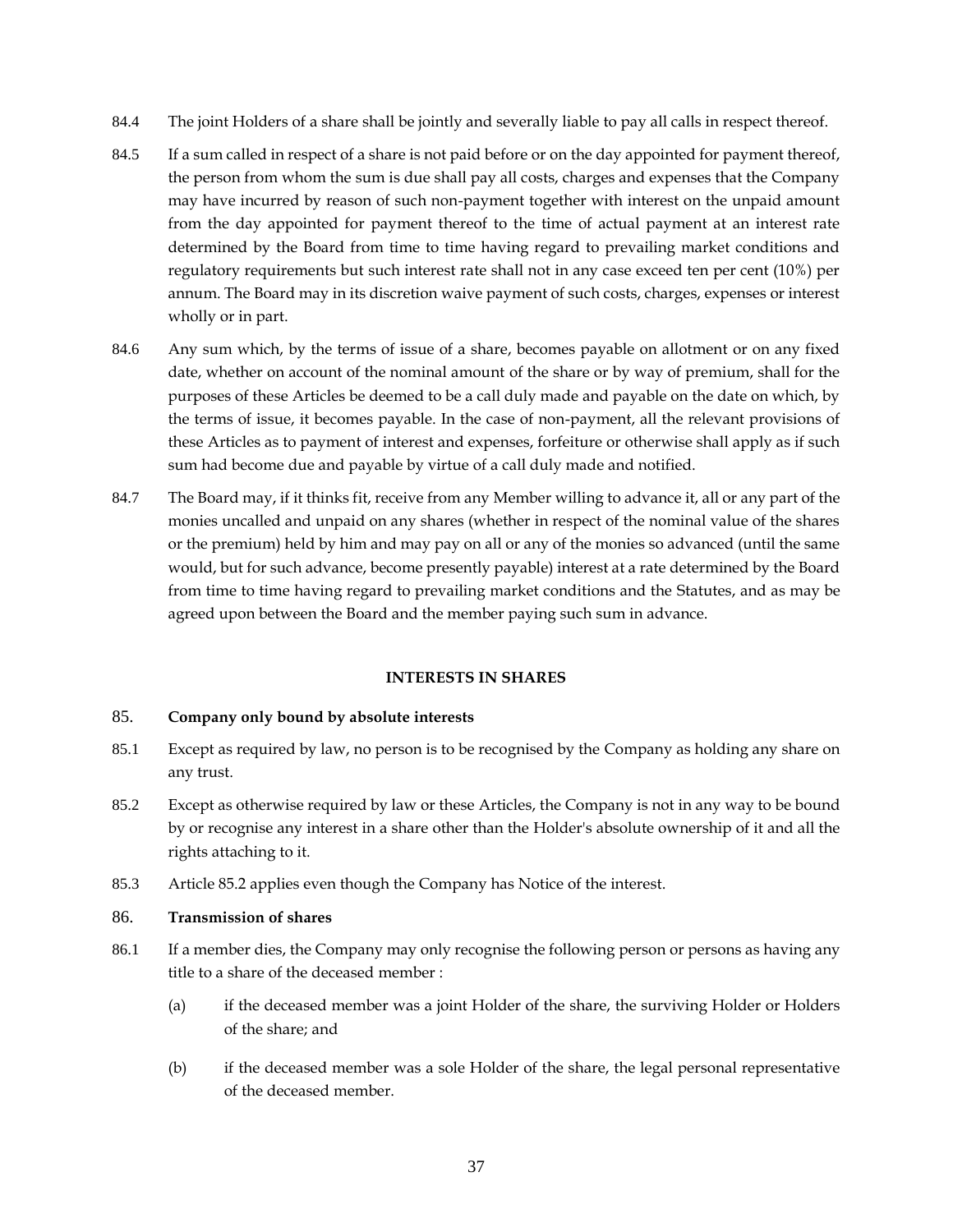- 84.4 The joint Holders of a share shall be jointly and severally liable to pay all calls in respect thereof.
- 84.5 If a sum called in respect of a share is not paid before or on the day appointed for payment thereof, the person from whom the sum is due shall pay all costs, charges and expenses that the Company may have incurred by reason of such non-payment together with interest on the unpaid amount from the day appointed for payment thereof to the time of actual payment at an interest rate determined by the Board from time to time having regard to prevailing market conditions and regulatory requirements but such interest rate shall not in any case exceed ten per cent (10%) per annum. The Board may in its discretion waive payment of such costs, charges, expenses or interest wholly or in part.
- 84.6 Any sum which, by the terms of issue of a share, becomes payable on allotment or on any fixed date, whether on account of the nominal amount of the share or by way of premium, shall for the purposes of these Articles be deemed to be a call duly made and payable on the date on which, by the terms of issue, it becomes payable. In the case of non-payment, all the relevant provisions of these Articles as to payment of interest and expenses, forfeiture or otherwise shall apply as if such sum had become due and payable by virtue of a call duly made and notified.
- 84.7 The Board may, if it thinks fit, receive from any Member willing to advance it, all or any part of the monies uncalled and unpaid on any shares (whether in respect of the nominal value of the shares or the premium) held by him and may pay on all or any of the monies so advanced (until the same would, but for such advance, become presently payable) interest at a rate determined by the Board from time to time having regard to prevailing market conditions and the Statutes, and as may be agreed upon between the Board and the member paying such sum in advance.

#### **INTERESTS IN SHARES**

#### <span id="page-42-1"></span><span id="page-42-0"></span>85. **Company only bound by absolute interests**

- 85.1 Except as required by law, no person is to be recognised by the Company as holding any share on any trust.
- <span id="page-42-3"></span>85.2 Except as otherwise required by law or these Articles, the Company is not in any way to be bound by or recognise any interest in a share other than the Holder's absolute ownership of it and all the rights attaching to it.
- 85.3 Article [85.2](#page-42-3) applies even though the Company has Notice of the interest.

### <span id="page-42-2"></span>86. **Transmission of shares**

- 86.1 If a member dies, the Company may only recognise the following person or persons as having any title to a share of the deceased member :
	- (a) if the deceased member was a joint Holder of the share, the surviving Holder or Holders of the share; and
	- (b) if the deceased member was a sole Holder of the share, the legal personal representative of the deceased member.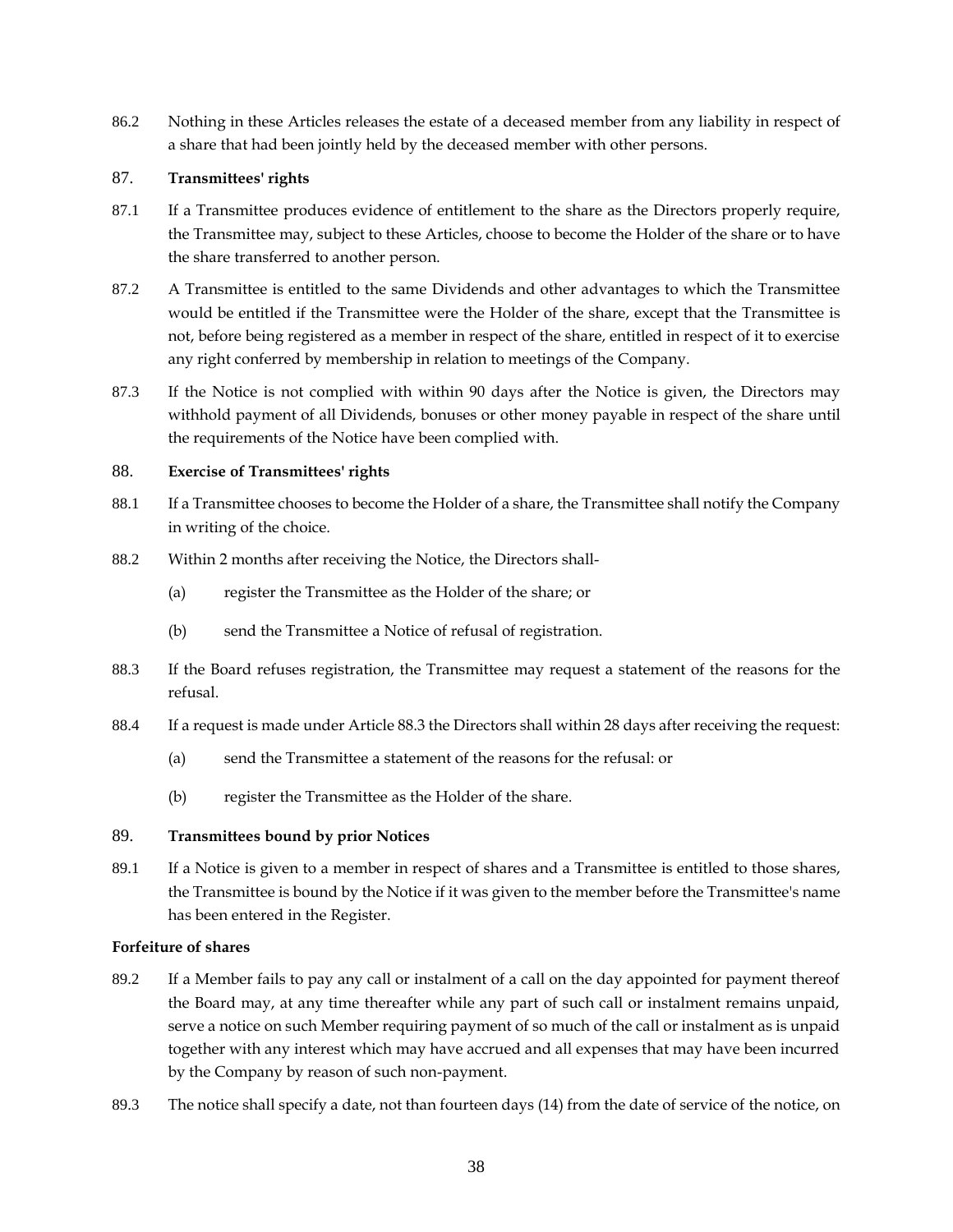86.2 Nothing in these Articles releases the estate of a deceased member from any liability in respect of a share that had been jointly held by the deceased member with other persons.

# <span id="page-43-0"></span>87. **Transmittees' rights**

- 87.1 If a Transmittee produces evidence of entitlement to the share as the Directors properly require, the Transmittee may, subject to these Articles, choose to become the Holder of the share or to have the share transferred to another person.
- 87.2 A Transmittee is entitled to the same Dividends and other advantages to which the Transmittee would be entitled if the Transmittee were the Holder of the share, except that the Transmittee is not, before being registered as a member in respect of the share, entitled in respect of it to exercise any right conferred by membership in relation to meetings of the Company.
- 87.3 If the Notice is not complied with within 90 days after the Notice is given, the Directors may withhold payment of all Dividends, bonuses or other money payable in respect of the share until the requirements of the Notice have been complied with.

### <span id="page-43-1"></span>88. **Exercise of Transmittees' rights**

- 88.1 If a Transmittee chooses to become the Holder of a share, the Transmittee shall notify the Company in writing of the choice.
- 88.2 Within 2 months after receiving the Notice, the Directors shall-
	- (a) register the Transmittee as the Holder of the share; or
	- (b) send the Transmittee a Notice of refusal of registration.
- <span id="page-43-4"></span>88.3 If the Board refuses registration, the Transmittee may request a statement of the reasons for the refusal.
- 88.4 If a request is made under Article [88.3](#page-43-4) the Directors shall within 28 days after receiving the request:
	- (a) send the Transmittee a statement of the reasons for the refusal: or
	- (b) register the Transmittee as the Holder of the share.

# <span id="page-43-2"></span>89. **Transmittees bound by prior Notices**

89.1 If a Notice is given to a member in respect of shares and a Transmittee is entitled to those shares, the Transmittee is bound by the Notice if it was given to the member before the Transmittee's name has been entered in the Register.

#### <span id="page-43-3"></span>**Forfeiture of shares**

- 89.2 If a Member fails to pay any call or instalment of a call on the day appointed for payment thereof the Board may, at any time thereafter while any part of such call or instalment remains unpaid, serve a notice on such Member requiring payment of so much of the call or instalment as is unpaid together with any interest which may have accrued and all expenses that may have been incurred by the Company by reason of such non-payment.
- 89.3 The notice shall specify a date, not than fourteen days (14) from the date of service of the notice, on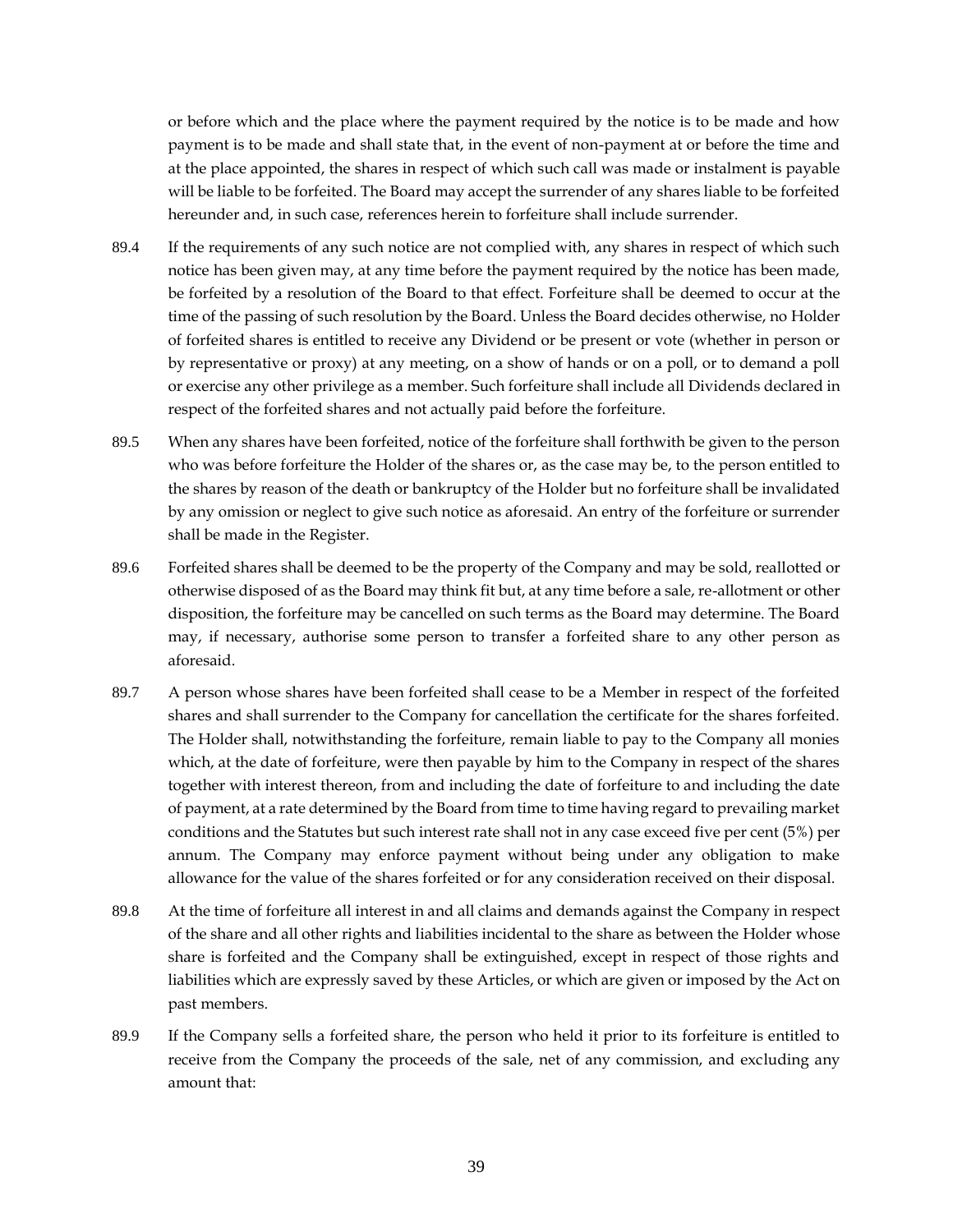or before which and the place where the payment required by the notice is to be made and how payment is to be made and shall state that, in the event of non-payment at or before the time and at the place appointed, the shares in respect of which such call was made or instalment is payable will be liable to be forfeited. The Board may accept the surrender of any shares liable to be forfeited hereunder and, in such case, references herein to forfeiture shall include surrender.

- 89.4 If the requirements of any such notice are not complied with, any shares in respect of which such notice has been given may, at any time before the payment required by the notice has been made, be forfeited by a resolution of the Board to that effect. Forfeiture shall be deemed to occur at the time of the passing of such resolution by the Board. Unless the Board decides otherwise, no Holder of forfeited shares is entitled to receive any Dividend or be present or vote (whether in person or by representative or proxy) at any meeting, on a show of hands or on a poll, or to demand a poll or exercise any other privilege as a member. Such forfeiture shall include all Dividends declared in respect of the forfeited shares and not actually paid before the forfeiture.
- 89.5 When any shares have been forfeited, notice of the forfeiture shall forthwith be given to the person who was before forfeiture the Holder of the shares or, as the case may be, to the person entitled to the shares by reason of the death or bankruptcy of the Holder but no forfeiture shall be invalidated by any omission or neglect to give such notice as aforesaid. An entry of the forfeiture or surrender shall be made in the Register.
- 89.6 Forfeited shares shall be deemed to be the property of the Company and may be sold, reallotted or otherwise disposed of as the Board may think fit but, at any time before a sale, re-allotment or other disposition, the forfeiture may be cancelled on such terms as the Board may determine. The Board may, if necessary, authorise some person to transfer a forfeited share to any other person as aforesaid.
- 89.7 A person whose shares have been forfeited shall cease to be a Member in respect of the forfeited shares and shall surrender to the Company for cancellation the certificate for the shares forfeited. The Holder shall, notwithstanding the forfeiture, remain liable to pay to the Company all monies which, at the date of forfeiture, were then payable by him to the Company in respect of the shares together with interest thereon, from and including the date of forfeiture to and including the date of payment, at a rate determined by the Board from time to time having regard to prevailing market conditions and the Statutes but such interest rate shall not in any case exceed five per cent (5%) per annum. The Company may enforce payment without being under any obligation to make allowance for the value of the shares forfeited or for any consideration received on their disposal.
- 89.8 At the time of forfeiture all interest in and all claims and demands against the Company in respect of the share and all other rights and liabilities incidental to the share as between the Holder whose share is forfeited and the Company shall be extinguished, except in respect of those rights and liabilities which are expressly saved by these Articles, or which are given or imposed by the Act on past members.
- 89.9 If the Company sells a forfeited share, the person who held it prior to its forfeiture is entitled to receive from the Company the proceeds of the sale, net of any commission, and excluding any amount that: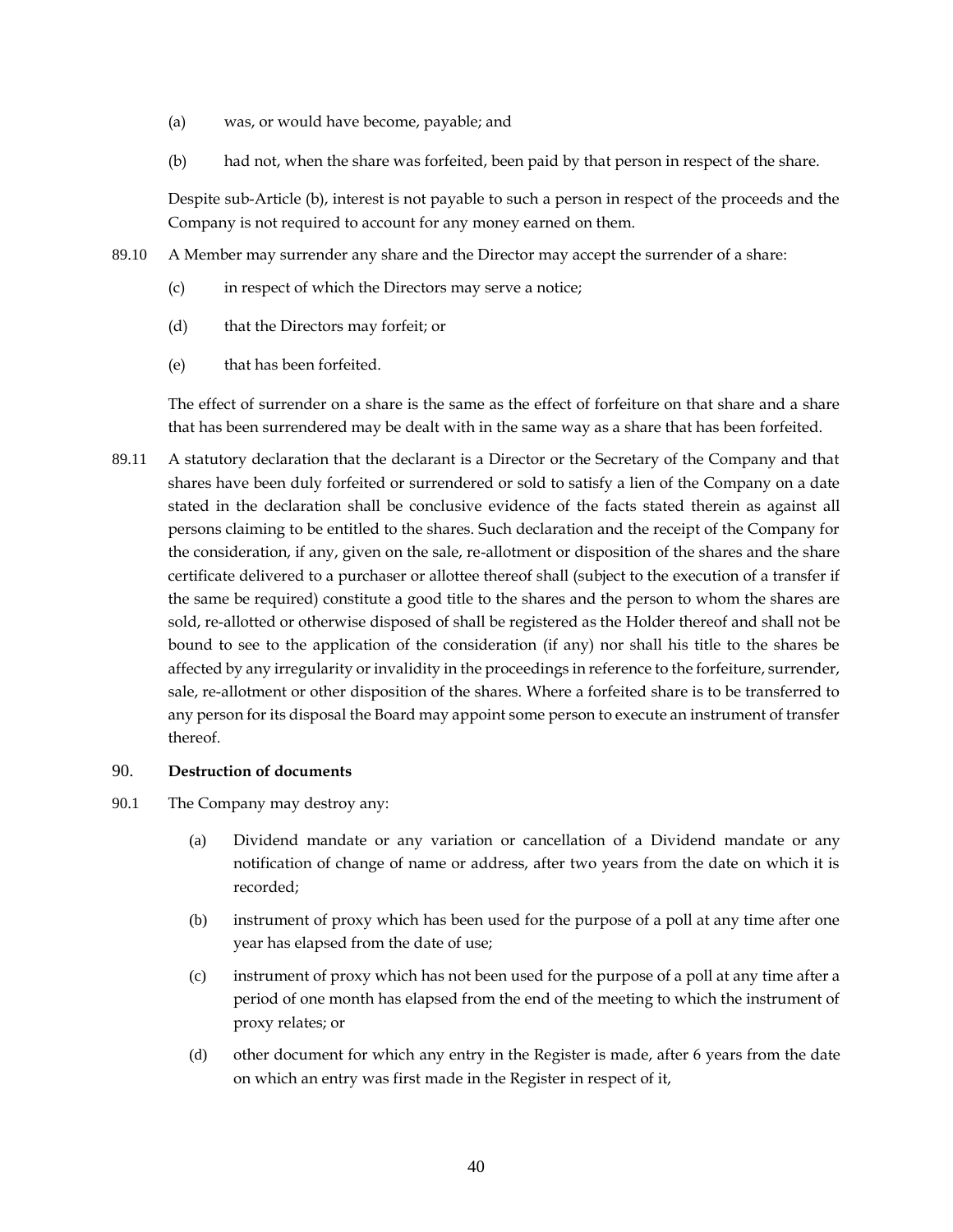- (a) was, or would have become, payable; and
- (b) had not, when the share was forfeited, been paid by that person in respect of the share.

Despite sub-Article (b), interest is not payable to such a person in respect of the proceeds and the Company is not required to account for any money earned on them.

- 89.10 A Member may surrender any share and the Director may accept the surrender of a share:
	- (c) in respect of which the Directors may serve a notice;
	- (d) that the Directors may forfeit; or
	- (e) that has been forfeited.

The effect of surrender on a share is the same as the effect of forfeiture on that share and a share that has been surrendered may be dealt with in the same way as a share that has been forfeited.

89.11 A statutory declaration that the declarant is a Director or the Secretary of the Company and that shares have been duly forfeited or surrendered or sold to satisfy a lien of the Company on a date stated in the declaration shall be conclusive evidence of the facts stated therein as against all persons claiming to be entitled to the shares. Such declaration and the receipt of the Company for the consideration, if any, given on the sale, re-allotment or disposition of the shares and the share certificate delivered to a purchaser or allottee thereof shall (subject to the execution of a transfer if the same be required) constitute a good title to the shares and the person to whom the shares are sold, re-allotted or otherwise disposed of shall be registered as the Holder thereof and shall not be bound to see to the application of the consideration (if any) nor shall his title to the shares be affected by any irregularity or invalidity in the proceedings in reference to the forfeiture, surrender, sale, re-allotment or other disposition of the shares. Where a forfeited share is to be transferred to any person for its disposal the Board may appoint some person to execute an instrument of transfer thereof.

### <span id="page-45-0"></span>90. **Destruction of documents**

- 90.1 The Company may destroy any:
	- (a) Dividend mandate or any variation or cancellation of a Dividend mandate or any notification of change of name or address, after two years from the date on which it is recorded;
	- (b) instrument of proxy which has been used for the purpose of a poll at any time after one year has elapsed from the date of use;
	- (c) instrument of proxy which has not been used for the purpose of a poll at any time after a period of one month has elapsed from the end of the meeting to which the instrument of proxy relates; or
	- (d) other document for which any entry in the Register is made, after 6 years from the date on which an entry was first made in the Register in respect of it,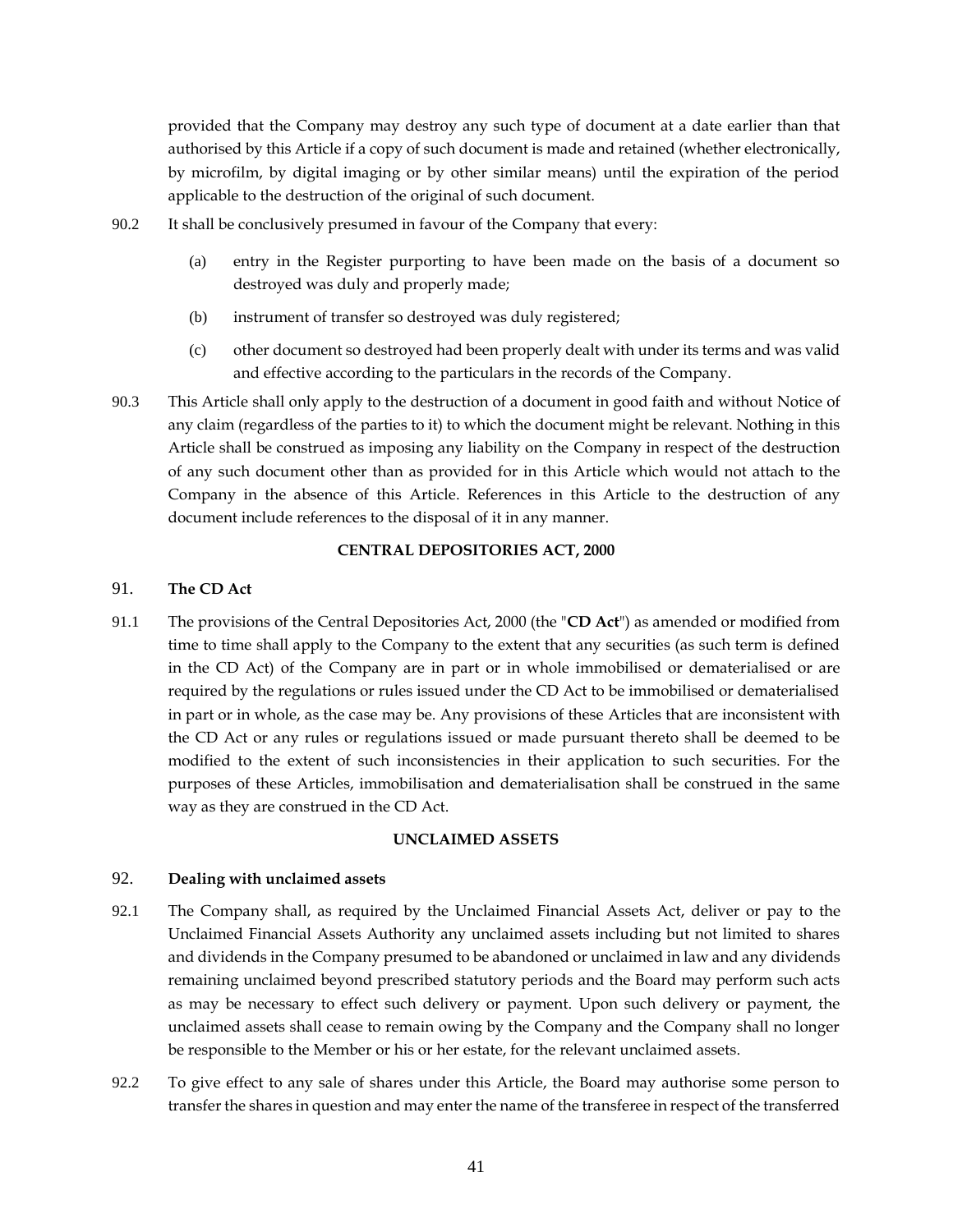provided that the Company may destroy any such type of document at a date earlier than that authorised by this Article if a copy of such document is made and retained (whether electronically, by microfilm, by digital imaging or by other similar means) until the expiration of the period applicable to the destruction of the original of such document.

- 90.2 It shall be conclusively presumed in favour of the Company that every:
	- (a) entry in the Register purporting to have been made on the basis of a document so destroyed was duly and properly made;
	- (b) instrument of transfer so destroyed was duly registered;
	- (c) other document so destroyed had been properly dealt with under its terms and was valid and effective according to the particulars in the records of the Company.
- 90.3 This Article shall only apply to the destruction of a document in good faith and without Notice of any claim (regardless of the parties to it) to which the document might be relevant. Nothing in this Article shall be construed as imposing any liability on the Company in respect of the destruction of any such document other than as provided for in this Article which would not attach to the Company in the absence of this Article. References in this Article to the destruction of any document include references to the disposal of it in any manner.

#### **CENTRAL DEPOSITORIES ACT, 2000**

### <span id="page-46-1"></span><span id="page-46-0"></span>91. **The CD Act**

91.1 The provisions of the Central Depositories Act, 2000 (the "**CD Act**") as amended or modified from time to time shall apply to the Company to the extent that any securities (as such term is defined in the CD Act) of the Company are in part or in whole immobilised or dematerialised or are required by the regulations or rules issued under the CD Act to be immobilised or dematerialised in part or in whole, as the case may be. Any provisions of these Articles that are inconsistent with the CD Act or any rules or regulations issued or made pursuant thereto shall be deemed to be modified to the extent of such inconsistencies in their application to such securities. For the purposes of these Articles, immobilisation and dematerialisation shall be construed in the same way as they are construed in the CD Act.

#### **UNCLAIMED ASSETS**

#### <span id="page-46-3"></span><span id="page-46-2"></span>92. **Dealing with unclaimed assets**

- 92.1 The Company shall, as required by the Unclaimed Financial Assets Act, deliver or pay to the Unclaimed Financial Assets Authority any unclaimed assets including but not limited to shares and dividends in the Company presumed to be abandoned or unclaimed in law and any dividends remaining unclaimed beyond prescribed statutory periods and the Board may perform such acts as may be necessary to effect such delivery or payment. Upon such delivery or payment, the unclaimed assets shall cease to remain owing by the Company and the Company shall no longer be responsible to the Member or his or her estate, for the relevant unclaimed assets.
- 92.2 To give effect to any sale of shares under this Article, the Board may authorise some person to transfer the shares in question and may enter the name of the transferee in respect of the transferred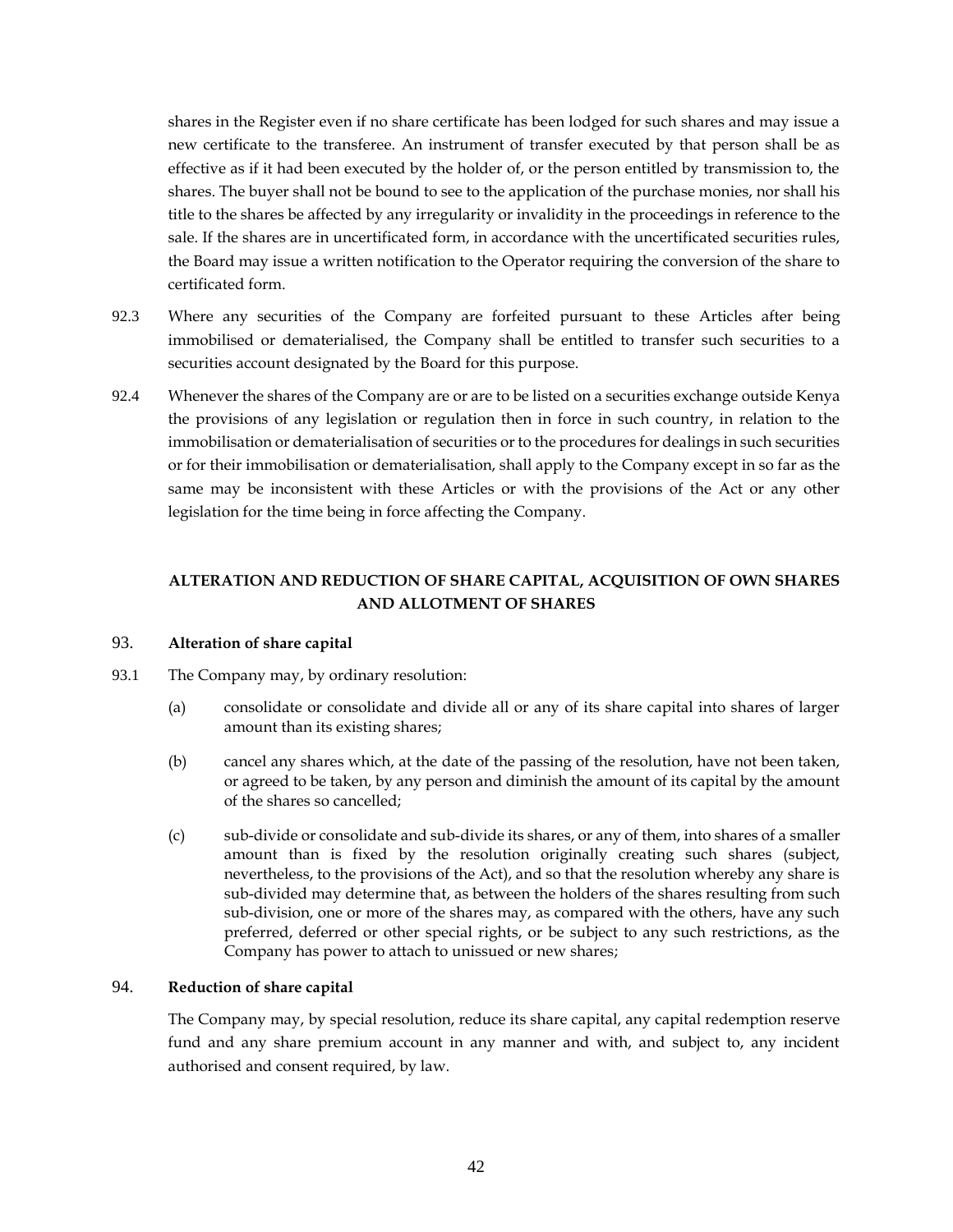shares in the Register even if no share certificate has been lodged for such shares and may issue a new certificate to the transferee. An instrument of transfer executed by that person shall be as effective as if it had been executed by the holder of, or the person entitled by transmission to, the shares. The buyer shall not be bound to see to the application of the purchase monies, nor shall his title to the shares be affected by any irregularity or invalidity in the proceedings in reference to the sale. If the shares are in uncertificated form, in accordance with the uncertificated securities rules, the Board may issue a written notification to the Operator requiring the conversion of the share to certificated form.

- 92.3 Where any securities of the Company are forfeited pursuant to these Articles after being immobilised or dematerialised, the Company shall be entitled to transfer such securities to a securities account designated by the Board for this purpose.
- 92.4 Whenever the shares of the Company are or are to be listed on a securities exchange outside Kenya the provisions of any legislation or regulation then in force in such country, in relation to the immobilisation or dematerialisation of securities or to the procedures for dealings in such securities or for their immobilisation or dematerialisation, shall apply to the Company except in so far as the same may be inconsistent with these Articles or with the provisions of the Act or any other legislation for the time being in force affecting the Company.

# **ALTERATION AND REDUCTION OF SHARE CAPITAL, ACQUISITION OF OWN SHARES AND ALLOTMENT OF SHARES**

### <span id="page-47-0"></span>93. **Alteration of share capital**

- 93.1 The Company may, by ordinary resolution:
	- (a) consolidate or consolidate and divide all or any of its share capital into shares of larger amount than its existing shares;
	- (b) cancel any shares which, at the date of the passing of the resolution, have not been taken, or agreed to be taken, by any person and diminish the amount of its capital by the amount of the shares so cancelled;
	- (c) sub-divide or consolidate and sub-divide its shares, or any of them, into shares of a smaller amount than is fixed by the resolution originally creating such shares (subject, nevertheless, to the provisions of the Act), and so that the resolution whereby any share is sub-divided may determine that, as between the holders of the shares resulting from such sub-division, one or more of the shares may, as compared with the others, have any such preferred, deferred or other special rights, or be subject to any such restrictions, as the Company has power to attach to unissued or new shares;

#### <span id="page-47-1"></span>94. **Reduction of share capital**

The Company may, by special resolution, reduce its share capital, any capital redemption reserve fund and any share premium account in any manner and with, and subject to, any incident authorised and consent required, by law.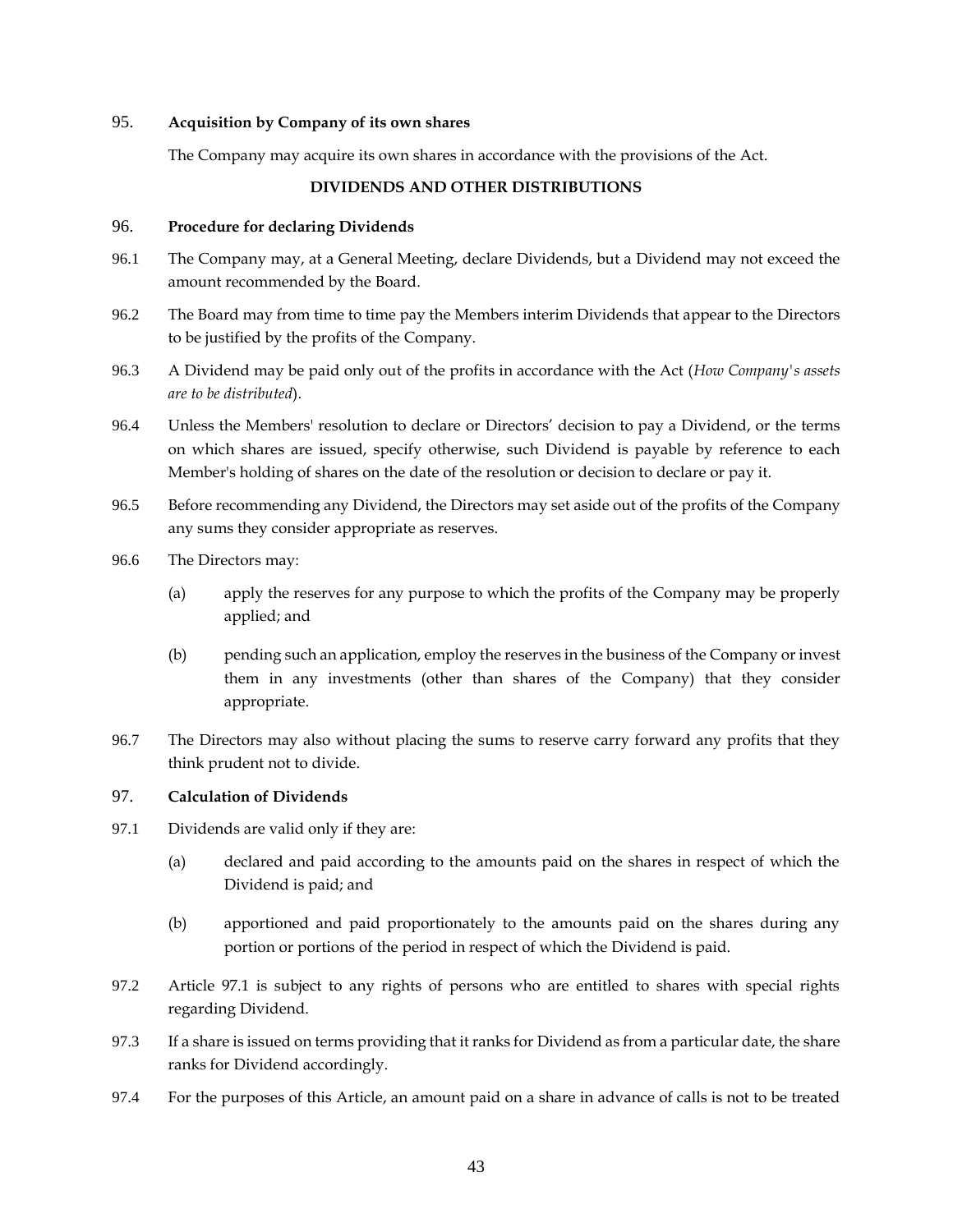### <span id="page-48-0"></span>95. **Acquisition by Company of its own shares**

The Company may acquire its own shares in accordance with the provisions of the Act.

### **DIVIDENDS AND OTHER DISTRIBUTIONS**

#### <span id="page-48-2"></span><span id="page-48-1"></span>96. **Procedure for declaring Dividends**

- 96.1 The Company may, at a General Meeting, declare Dividends, but a Dividend may not exceed the amount recommended by the Board.
- 96.2 The Board may from time to time pay the Members interim Dividends that appear to the Directors to be justified by the profits of the Company.
- 96.3 A Dividend may be paid only out of the profits in accordance with the Act (*How Company's assets are to be distributed*).
- 96.4 Unless the Members' resolution to declare or Directors' decision to pay a Dividend, or the terms on which shares are issued, specify otherwise, such Dividend is payable by reference to each Member's holding of shares on the date of the resolution or decision to declare or pay it.
- 96.5 Before recommending any Dividend, the Directors may set aside out of the profits of the Company any sums they consider appropriate as reserves.
- 96.6 The Directors may:
	- (a) apply the reserves for any purpose to which the profits of the Company may be properly applied; and
	- (b) pending such an application, employ the reserves in the business of the Company or invest them in any investments (other than shares of the Company) that they consider appropriate.
- 96.7 The Directors may also without placing the sums to reserve carry forward any profits that they think prudent not to divide.

# <span id="page-48-3"></span>97. **Calculation of Dividends**

- <span id="page-48-4"></span>97.1 Dividends are valid only if they are:
	- (a) declared and paid according to the amounts paid on the shares in respect of which the Dividend is paid; and
	- (b) apportioned and paid proportionately to the amounts paid on the shares during any portion or portions of the period in respect of which the Dividend is paid.
- 97.2 Article [97.1](#page-48-4) is subject to any rights of persons who are entitled to shares with special rights regarding Dividend.
- 97.3 If a share is issued on terms providing that it ranks for Dividend as from a particular date, the share ranks for Dividend accordingly.
- 97.4 For the purposes of this Article, an amount paid on a share in advance of calls is not to be treated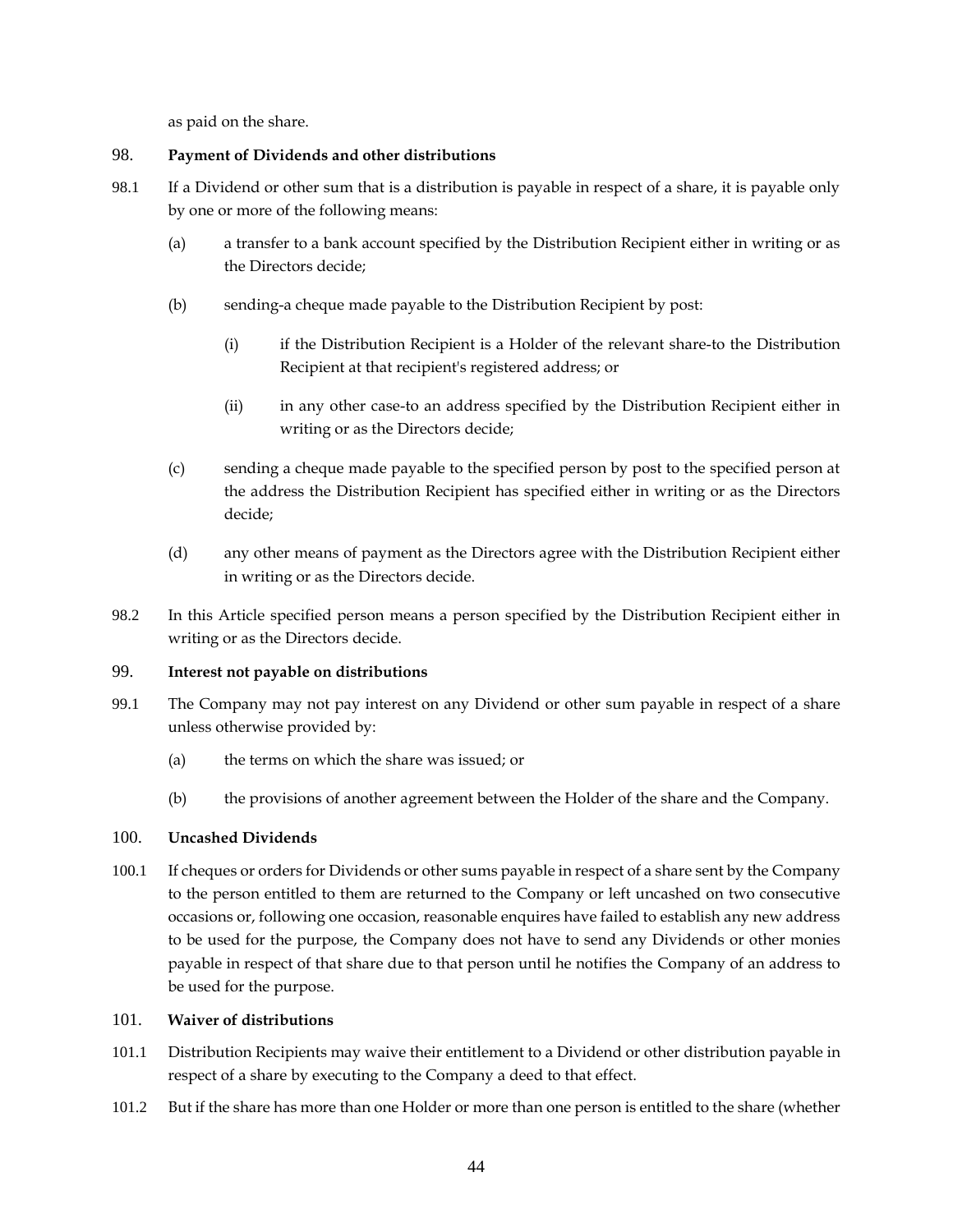as paid on the share.

# <span id="page-49-0"></span>98. **Payment of Dividends and other distributions**

- 98.1 If a Dividend or other sum that is a distribution is payable in respect of a share, it is payable only by one or more of the following means:
	- (a) a transfer to a bank account specified by the Distribution Recipient either in writing or as the Directors decide;
	- (b) sending-a cheque made payable to the Distribution Recipient by post:
		- (i) if the Distribution Recipient is a Holder of the relevant share-to the Distribution Recipient at that recipient's registered address; or
		- (ii) in any other case-to an address specified by the Distribution Recipient either in writing or as the Directors decide;
	- (c) sending a cheque made payable to the specified person by post to the specified person at the address the Distribution Recipient has specified either in writing or as the Directors decide;
	- (d) any other means of payment as the Directors agree with the Distribution Recipient either in writing or as the Directors decide.
- 98.2 In this Article specified person means a person specified by the Distribution Recipient either in writing or as the Directors decide.

# <span id="page-49-1"></span>99. **Interest not payable on distributions**

- 99.1 The Company may not pay interest on any Dividend or other sum payable in respect of a share unless otherwise provided by:
	- (a) the terms on which the share was issued; or
	- (b) the provisions of another agreement between the Holder of the share and the Company.

# <span id="page-49-2"></span>100. **Uncashed Dividends**

100.1 If cheques or orders for Dividends or other sums payable in respect of a share sent by the Company to the person entitled to them are returned to the Company or left uncashed on two consecutive occasions or, following one occasion, reasonable enquires have failed to establish any new address to be used for the purpose, the Company does not have to send any Dividends or other monies payable in respect of that share due to that person until he notifies the Company of an address to be used for the purpose.

### <span id="page-49-3"></span>101. **Waiver of distributions**

- 101.1 Distribution Recipients may waive their entitlement to a Dividend or other distribution payable in respect of a share by executing to the Company a deed to that effect.
- 101.2 But if the share has more than one Holder or more than one person is entitled to the share (whether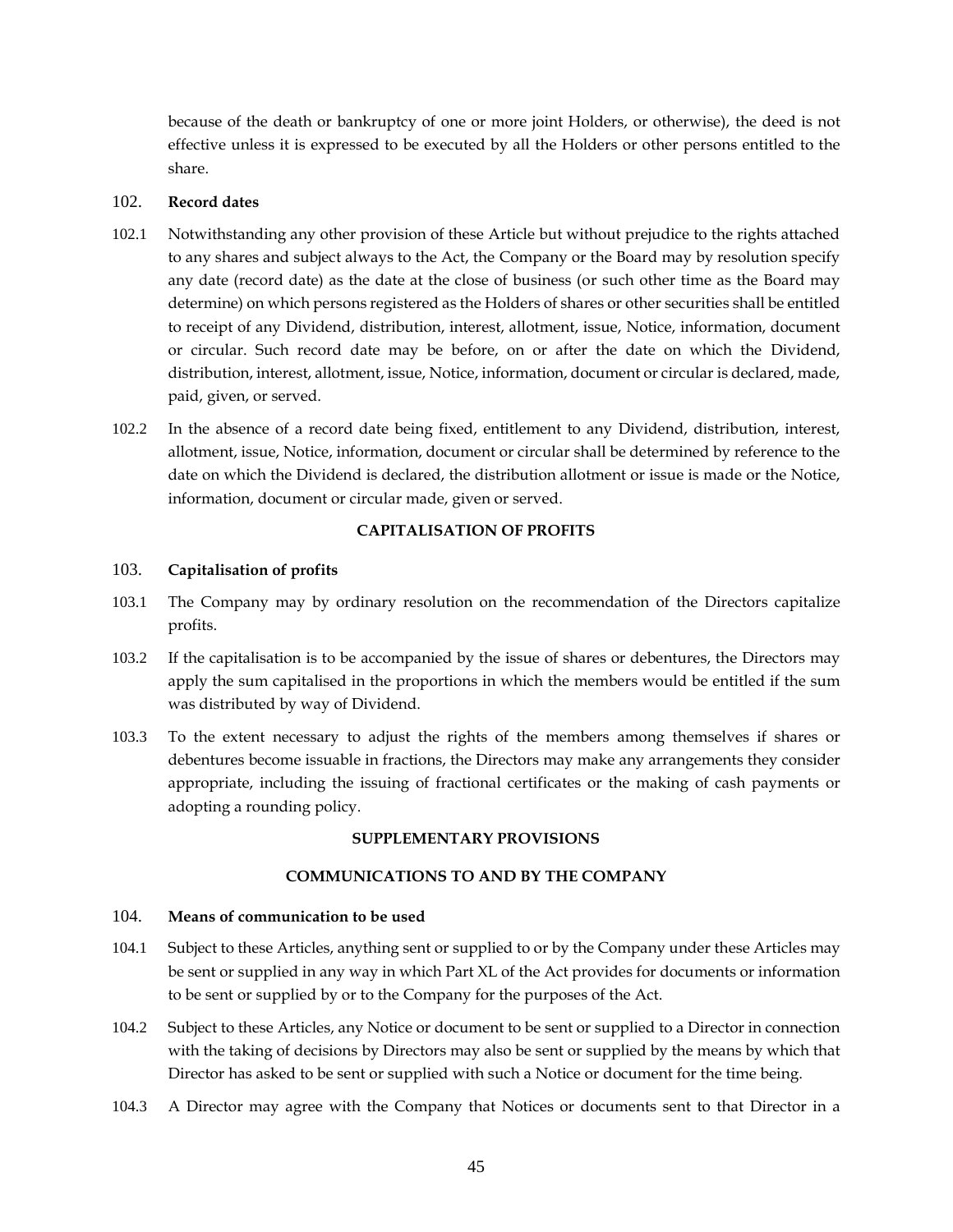because of the death or bankruptcy of one or more joint Holders, or otherwise), the deed is not effective unless it is expressed to be executed by all the Holders or other persons entitled to the share.

### <span id="page-50-0"></span>102. **Record dates**

- 102.1 Notwithstanding any other provision of these Article but without prejudice to the rights attached to any shares and subject always to the Act, the Company or the Board may by resolution specify any date (record date) as the date at the close of business (or such other time as the Board may determine) on which persons registered as the Holders of shares or other securities shall be entitled to receipt of any Dividend, distribution, interest, allotment, issue, Notice, information, document or circular. Such record date may be before, on or after the date on which the Dividend, distribution, interest, allotment, issue, Notice, information, document or circular is declared, made, paid, given, or served.
- 102.2 In the absence of a record date being fixed, entitlement to any Dividend, distribution, interest, allotment, issue, Notice, information, document or circular shall be determined by reference to the date on which the Dividend is declared, the distribution allotment or issue is made or the Notice, information, document or circular made, given or served.

# **CAPITALISATION OF PROFITS**

# <span id="page-50-2"></span><span id="page-50-1"></span>103. **Capitalisation of profits**

- 103.1 The Company may by ordinary resolution on the recommendation of the Directors capitalize profits.
- 103.2 If the capitalisation is to be accompanied by the issue of shares or debentures, the Directors may apply the sum capitalised in the proportions in which the members would be entitled if the sum was distributed by way of Dividend.
- 103.3 To the extent necessary to adjust the rights of the members among themselves if shares or debentures become issuable in fractions, the Directors may make any arrangements they consider appropriate, including the issuing of fractional certificates or the making of cash payments or adopting a rounding policy.

# **SUPPLEMENTARY PROVISIONS**

# **COMMUNICATIONS TO AND BY THE COMPANY**

#### <span id="page-50-5"></span><span id="page-50-4"></span><span id="page-50-3"></span>104. **Means of communication to be used**

- 104.1 Subject to these Articles, anything sent or supplied to or by the Company under these Articles may be sent or supplied in any way in which Part XL of the Act provides for documents or information to be sent or supplied by or to the Company for the purposes of the Act.
- 104.2 Subject to these Articles, any Notice or document to be sent or supplied to a Director in connection with the taking of decisions by Directors may also be sent or supplied by the means by which that Director has asked to be sent or supplied with such a Notice or document for the time being.
- 104.3 A Director may agree with the Company that Notices or documents sent to that Director in a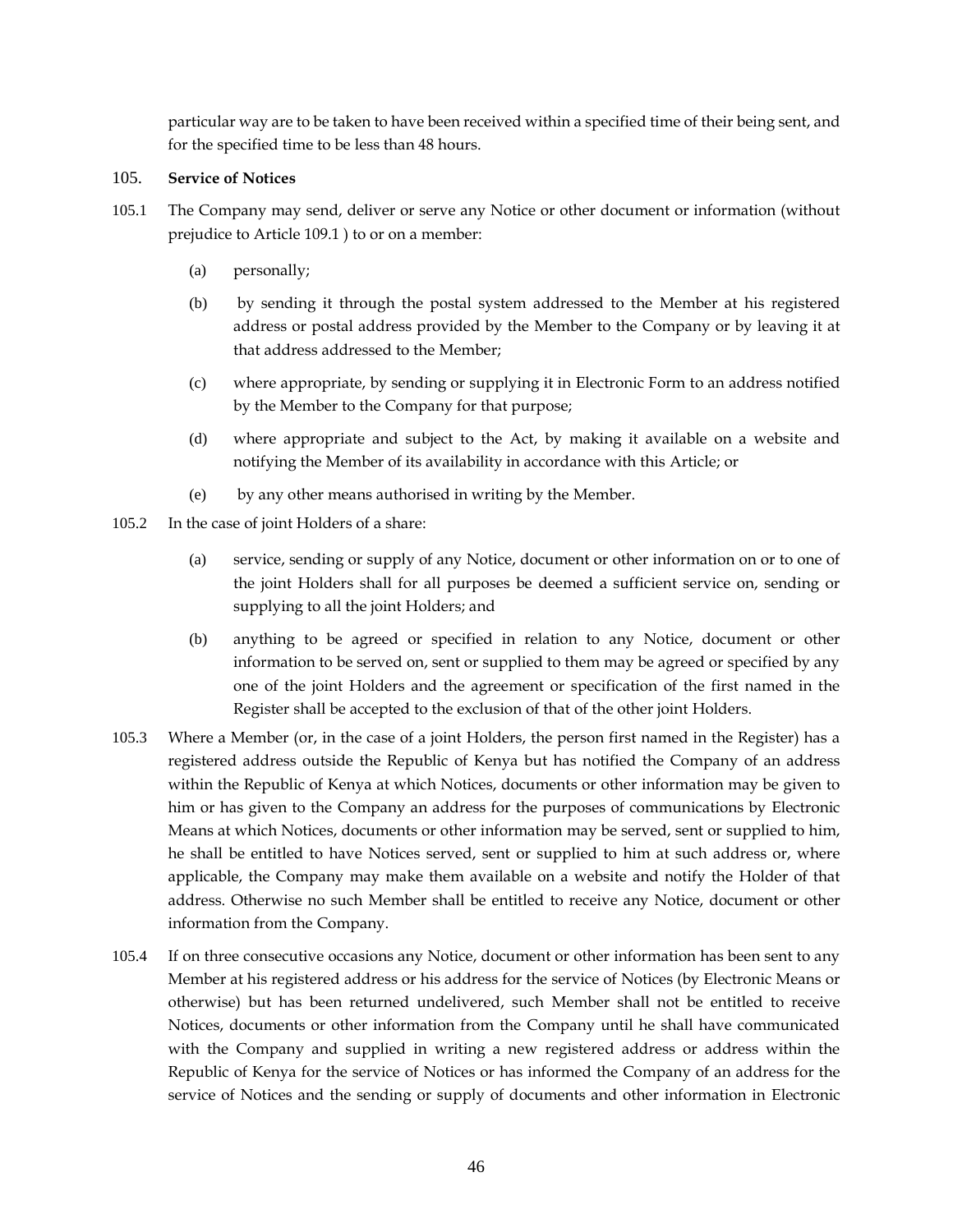particular way are to be taken to have been received within a specified time of their being sent, and for the specified time to be less than 48 hours.

### <span id="page-51-0"></span>105. **Service of Notices**

- 105.1 The Company may send, deliver or serve any Notice or other document or information (without prejudice to Article [109.1](#page-53-4) ) to or on a member:
	- (a) personally;
	- (b) by sending it through the postal system addressed to the Member at his registered address or postal address provided by the Member to the Company or by leaving it at that address addressed to the Member;
	- (c) where appropriate, by sending or supplying it in Electronic Form to an address notified by the Member to the Company for that purpose;
	- (d) where appropriate and subject to the Act, by making it available on a website and notifying the Member of its availability in accordance with this Article; or
	- (e) by any other means authorised in writing by the Member.
- 105.2 In the case of joint Holders of a share:
	- (a) service, sending or supply of any Notice, document or other information on or to one of the joint Holders shall for all purposes be deemed a sufficient service on, sending or supplying to all the joint Holders; and
	- (b) anything to be agreed or specified in relation to any Notice, document or other information to be served on, sent or supplied to them may be agreed or specified by any one of the joint Holders and the agreement or specification of the first named in the Register shall be accepted to the exclusion of that of the other joint Holders.
- 105.3 Where a Member (or, in the case of a joint Holders, the person first named in the Register) has a registered address outside the Republic of Kenya but has notified the Company of an address within the Republic of Kenya at which Notices, documents or other information may be given to him or has given to the Company an address for the purposes of communications by Electronic Means at which Notices, documents or other information may be served, sent or supplied to him, he shall be entitled to have Notices served, sent or supplied to him at such address or, where applicable, the Company may make them available on a website and notify the Holder of that address. Otherwise no such Member shall be entitled to receive any Notice, document or other information from the Company.
- 105.4 If on three consecutive occasions any Notice, document or other information has been sent to any Member at his registered address or his address for the service of Notices (by Electronic Means or otherwise) but has been returned undelivered, such Member shall not be entitled to receive Notices, documents or other information from the Company until he shall have communicated with the Company and supplied in writing a new registered address or address within the Republic of Kenya for the service of Notices or has informed the Company of an address for the service of Notices and the sending or supply of documents and other information in Electronic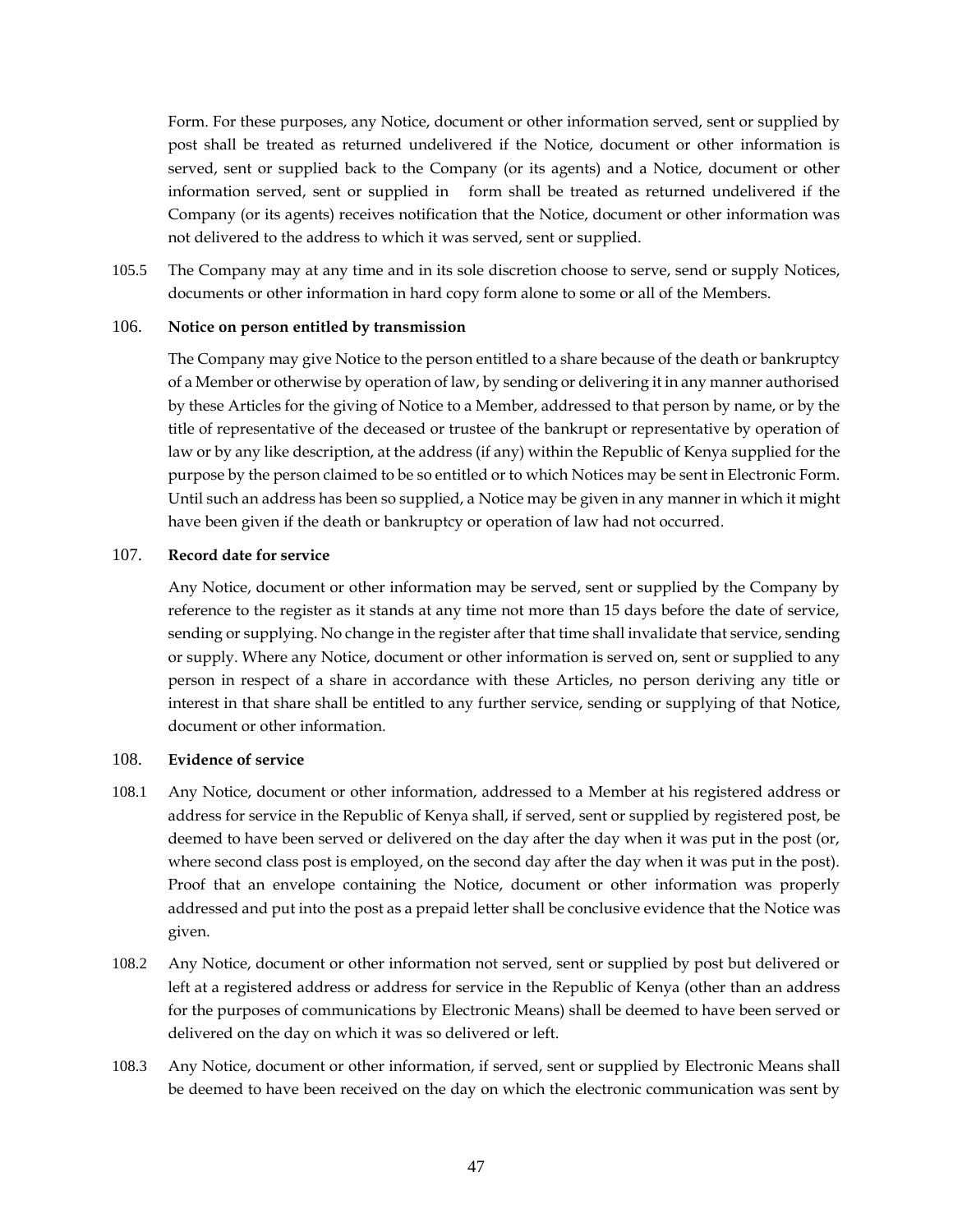Form. For these purposes, any Notice, document or other information served, sent or supplied by post shall be treated as returned undelivered if the Notice, document or other information is served, sent or supplied back to the Company (or its agents) and a Notice, document or other information served, sent or supplied in form shall be treated as returned undelivered if the Company (or its agents) receives notification that the Notice, document or other information was not delivered to the address to which it was served, sent or supplied.

105.5 The Company may at any time and in its sole discretion choose to serve, send or supply Notices, documents or other information in hard copy form alone to some or all of the Members.

#### <span id="page-52-0"></span>106. **Notice on person entitled by transmission**

The Company may give Notice to the person entitled to a share because of the death or bankruptcy of a Member or otherwise by operation of law, by sending or delivering it in any manner authorised by these Articles for the giving of Notice to a Member, addressed to that person by name, or by the title of representative of the deceased or trustee of the bankrupt or representative by operation of law or by any like description, at the address (if any) within the Republic of Kenya supplied for the purpose by the person claimed to be so entitled or to which Notices may be sent in Electronic Form. Until such an address has been so supplied, a Notice may be given in any manner in which it might have been given if the death or bankruptcy or operation of law had not occurred.

### <span id="page-52-1"></span>107. **Record date for service**

Any Notice, document or other information may be served, sent or supplied by the Company by reference to the register as it stands at any time not more than 15 days before the date of service, sending or supplying. No change in the register after that time shall invalidate that service, sending or supply. Where any Notice, document or other information is served on, sent or supplied to any person in respect of a share in accordance with these Articles, no person deriving any title or interest in that share shall be entitled to any further service, sending or supplying of that Notice, document or other information.

#### <span id="page-52-2"></span>108. **Evidence of service**

- 108.1 Any Notice, document or other information, addressed to a Member at his registered address or address for service in the Republic of Kenya shall, if served, sent or supplied by registered post, be deemed to have been served or delivered on the day after the day when it was put in the post (or, where second class post is employed, on the second day after the day when it was put in the post). Proof that an envelope containing the Notice, document or other information was properly addressed and put into the post as a prepaid letter shall be conclusive evidence that the Notice was given.
- 108.2 Any Notice, document or other information not served, sent or supplied by post but delivered or left at a registered address or address for service in the Republic of Kenya (other than an address for the purposes of communications by Electronic Means) shall be deemed to have been served or delivered on the day on which it was so delivered or left.
- 108.3 Any Notice, document or other information, if served, sent or supplied by Electronic Means shall be deemed to have been received on the day on which the electronic communication was sent by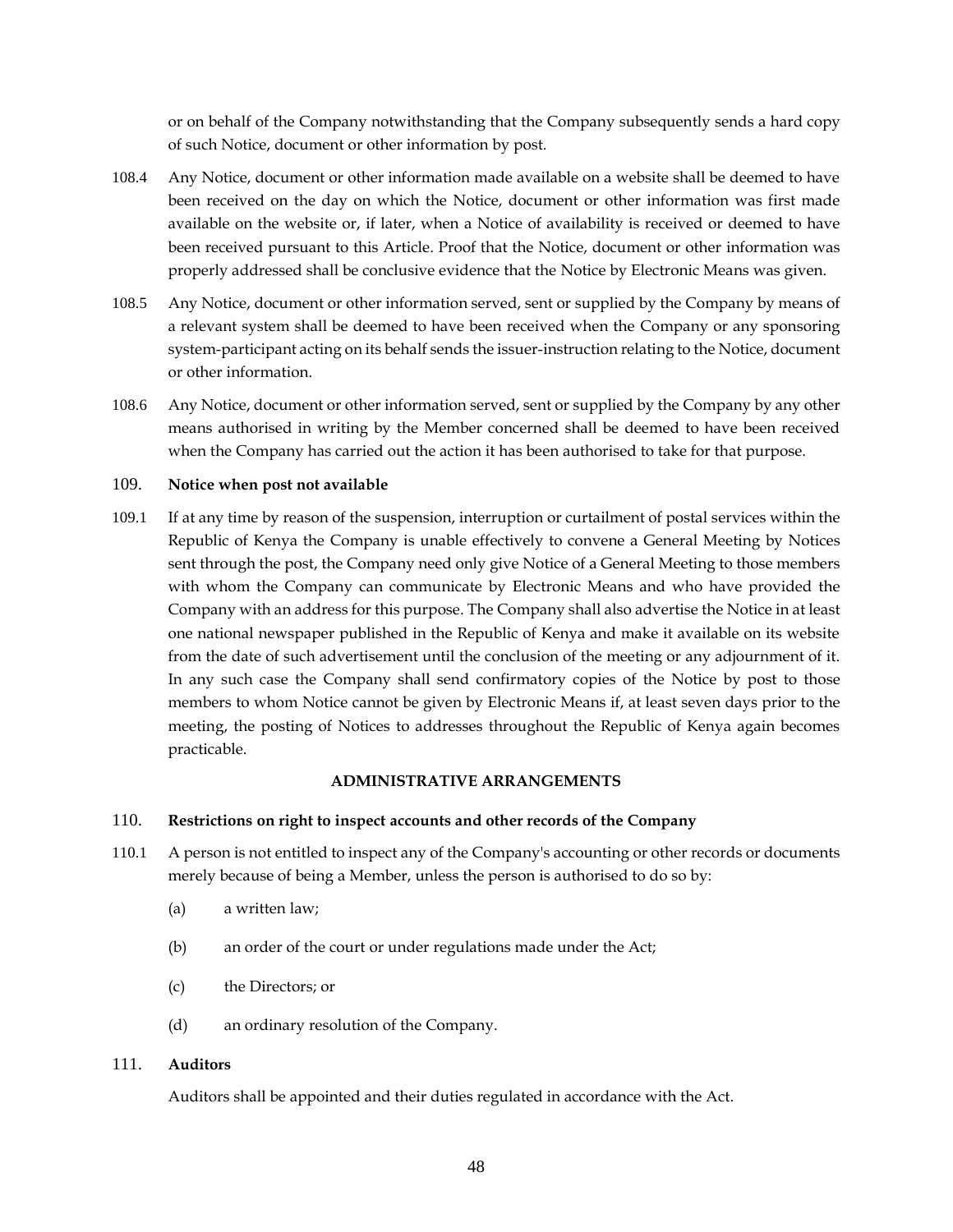or on behalf of the Company notwithstanding that the Company subsequently sends a hard copy of such Notice, document or other information by post.

- 108.4 Any Notice, document or other information made available on a website shall be deemed to have been received on the day on which the Notice, document or other information was first made available on the website or, if later, when a Notice of availability is received or deemed to have been received pursuant to this Article. Proof that the Notice, document or other information was properly addressed shall be conclusive evidence that the Notice by Electronic Means was given.
- 108.5 Any Notice, document or other information served, sent or supplied by the Company by means of a relevant system shall be deemed to have been received when the Company or any sponsoring system-participant acting on its behalf sends the issuer-instruction relating to the Notice, document or other information.
- 108.6 Any Notice, document or other information served, sent or supplied by the Company by any other means authorised in writing by the Member concerned shall be deemed to have been received when the Company has carried out the action it has been authorised to take for that purpose.

#### <span id="page-53-0"></span>109. **Notice when post not available**

<span id="page-53-4"></span>109.1 If at any time by reason of the suspension, interruption or curtailment of postal services within the Republic of Kenya the Company is unable effectively to convene a General Meeting by Notices sent through the post, the Company need only give Notice of a General Meeting to those members with whom the Company can communicate by Electronic Means and who have provided the Company with an address for this purpose. The Company shall also advertise the Notice in at least one national newspaper published in the Republic of Kenya and make it available on its website from the date of such advertisement until the conclusion of the meeting or any adjournment of it. In any such case the Company shall send confirmatory copies of the Notice by post to those members to whom Notice cannot be given by Electronic Means if, at least seven days prior to the meeting, the posting of Notices to addresses throughout the Republic of Kenya again becomes practicable.

#### **ADMINISTRATIVE ARRANGEMENTS**

### <span id="page-53-2"></span><span id="page-53-1"></span>110. **Restrictions on right to inspect accounts and other records of the Company**

- 110.1 A person is not entitled to inspect any of the Company's accounting or other records or documents merely because of being a Member, unless the person is authorised to do so by:
	- (a) a written law;
	- (b) an order of the court or under regulations made under the Act;
	- (c) the Directors; or
	- (d) an ordinary resolution of the Company.

#### <span id="page-53-3"></span>111. **Auditors**

Auditors shall be appointed and their duties regulated in accordance with the Act.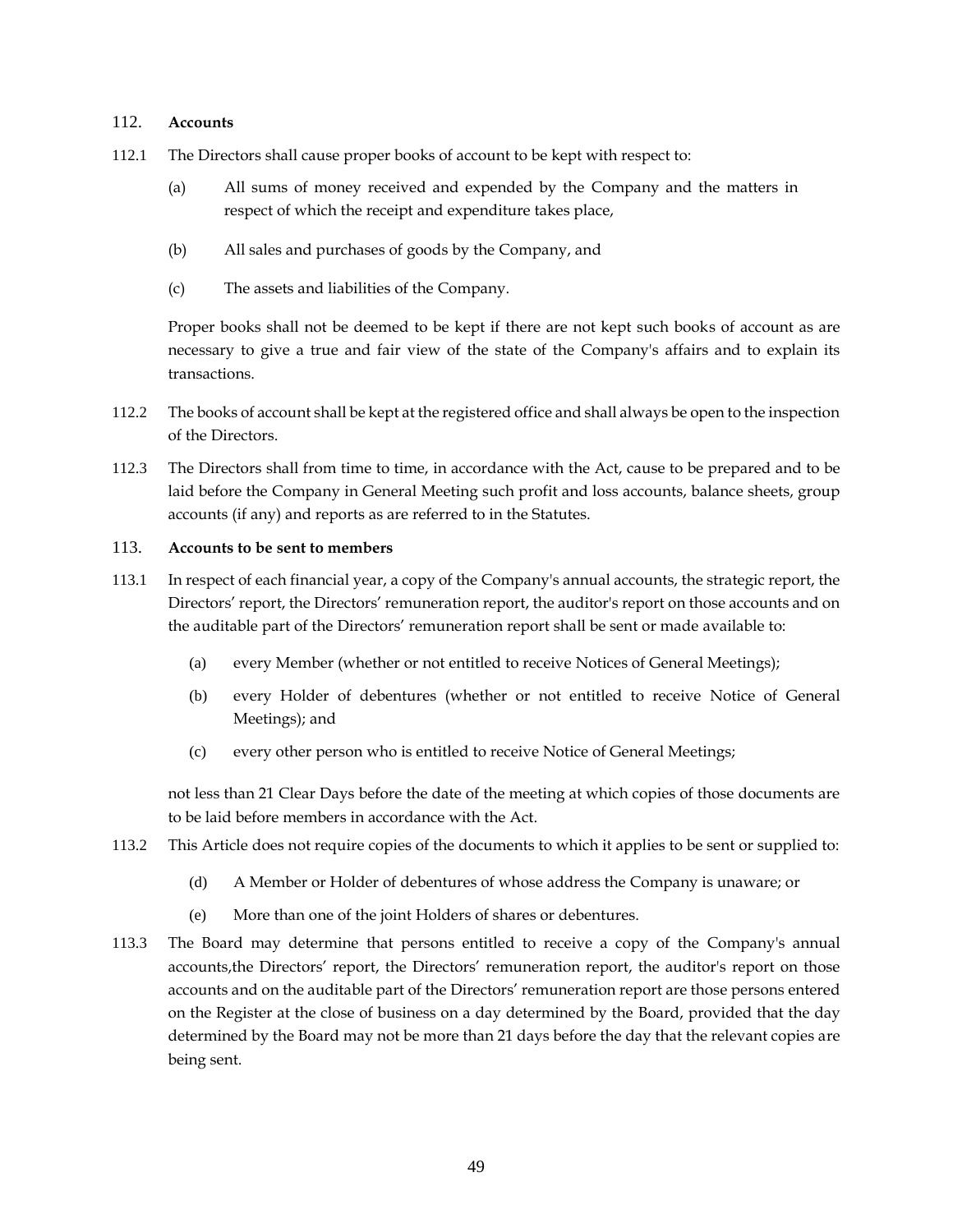#### <span id="page-54-0"></span>112. **Accounts**

- 112.1 The Directors shall cause proper books of account to be kept with respect to:
	- (a) All sums of money received and expended by the Company and the matters in respect of which the receipt and expenditure takes place,
	- (b) All sales and purchases of goods by the Company, and
	- (c) The assets and liabilities of the Company.

Proper books shall not be deemed to be kept if there are not kept such books of account as are necessary to give a true and fair view of the state of the Company's affairs and to explain its transactions.

- 112.2 The books of account shall be kept at the registered office and shall always be open to the inspection of the Directors.
- 112.3 The Directors shall from time to time, in accordance with the Act, cause to be prepared and to be laid before the Company in General Meeting such profit and loss accounts, balance sheets, group accounts (if any) and reports as are referred to in the Statutes.

# <span id="page-54-1"></span>113. **Accounts to be sent to members**

- 113.1 In respect of each financial year, a copy of the Company's annual accounts, the strategic report, the Directors' report, the Directors' remuneration report, the auditor's report on those accounts and on the auditable part of the Directors' remuneration report shall be sent or made available to:
	- (a) every Member (whether or not entitled to receive Notices of General Meetings);
	- (b) every Holder of debentures (whether or not entitled to receive Notice of General Meetings); and
	- (c) every other person who is entitled to receive Notice of General Meetings;

not less than 21 Clear Days before the date of the meeting at which copies of those documents are to be laid before members in accordance with the Act.

- 113.2 This Article does not require copies of the documents to which it applies to be sent or supplied to:
	- (d) A Member or Holder of debentures of whose address the Company is unaware; or
	- (e) More than one of the joint Holders of shares or debentures.
- 113.3 The Board may determine that persons entitled to receive a copy of the Company's annual accounts,the Directors' report, the Directors' remuneration report, the auditor's report on those accounts and on the auditable part of the Directors' remuneration report are those persons entered on the Register at the close of business on a day determined by the Board, provided that the day determined by the Board may not be more than 21 days before the day that the relevant copies are being sent.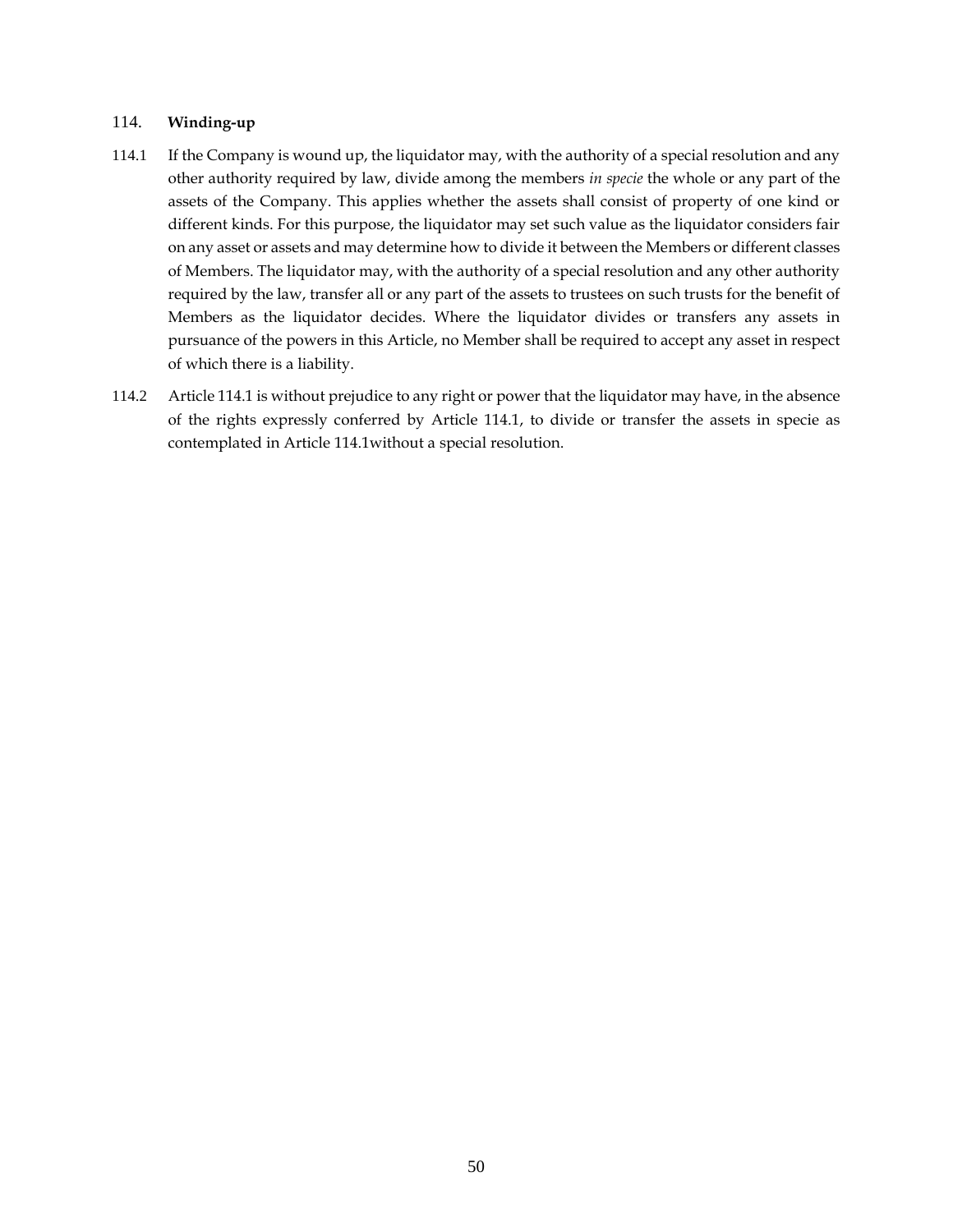#### <span id="page-55-0"></span>114. **Winding-up**

- <span id="page-55-1"></span>114.1 If the Company is wound up, the liquidator may, with the authority of a special resolution and any other authority required by law, divide among the members *in specie* the whole or any part of the assets of the Company. This applies whether the assets shall consist of property of one kind or different kinds. For this purpose, the liquidator may set such value as the liquidator considers fair on any asset or assets and may determine how to divide it between the Members or different classes of Members. The liquidator may, with the authority of a special resolution and any other authority required by the law, transfer all or any part of the assets to trustees on such trusts for the benefit of Members as the liquidator decides. Where the liquidator divides or transfers any assets in pursuance of the powers in this Article, no Member shall be required to accept any asset in respect of which there is a liability.
- 114.2 Article [114.1](#page-55-1) is without prejudice to any right or power that the liquidator may have, in the absence of the rights expressly conferred by Article [114.1,](#page-55-1) to divide or transfer the assets in specie as contemplated in Article [114.1w](#page-55-1)ithout a special resolution.